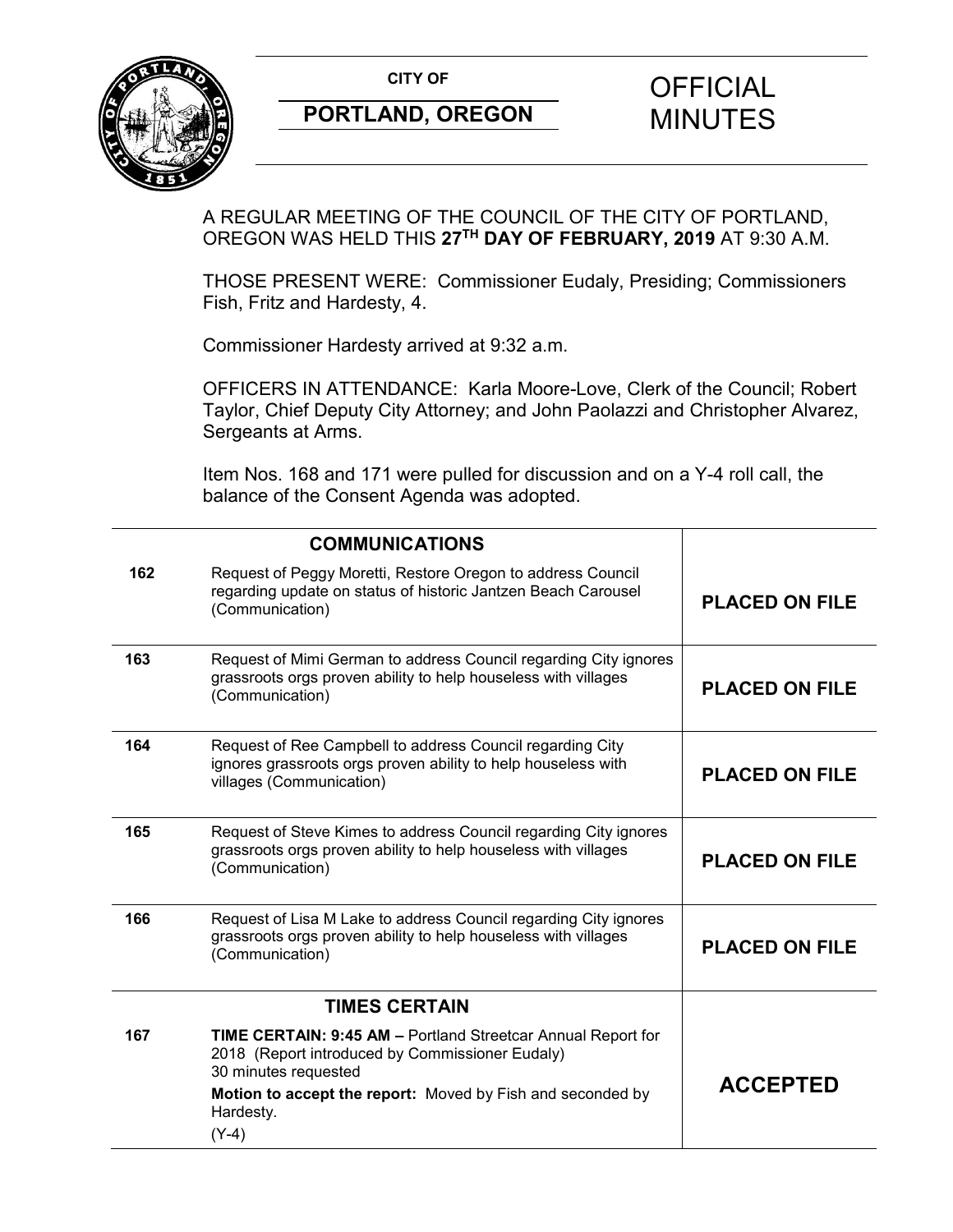**CITY OF CITY OF CITY OF CITY OF CITY** 



# **PORTLAND, OREGON MINUTES**

# A REGULAR MEETING OF THE COUNCIL OF THE CITY OF PORTLAND, OREGON WAS HELD THIS **27TH DAY OF FEBRUARY, 2019** AT 9:30 A.M.

THOSE PRESENT WERE: Commissioner Eudaly, Presiding; Commissioners Fish, Fritz and Hardesty, 4.

Commissioner Hardesty arrived at 9:32 a.m.

OFFICERS IN ATTENDANCE: Karla Moore-Love, Clerk of the Council; Robert Taylor, Chief Deputy City Attorney; and John Paolazzi and Christopher Alvarez, Sergeants at Arms.

Item Nos. 168 and 171 were pulled for discussion and on a Y-4 roll call, the balance of the Consent Agenda was adopted.

| <b>COMMUNICATIONS</b> |                                                                                                                                                        |                       |
|-----------------------|--------------------------------------------------------------------------------------------------------------------------------------------------------|-----------------------|
| 162                   | Request of Peggy Moretti, Restore Oregon to address Council<br>regarding update on status of historic Jantzen Beach Carousel<br>(Communication)        | <b>PLACED ON FILE</b> |
| 163                   | Request of Mimi German to address Council regarding City ignores<br>grassroots orgs proven ability to help houseless with villages<br>(Communication)  | <b>PLACED ON FILE</b> |
| 164                   | Request of Ree Campbell to address Council regarding City<br>ignores grassroots orgs proven ability to help houseless with<br>villages (Communication) | <b>PLACED ON FILE</b> |
| 165                   | Request of Steve Kimes to address Council regarding City ignores<br>grassroots orgs proven ability to help houseless with villages<br>(Communication)  | <b>PLACED ON FILE</b> |
| 166                   | Request of Lisa M Lake to address Council regarding City ignores<br>grassroots orgs proven ability to help houseless with villages<br>(Communication)  | <b>PLACED ON FILE</b> |
|                       | <b>TIMES CERTAIN</b>                                                                                                                                   |                       |
| 167                   | TIME CERTAIN: 9:45 AM - Portland Streetcar Annual Report for<br>2018 (Report introduced by Commissioner Eudaly)<br>30 minutes requested                |                       |
|                       | Motion to accept the report: Moved by Fish and seconded by<br>Hardesty.<br>$(Y-4)$                                                                     | <b>ACCEPTED</b>       |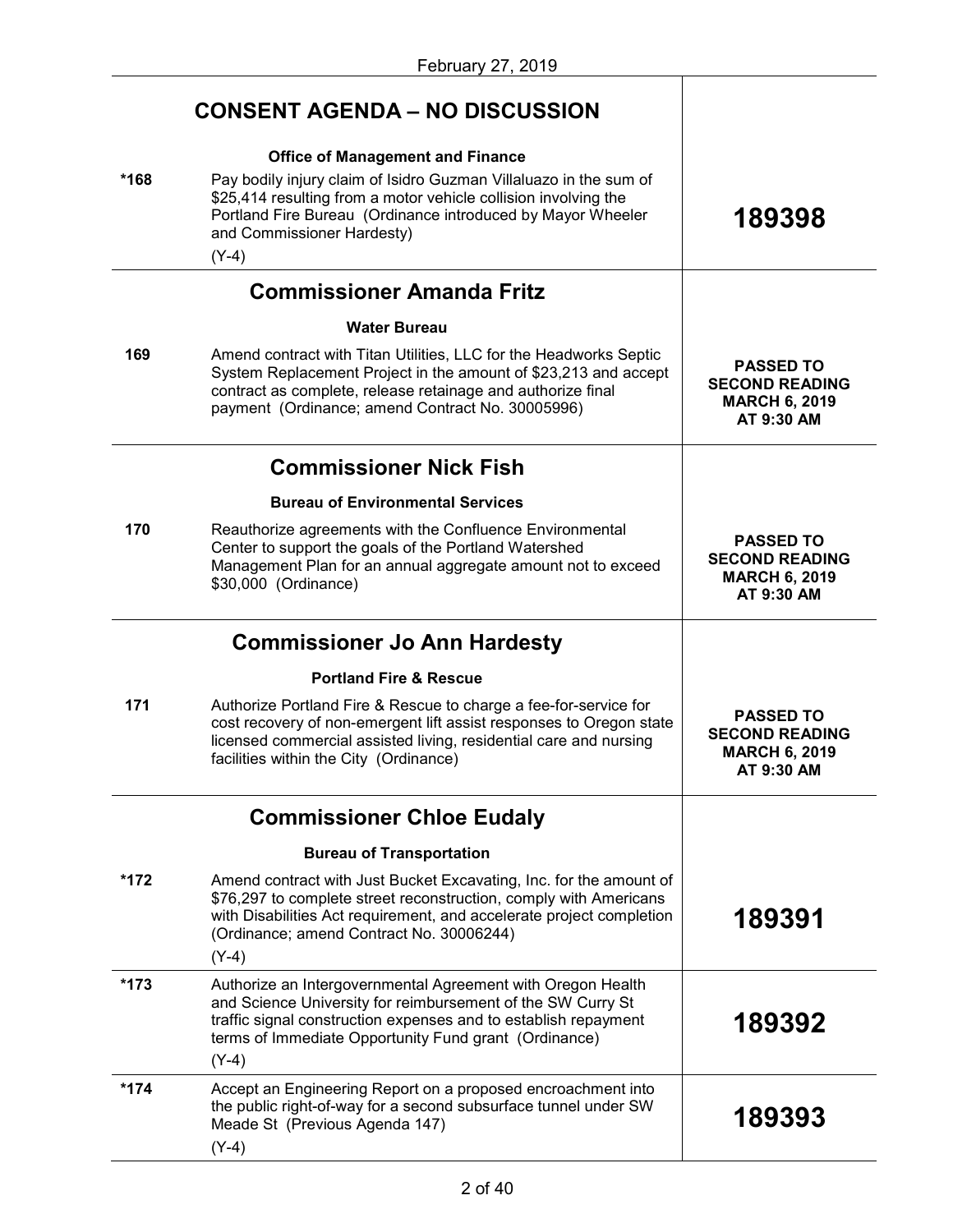|        | <b>CONSENT AGENDA – NO DISCUSSION</b>                                                                                                                                                                                                                                                   |                                                                                 |
|--------|-----------------------------------------------------------------------------------------------------------------------------------------------------------------------------------------------------------------------------------------------------------------------------------------|---------------------------------------------------------------------------------|
| *168   | <b>Office of Management and Finance</b><br>Pay bodily injury claim of Isidro Guzman Villaluazo in the sum of<br>\$25,414 resulting from a motor vehicle collision involving the<br>Portland Fire Bureau (Ordinance introduced by Mayor Wheeler<br>and Commissioner Hardesty)<br>$(Y-4)$ | 189398                                                                          |
|        | <b>Commissioner Amanda Fritz</b>                                                                                                                                                                                                                                                        |                                                                                 |
|        | <b>Water Bureau</b>                                                                                                                                                                                                                                                                     |                                                                                 |
| 169    | Amend contract with Titan Utilities, LLC for the Headworks Septic<br>System Replacement Project in the amount of \$23,213 and accept<br>contract as complete, release retainage and authorize final<br>payment (Ordinance; amend Contract No. 30005996)                                 | <b>PASSED TO</b><br><b>SECOND READING</b><br><b>MARCH 6, 2019</b><br>AT 9:30 AM |
|        | <b>Commissioner Nick Fish</b>                                                                                                                                                                                                                                                           |                                                                                 |
|        | <b>Bureau of Environmental Services</b>                                                                                                                                                                                                                                                 |                                                                                 |
| 170    | Reauthorize agreements with the Confluence Environmental<br>Center to support the goals of the Portland Watershed<br>Management Plan for an annual aggregate amount not to exceed<br>\$30,000 (Ordinance)                                                                               | <b>PASSED TO</b><br><b>SECOND READING</b><br><b>MARCH 6, 2019</b><br>AT 9:30 AM |
|        | <b>Commissioner Jo Ann Hardesty</b>                                                                                                                                                                                                                                                     |                                                                                 |
|        | <b>Portland Fire &amp; Rescue</b>                                                                                                                                                                                                                                                       |                                                                                 |
| 171    | Authorize Portland Fire & Rescue to charge a fee-for-service for                                                                                                                                                                                                                        |                                                                                 |
|        | cost recovery of non-emergent lift assist responses to Oregon state<br>licensed commercial assisted living, residential care and nursing<br>facilities within the City (Ordinance)                                                                                                      | <b>PASSED TO</b><br><b>SECOND READING</b><br><b>MARCH 6, 2019</b><br>AT 9:30 AM |
|        | <b>Commissioner Chloe Eudaly</b>                                                                                                                                                                                                                                                        |                                                                                 |
|        | <b>Bureau of Transportation</b>                                                                                                                                                                                                                                                         |                                                                                 |
| *172   | Amend contract with Just Bucket Excavating, Inc. for the amount of<br>\$76,297 to complete street reconstruction, comply with Americans<br>with Disabilities Act requirement, and accelerate project completion<br>(Ordinance; amend Contract No. 30006244)<br>$(Y-4)$                  | 189391                                                                          |
| $*173$ | Authorize an Intergovernmental Agreement with Oregon Health<br>and Science University for reimbursement of the SW Curry St<br>traffic signal construction expenses and to establish repayment<br>terms of Immediate Opportunity Fund grant (Ordinance)                                  | 189392                                                                          |
| $*174$ | $(Y-4)$<br>Accept an Engineering Report on a proposed encroachment into                                                                                                                                                                                                                 |                                                                                 |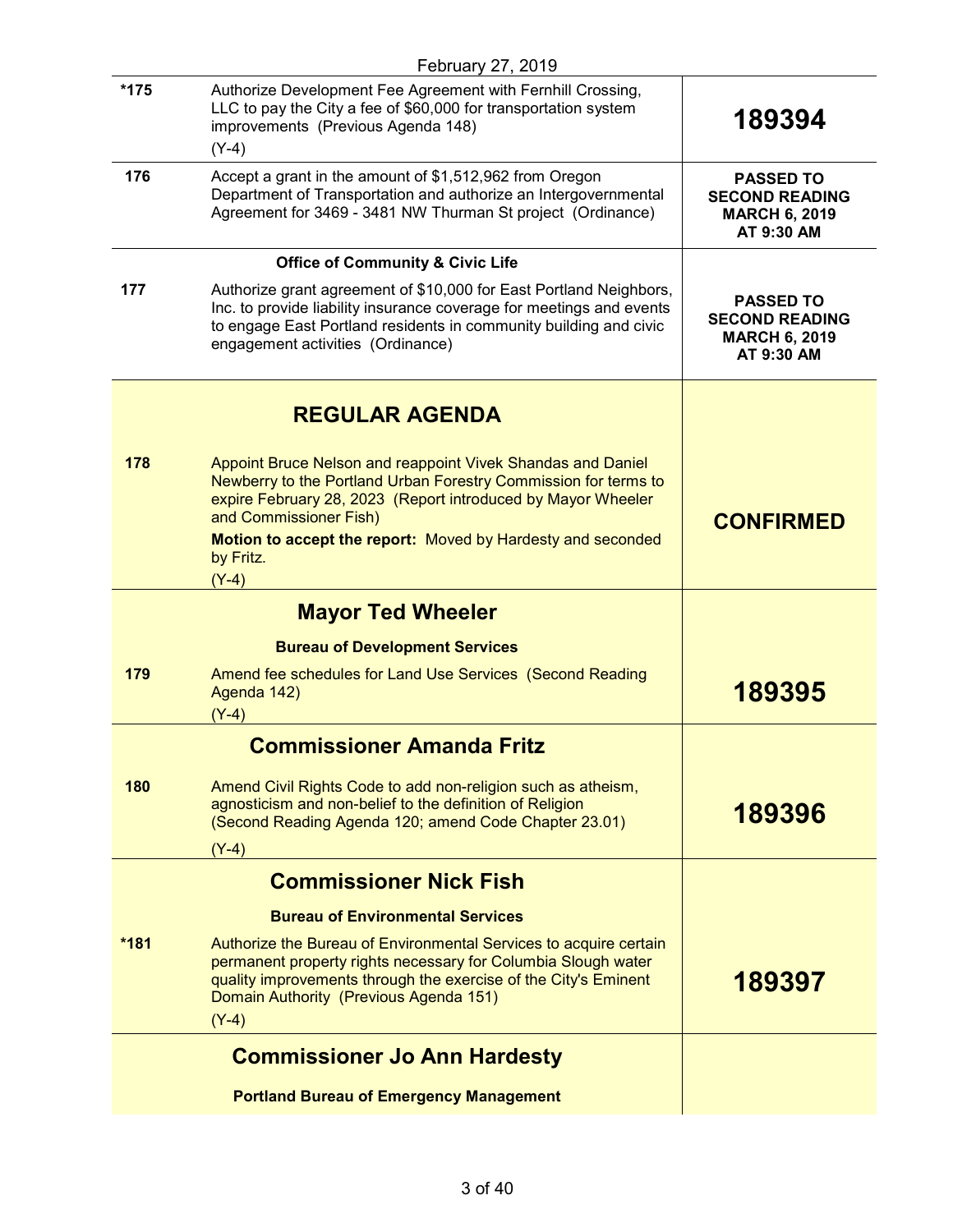|        | February 27, 2019                                                                                                                                                                                                                                                                                               |                                                                                 |
|--------|-----------------------------------------------------------------------------------------------------------------------------------------------------------------------------------------------------------------------------------------------------------------------------------------------------------------|---------------------------------------------------------------------------------|
| $*175$ | Authorize Development Fee Agreement with Fernhill Crossing,<br>LLC to pay the City a fee of \$60,000 for transportation system<br>improvements (Previous Agenda 148)<br>$(Y-4)$                                                                                                                                 | 189394                                                                          |
| 176    | Accept a grant in the amount of \$1,512,962 from Oregon<br>Department of Transportation and authorize an Intergovernmental<br>Agreement for 3469 - 3481 NW Thurman St project (Ordinance)                                                                                                                       | <b>PASSED TO</b><br><b>SECOND READING</b><br><b>MARCH 6, 2019</b><br>AT 9:30 AM |
|        | <b>Office of Community &amp; Civic Life</b>                                                                                                                                                                                                                                                                     |                                                                                 |
| 177    | Authorize grant agreement of \$10,000 for East Portland Neighbors,<br>Inc. to provide liability insurance coverage for meetings and events<br>to engage East Portland residents in community building and civic<br>engagement activities (Ordinance)                                                            | <b>PASSED TO</b><br><b>SECOND READING</b><br><b>MARCH 6, 2019</b><br>AT 9:30 AM |
|        | <b>REGULAR AGENDA</b>                                                                                                                                                                                                                                                                                           |                                                                                 |
| 178    | Appoint Bruce Nelson and reappoint Vivek Shandas and Daniel<br>Newberry to the Portland Urban Forestry Commission for terms to<br>expire February 28, 2023 (Report introduced by Mayor Wheeler<br>and Commissioner Fish)<br>Motion to accept the report: Moved by Hardesty and seconded<br>by Fritz.<br>$(Y-4)$ | <b>CONFIRMED</b>                                                                |
|        | <b>Mayor Ted Wheeler</b>                                                                                                                                                                                                                                                                                        |                                                                                 |
|        | <b>Bureau of Development Services</b>                                                                                                                                                                                                                                                                           |                                                                                 |
| 179    | Amend fee schedules for Land Use Services (Second Reading<br>Agenda 142)<br>$(Y-4)$                                                                                                                                                                                                                             | 189395                                                                          |
|        | <b>Commissioner Amanda Fritz</b>                                                                                                                                                                                                                                                                                |                                                                                 |
| 180    | Amend Civil Rights Code to add non-religion such as atheism,<br>agnosticism and non-belief to the definition of Religion<br>(Second Reading Agenda 120; amend Code Chapter 23.01)                                                                                                                               | 189396                                                                          |
|        | $(Y-4)$                                                                                                                                                                                                                                                                                                         |                                                                                 |
|        | <b>Commissioner Nick Fish</b>                                                                                                                                                                                                                                                                                   |                                                                                 |
|        | <b>Bureau of Environmental Services</b>                                                                                                                                                                                                                                                                         |                                                                                 |
| $*181$ | Authorize the Bureau of Environmental Services to acquire certain<br>permanent property rights necessary for Columbia Slough water<br>quality improvements through the exercise of the City's Eminent<br>Domain Authority (Previous Agenda 151)<br>$(Y-4)$                                                      | 189397                                                                          |
|        | <b>Commissioner Jo Ann Hardesty</b>                                                                                                                                                                                                                                                                             |                                                                                 |
|        | <b>Portland Bureau of Emergency Management</b>                                                                                                                                                                                                                                                                  |                                                                                 |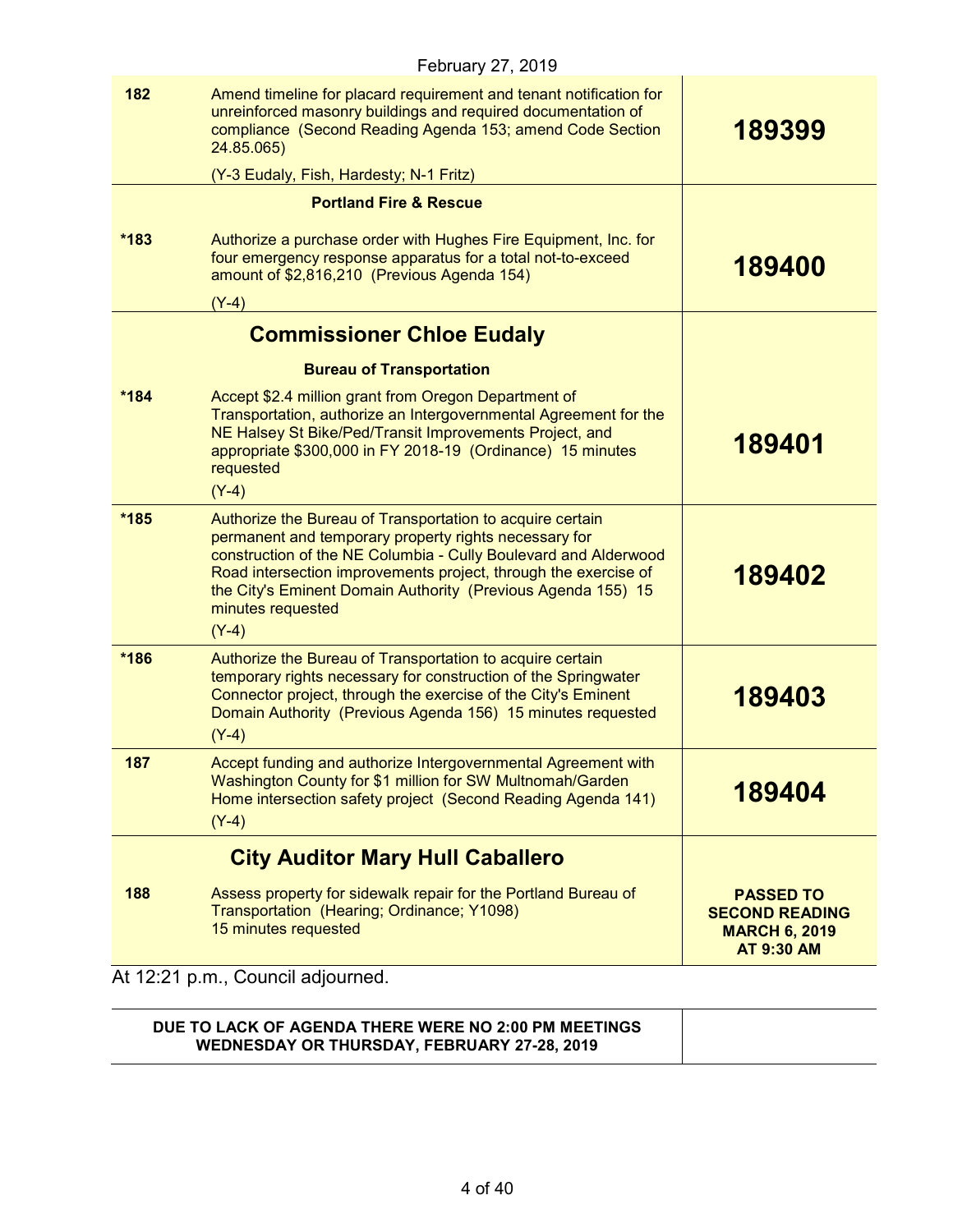|        | February 27, 2019                                                                                                                                                                                                                                                                                                                                        |                                                                                        |
|--------|----------------------------------------------------------------------------------------------------------------------------------------------------------------------------------------------------------------------------------------------------------------------------------------------------------------------------------------------------------|----------------------------------------------------------------------------------------|
| 182    | Amend timeline for placard requirement and tenant notification for<br>unreinforced masonry buildings and required documentation of<br>compliance (Second Reading Agenda 153; amend Code Section<br>24.85.065)                                                                                                                                            | 189399                                                                                 |
|        | (Y-3 Eudaly, Fish, Hardesty; N-1 Fritz)                                                                                                                                                                                                                                                                                                                  |                                                                                        |
|        | <b>Portland Fire &amp; Rescue</b>                                                                                                                                                                                                                                                                                                                        |                                                                                        |
| $*183$ | Authorize a purchase order with Hughes Fire Equipment, Inc. for<br>four emergency response apparatus for a total not-to-exceed<br>amount of \$2,816,210 (Previous Agenda 154)                                                                                                                                                                            | 189400                                                                                 |
|        | $(Y-4)$                                                                                                                                                                                                                                                                                                                                                  |                                                                                        |
|        | <b>Commissioner Chloe Eudaly</b>                                                                                                                                                                                                                                                                                                                         |                                                                                        |
|        | <b>Bureau of Transportation</b>                                                                                                                                                                                                                                                                                                                          |                                                                                        |
| *184   | Accept \$2.4 million grant from Oregon Department of<br>Transportation, authorize an Intergovernmental Agreement for the<br>NE Halsey St Bike/Ped/Transit Improvements Project, and<br>appropriate \$300,000 in FY 2018-19 (Ordinance) 15 minutes<br>requested<br>$(Y-4)$                                                                                | 189401                                                                                 |
|        |                                                                                                                                                                                                                                                                                                                                                          |                                                                                        |
| *185   | Authorize the Bureau of Transportation to acquire certain<br>permanent and temporary property rights necessary for<br>construction of the NE Columbia - Cully Boulevard and Alderwood<br>Road intersection improvements project, through the exercise of<br>the City's Eminent Domain Authority (Previous Agenda 155) 15<br>minutes requested<br>$(Y-4)$ | 189402                                                                                 |
| *186   | Authorize the Bureau of Transportation to acquire certain<br>temporary rights necessary for construction of the Springwater<br>Connector project, through the exercise of the City's Eminent<br>Domain Authority (Previous Agenda 156) 15 minutes requested<br>$(Y-4)$                                                                                   | 189403                                                                                 |
| 187    | Accept funding and authorize Intergovernmental Agreement with<br>Washington County for \$1 million for SW Multnomah/Garden<br>Home intersection safety project (Second Reading Agenda 141)<br>$(Y-4)$                                                                                                                                                    | 189404                                                                                 |
|        | <b>City Auditor Mary Hull Caballero</b>                                                                                                                                                                                                                                                                                                                  |                                                                                        |
| 188    | Assess property for sidewalk repair for the Portland Bureau of<br>Transportation (Hearing; Ordinance; Y1098)<br>15 minutes requested                                                                                                                                                                                                                     | <b>PASSED TO</b><br><b>SECOND READING</b><br><b>MARCH 6, 2019</b><br><b>AT 9:30 AM</b> |

At 12:21 p.m., Council adjourned.

| DUE TO LACK OF AGENDA THERE WERE NO 2:00 PM MEETINGS<br><b>WEDNESDAY OR THURSDAY, FEBRUARY 27-28, 2019</b> |  |
|------------------------------------------------------------------------------------------------------------|--|
|------------------------------------------------------------------------------------------------------------|--|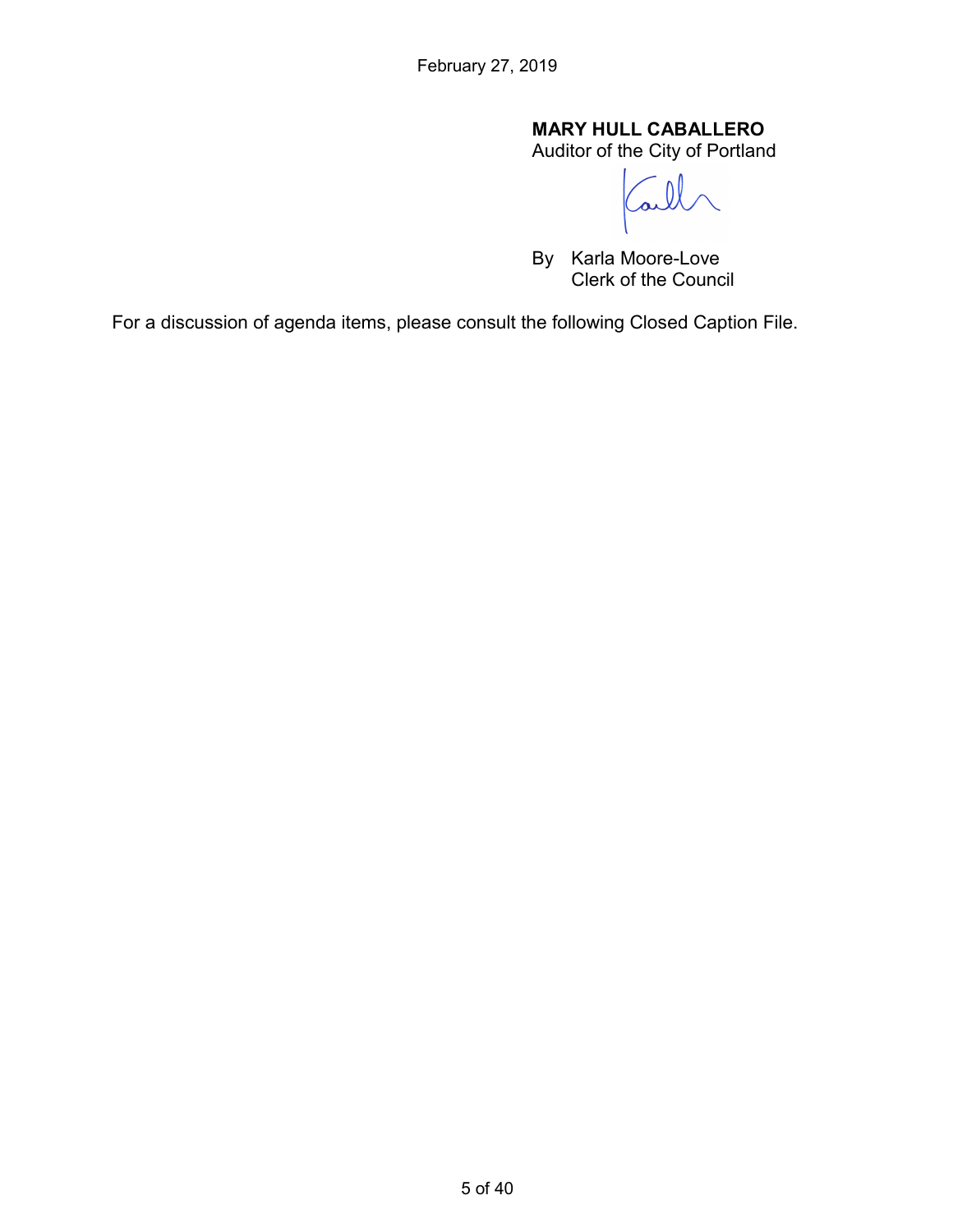# **MARY HULL CABALLERO**

Auditor of the City of Portland

 $\overline{\mathcal{L}}$ 

By Karla Moore-Love Clerk of the Council

For a discussion of agenda items, please consult the following Closed Caption File.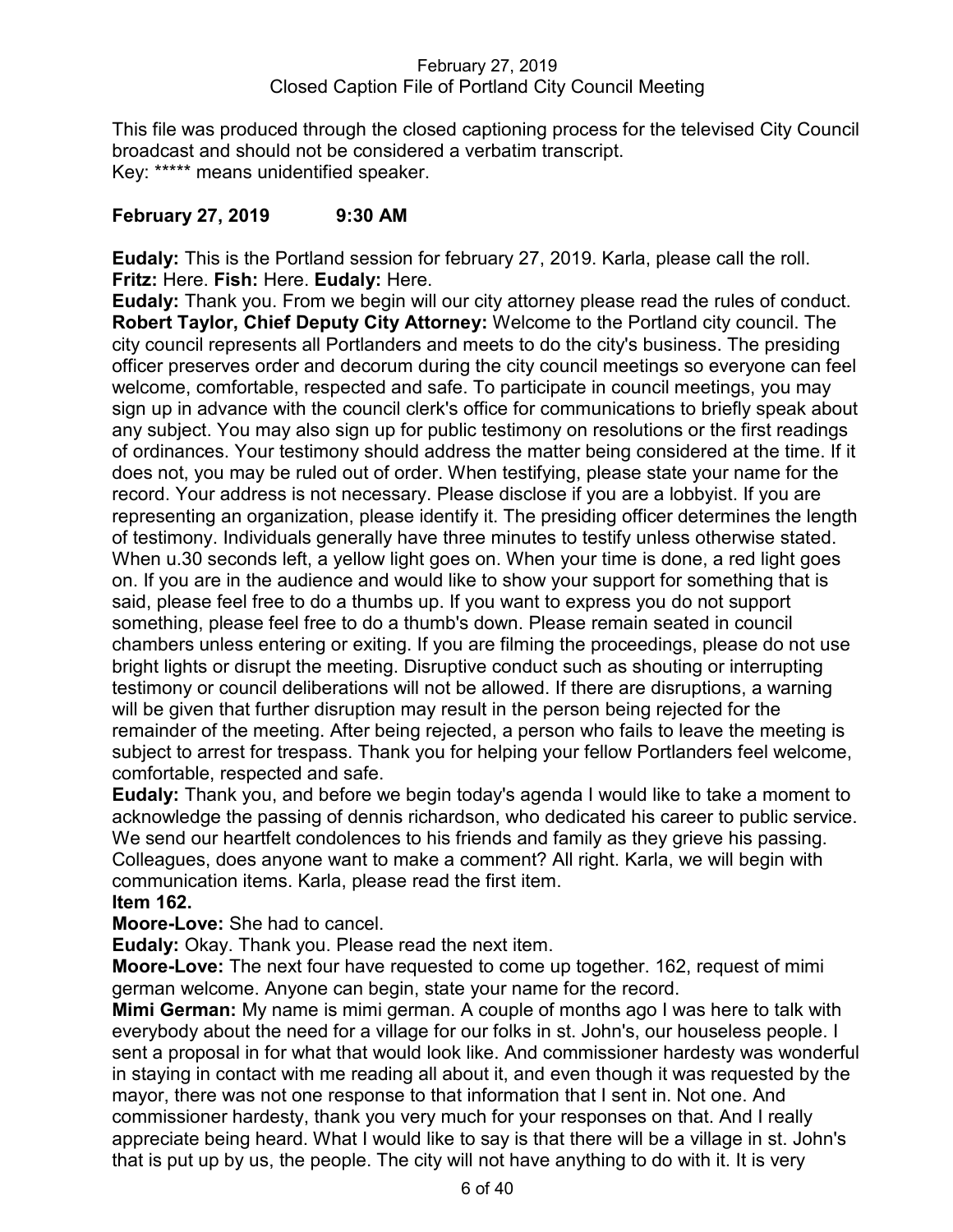### February 27, 2019 Closed Caption File of Portland City Council Meeting

This file was produced through the closed captioning process for the televised City Council broadcast and should not be considered a verbatim transcript. Key: \*\*\*\*\* means unidentified speaker.

# **February 27, 2019 9:30 AM**

**Eudaly:** This is the Portland session for february 27, 2019. Karla, please call the roll. **Fritz:** Here. **Fish:** Here. **Eudaly:** Here.

**Eudaly:** Thank you. From we begin will our city attorney please read the rules of conduct. **Robert Taylor, Chief Deputy City Attorney:** Welcome to the Portland city council. The city council represents all Portlanders and meets to do the city's business. The presiding officer preserves order and decorum during the city council meetings so everyone can feel welcome, comfortable, respected and safe. To participate in council meetings, you may sign up in advance with the council clerk's office for communications to briefly speak about any subject. You may also sign up for public testimony on resolutions or the first readings of ordinances. Your testimony should address the matter being considered at the time. If it does not, you may be ruled out of order. When testifying, please state your name for the record. Your address is not necessary. Please disclose if you are a lobbyist. If you are representing an organization, please identify it. The presiding officer determines the length of testimony. Individuals generally have three minutes to testify unless otherwise stated. When u.30 seconds left, a yellow light goes on. When your time is done, a red light goes on. If you are in the audience and would like to show your support for something that is said, please feel free to do a thumbs up. If you want to express you do not support something, please feel free to do a thumb's down. Please remain seated in council chambers unless entering or exiting. If you are filming the proceedings, please do not use bright lights or disrupt the meeting. Disruptive conduct such as shouting or interrupting testimony or council deliberations will not be allowed. If there are disruptions, a warning will be given that further disruption may result in the person being rejected for the remainder of the meeting. After being rejected, a person who fails to leave the meeting is subject to arrest for trespass. Thank you for helping your fellow Portlanders feel welcome, comfortable, respected and safe.

**Eudaly:** Thank you, and before we begin today's agenda I would like to take a moment to acknowledge the passing of dennis richardson, who dedicated his career to public service. We send our heartfelt condolences to his friends and family as they grieve his passing. Colleagues, does anyone want to make a comment? All right. Karla, we will begin with communication items. Karla, please read the first item. **Item 162.**

**Moore-Love:** She had to cancel.

**Eudaly:** Okay. Thank you. Please read the next item.

**Moore-Love:** The next four have requested to come up together. 162, request of mimi german welcome. Anyone can begin, state your name for the record.

**Mimi German:** My name is mimi german. A couple of months ago I was here to talk with everybody about the need for a village for our folks in st. John's, our houseless people. I sent a proposal in for what that would look like. And commissioner hardesty was wonderful in staying in contact with me reading all about it, and even though it was requested by the mayor, there was not one response to that information that I sent in. Not one. And commissioner hardesty, thank you very much for your responses on that. And I really appreciate being heard. What I would like to say is that there will be a village in st. John's that is put up by us, the people. The city will not have anything to do with it. It is very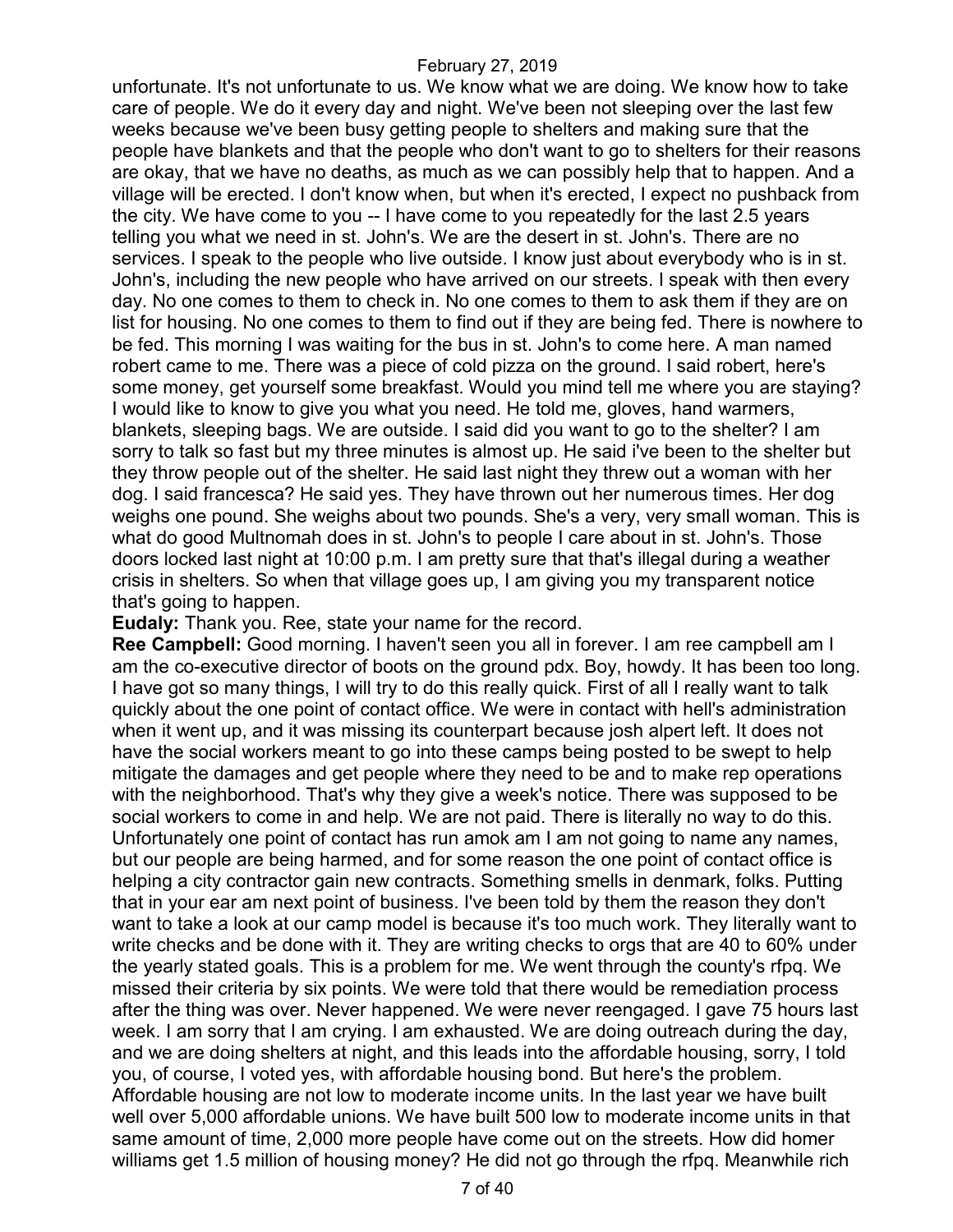unfortunate. It's not unfortunate to us. We know what we are doing. We know how to take care of people. We do it every day and night. We've been not sleeping over the last few weeks because we've been busy getting people to shelters and making sure that the people have blankets and that the people who don't want to go to shelters for their reasons are okay, that we have no deaths, as much as we can possibly help that to happen. And a village will be erected. I don't know when, but when it's erected, I expect no pushback from the city. We have come to you -- I have come to you repeatedly for the last 2.5 years telling you what we need in st. John's. We are the desert in st. John's. There are no services. I speak to the people who live outside. I know just about everybody who is in st. John's, including the new people who have arrived on our streets. I speak with then every day. No one comes to them to check in. No one comes to them to ask them if they are on list for housing. No one comes to them to find out if they are being fed. There is nowhere to be fed. This morning I was waiting for the bus in st. John's to come here. A man named robert came to me. There was a piece of cold pizza on the ground. I said robert, here's some money, get yourself some breakfast. Would you mind tell me where you are staying? I would like to know to give you what you need. He told me, gloves, hand warmers, blankets, sleeping bags. We are outside. I said did you want to go to the shelter? I am sorry to talk so fast but my three minutes is almost up. He said i've been to the shelter but they throw people out of the shelter. He said last night they threw out a woman with her dog. I said francesca? He said yes. They have thrown out her numerous times. Her dog weighs one pound. She weighs about two pounds. She's a very, very small woman. This is what do good Multnomah does in st. John's to people I care about in st. John's. Those doors locked last night at 10:00 p.m. I am pretty sure that that's illegal during a weather crisis in shelters. So when that village goes up, I am giving you my transparent notice that's going to happen.

**Eudaly:** Thank you. Ree, state your name for the record.

**Ree Campbell:** Good morning. I haven't seen you all in forever. I am ree campbell am I am the co-executive director of boots on the ground pdx. Boy, howdy. It has been too long. I have got so many things, I will try to do this really quick. First of all I really want to talk quickly about the one point of contact office. We were in contact with hell's administration when it went up, and it was missing its counterpart because josh alpert left. It does not have the social workers meant to go into these camps being posted to be swept to help mitigate the damages and get people where they need to be and to make rep operations with the neighborhood. That's why they give a week's notice. There was supposed to be social workers to come in and help. We are not paid. There is literally no way to do this. Unfortunately one point of contact has run amok am I am not going to name any names, but our people are being harmed, and for some reason the one point of contact office is helping a city contractor gain new contracts. Something smells in denmark, folks. Putting that in your ear am next point of business. I've been told by them the reason they don't want to take a look at our camp model is because it's too much work. They literally want to write checks and be done with it. They are writing checks to orgs that are 40 to 60% under the yearly stated goals. This is a problem for me. We went through the county's rfpq. We missed their criteria by six points. We were told that there would be remediation process after the thing was over. Never happened. We were never reengaged. I gave 75 hours last week. I am sorry that I am crying. I am exhausted. We are doing outreach during the day, and we are doing shelters at night, and this leads into the affordable housing, sorry, I told you, of course, I voted yes, with affordable housing bond. But here's the problem. Affordable housing are not low to moderate income units. In the last year we have built well over 5,000 affordable unions. We have built 500 low to moderate income units in that same amount of time, 2,000 more people have come out on the streets. How did homer williams get 1.5 million of housing money? He did not go through the rfpq. Meanwhile rich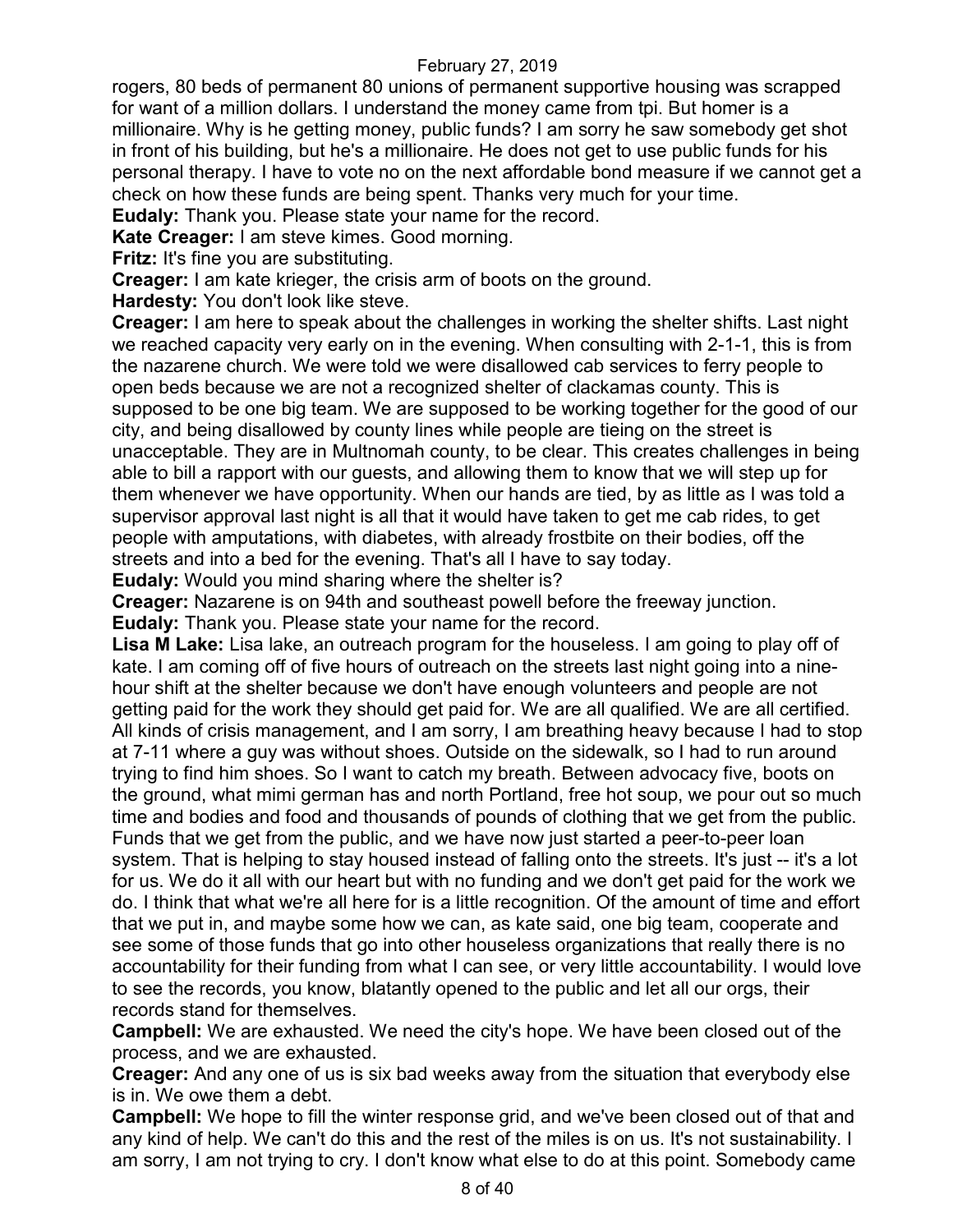rogers, 80 beds of permanent 80 unions of permanent supportive housing was scrapped for want of a million dollars. I understand the money came from tpi. But homer is a millionaire. Why is he getting money, public funds? I am sorry he saw somebody get shot in front of his building, but he's a millionaire. He does not get to use public funds for his personal therapy. I have to vote no on the next affordable bond measure if we cannot get a check on how these funds are being spent. Thanks very much for your time.

**Eudaly:** Thank you. Please state your name for the record.

**Kate Creager:** I am steve kimes. Good morning.

**Fritz:** It's fine you are substituting.

**Creager:** I am kate krieger, the crisis arm of boots on the ground.

**Hardesty:** You don't look like steve.

**Creager:** I am here to speak about the challenges in working the shelter shifts. Last night we reached capacity very early on in the evening. When consulting with 2-1-1, this is from the nazarene church. We were told we were disallowed cab services to ferry people to open beds because we are not a recognized shelter of clackamas county. This is supposed to be one big team. We are supposed to be working together for the good of our city, and being disallowed by county lines while people are tieing on the street is unacceptable. They are in Multnomah county, to be clear. This creates challenges in being able to bill a rapport with our guests, and allowing them to know that we will step up for them whenever we have opportunity. When our hands are tied, by as little as I was told a supervisor approval last night is all that it would have taken to get me cab rides, to get people with amputations, with diabetes, with already frostbite on their bodies, off the streets and into a bed for the evening. That's all I have to say today.

**Eudaly:** Would you mind sharing where the shelter is?

**Creager:** Nazarene is on 94th and southeast powell before the freeway junction. **Eudaly:** Thank you. Please state your name for the record.

**Lisa M Lake:** Lisa lake, an outreach program for the houseless. I am going to play off of kate. I am coming off of five hours of outreach on the streets last night going into a ninehour shift at the shelter because we don't have enough volunteers and people are not getting paid for the work they should get paid for. We are all qualified. We are all certified. All kinds of crisis management, and I am sorry, I am breathing heavy because I had to stop at 7-11 where a guy was without shoes. Outside on the sidewalk, so I had to run around trying to find him shoes. So I want to catch my breath. Between advocacy five, boots on the ground, what mimi german has and north Portland, free hot soup, we pour out so much time and bodies and food and thousands of pounds of clothing that we get from the public. Funds that we get from the public, and we have now just started a peer-to-peer loan system. That is helping to stay housed instead of falling onto the streets. It's just -- it's a lot for us. We do it all with our heart but with no funding and we don't get paid for the work we do. I think that what we're all here for is a little recognition. Of the amount of time and effort that we put in, and maybe some how we can, as kate said, one big team, cooperate and see some of those funds that go into other houseless organizations that really there is no accountability for their funding from what I can see, or very little accountability. I would love to see the records, you know, blatantly opened to the public and let all our orgs, their records stand for themselves.

**Campbell:** We are exhausted. We need the city's hope. We have been closed out of the process, and we are exhausted.

**Creager:** And any one of us is six bad weeks away from the situation that everybody else is in. We owe them a debt.

**Campbell:** We hope to fill the winter response grid, and we've been closed out of that and any kind of help. We can't do this and the rest of the miles is on us. It's not sustainability. I am sorry, I am not trying to cry. I don't know what else to do at this point. Somebody came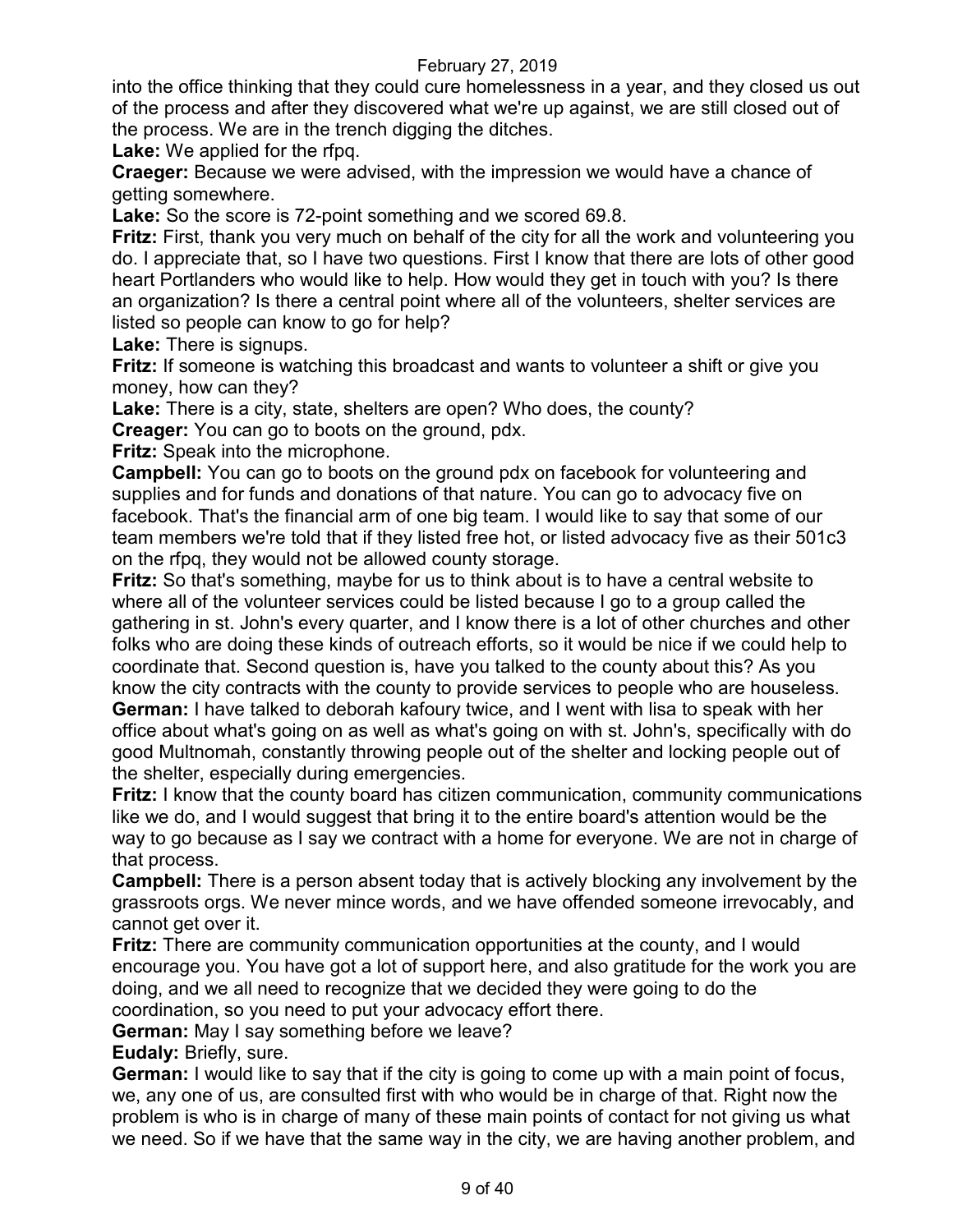into the office thinking that they could cure homelessness in a year, and they closed us out of the process and after they discovered what we're up against, we are still closed out of the process. We are in the trench digging the ditches.

**Lake:** We applied for the rfpq.

**Craeger:** Because we were advised, with the impression we would have a chance of getting somewhere.

**Lake:** So the score is 72-point something and we scored 69.8.

**Fritz:** First, thank you very much on behalf of the city for all the work and volunteering you do. I appreciate that, so I have two questions. First I know that there are lots of other good heart Portlanders who would like to help. How would they get in touch with you? Is there an organization? Is there a central point where all of the volunteers, shelter services are listed so people can know to go for help?

**Lake:** There is signups.

**Fritz:** If someone is watching this broadcast and wants to volunteer a shift or give you money, how can they?

**Lake:** There is a city, state, shelters are open? Who does, the county?

**Creager:** You can go to boots on the ground, pdx.

**Fritz:** Speak into the microphone.

**Campbell:** You can go to boots on the ground pdx on facebook for volunteering and supplies and for funds and donations of that nature. You can go to advocacy five on facebook. That's the financial arm of one big team. I would like to say that some of our team members we're told that if they listed free hot, or listed advocacy five as their 501c3 on the rfpq, they would not be allowed county storage.

**Fritz:** So that's something, maybe for us to think about is to have a central website to where all of the volunteer services could be listed because I go to a group called the gathering in st. John's every quarter, and I know there is a lot of other churches and other folks who are doing these kinds of outreach efforts, so it would be nice if we could help to coordinate that. Second question is, have you talked to the county about this? As you know the city contracts with the county to provide services to people who are houseless. **German:** I have talked to deborah kafoury twice, and I went with lisa to speak with her office about what's going on as well as what's going on with st. John's, specifically with do good Multnomah, constantly throwing people out of the shelter and locking people out of the shelter, especially during emergencies.

**Fritz:** I know that the county board has citizen communication, community communications like we do, and I would suggest that bring it to the entire board's attention would be the way to go because as I say we contract with a home for everyone. We are not in charge of that process.

**Campbell:** There is a person absent today that is actively blocking any involvement by the grassroots orgs. We never mince words, and we have offended someone irrevocably, and cannot get over it.

**Fritz:** There are community communication opportunities at the county, and I would encourage you. You have got a lot of support here, and also gratitude for the work you are doing, and we all need to recognize that we decided they were going to do the coordination, so you need to put your advocacy effort there.

**German:** May I say something before we leave?

**Eudaly:** Briefly, sure.

**German:** I would like to say that if the city is going to come up with a main point of focus, we, any one of us, are consulted first with who would be in charge of that. Right now the problem is who is in charge of many of these main points of contact for not giving us what we need. So if we have that the same way in the city, we are having another problem, and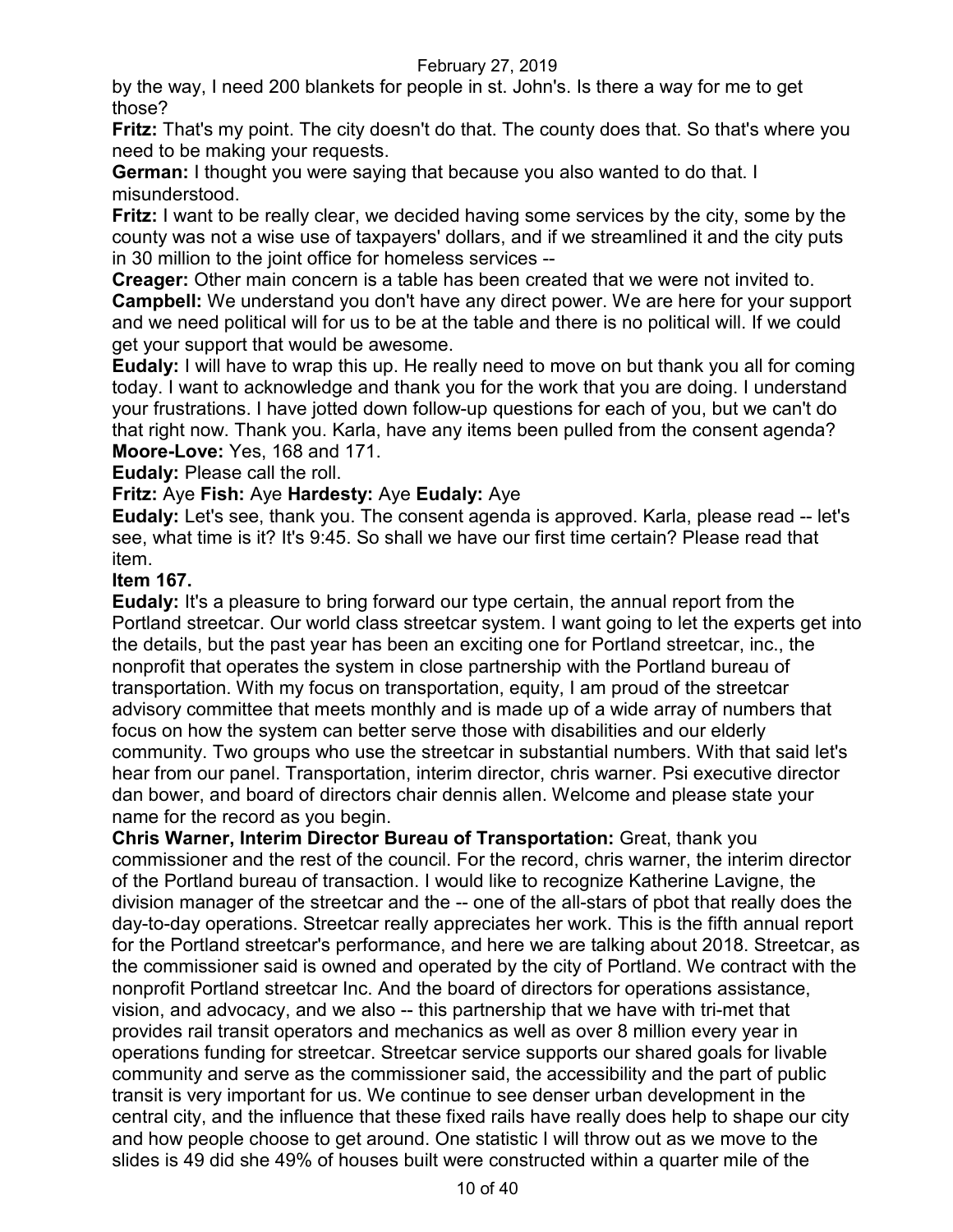by the way, I need 200 blankets for people in st. John's. Is there a way for me to get those?

**Fritz:** That's my point. The city doesn't do that. The county does that. So that's where you need to be making your requests.

**German:** I thought you were saying that because you also wanted to do that. I misunderstood.

**Fritz:** I want to be really clear, we decided having some services by the city, some by the county was not a wise use of taxpayers' dollars, and if we streamlined it and the city puts in 30 million to the joint office for homeless services --

**Creager:** Other main concern is a table has been created that we were not invited to. **Campbell:** We understand you don't have any direct power. We are here for your support and we need political will for us to be at the table and there is no political will. If we could get your support that would be awesome.

**Eudaly:** I will have to wrap this up. He really need to move on but thank you all for coming today. I want to acknowledge and thank you for the work that you are doing. I understand your frustrations. I have jotted down follow-up questions for each of you, but we can't do that right now. Thank you. Karla, have any items been pulled from the consent agenda? **Moore-Love:** Yes, 168 and 171.

**Eudaly:** Please call the roll.

**Fritz:** Aye **Fish:** Aye **Hardesty:** Aye **Eudaly:** Aye

**Eudaly:** Let's see, thank you. The consent agenda is approved. Karla, please read -- let's see, what time is it? It's 9:45. So shall we have our first time certain? Please read that item.

### **Item 167.**

**Eudaly:** It's a pleasure to bring forward our type certain, the annual report from the Portland streetcar. Our world class streetcar system. I want going to let the experts get into the details, but the past year has been an exciting one for Portland streetcar, inc., the nonprofit that operates the system in close partnership with the Portland bureau of transportation. With my focus on transportation, equity, I am proud of the streetcar advisory committee that meets monthly and is made up of a wide array of numbers that focus on how the system can better serve those with disabilities and our elderly community. Two groups who use the streetcar in substantial numbers. With that said let's hear from our panel. Transportation, interim director, chris warner. Psi executive director dan bower, and board of directors chair dennis allen. Welcome and please state your name for the record as you begin.

**Chris Warner, Interim Director Bureau of Transportation:** Great, thank you commissioner and the rest of the council. For the record, chris warner, the interim director of the Portland bureau of transaction. I would like to recognize Katherine Lavigne, the division manager of the streetcar and the -- one of the all-stars of pbot that really does the day-to-day operations. Streetcar really appreciates her work. This is the fifth annual report for the Portland streetcar's performance, and here we are talking about 2018. Streetcar, as the commissioner said is owned and operated by the city of Portland. We contract with the nonprofit Portland streetcar Inc. And the board of directors for operations assistance, vision, and advocacy, and we also -- this partnership that we have with tri-met that provides rail transit operators and mechanics as well as over 8 million every year in operations funding for streetcar. Streetcar service supports our shared goals for livable community and serve as the commissioner said, the accessibility and the part of public transit is very important for us. We continue to see denser urban development in the central city, and the influence that these fixed rails have really does help to shape our city and how people choose to get around. One statistic I will throw out as we move to the slides is 49 did she 49% of houses built were constructed within a quarter mile of the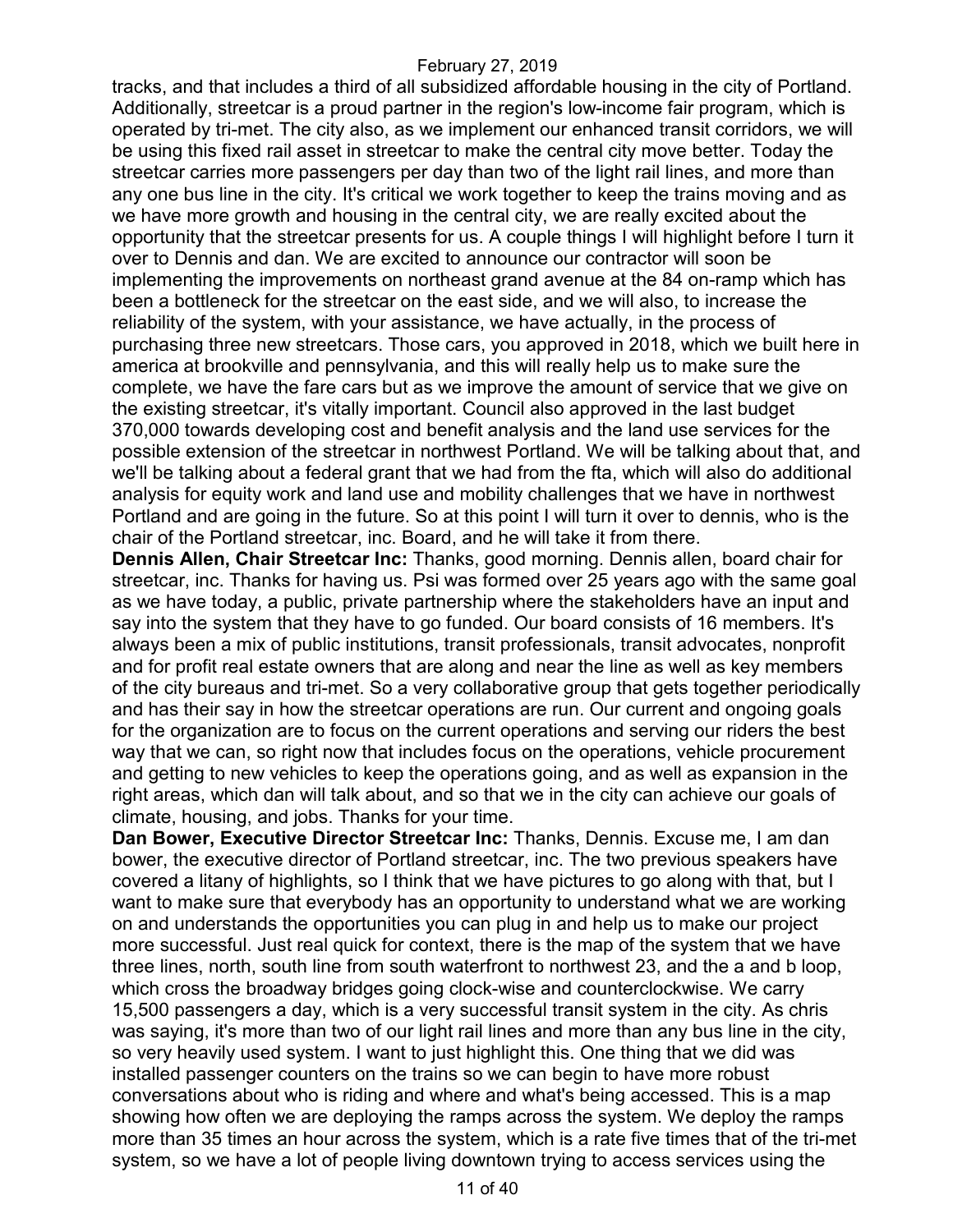tracks, and that includes a third of all subsidized affordable housing in the city of Portland. Additionally, streetcar is a proud partner in the region's low-income fair program, which is operated by tri-met. The city also, as we implement our enhanced transit corridors, we will be using this fixed rail asset in streetcar to make the central city move better. Today the streetcar carries more passengers per day than two of the light rail lines, and more than any one bus line in the city. It's critical we work together to keep the trains moving and as we have more growth and housing in the central city, we are really excited about the opportunity that the streetcar presents for us. A couple things I will highlight before I turn it over to Dennis and dan. We are excited to announce our contractor will soon be implementing the improvements on northeast grand avenue at the 84 on-ramp which has been a bottleneck for the streetcar on the east side, and we will also, to increase the reliability of the system, with your assistance, we have actually, in the process of purchasing three new streetcars. Those cars, you approved in 2018, which we built here in america at brookville and pennsylvania, and this will really help us to make sure the complete, we have the fare cars but as we improve the amount of service that we give on the existing streetcar, it's vitally important. Council also approved in the last budget 370,000 towards developing cost and benefit analysis and the land use services for the possible extension of the streetcar in northwest Portland. We will be talking about that, and we'll be talking about a federal grant that we had from the fta, which will also do additional analysis for equity work and land use and mobility challenges that we have in northwest Portland and are going in the future. So at this point I will turn it over to dennis, who is the chair of the Portland streetcar, inc. Board, and he will take it from there.

**Dennis Allen, Chair Streetcar Inc:** Thanks, good morning. Dennis allen, board chair for streetcar, inc. Thanks for having us. Psi was formed over 25 years ago with the same goal as we have today, a public, private partnership where the stakeholders have an input and say into the system that they have to go funded. Our board consists of 16 members. It's always been a mix of public institutions, transit professionals, transit advocates, nonprofit and for profit real estate owners that are along and near the line as well as key members of the city bureaus and tri-met. So a very collaborative group that gets together periodically and has their say in how the streetcar operations are run. Our current and ongoing goals for the organization are to focus on the current operations and serving our riders the best way that we can, so right now that includes focus on the operations, vehicle procurement and getting to new vehicles to keep the operations going, and as well as expansion in the right areas, which dan will talk about, and so that we in the city can achieve our goals of climate, housing, and jobs. Thanks for your time.

**Dan Bower, Executive Director Streetcar Inc:** Thanks, Dennis. Excuse me, I am dan bower, the executive director of Portland streetcar, inc. The two previous speakers have covered a litany of highlights, so I think that we have pictures to go along with that, but I want to make sure that everybody has an opportunity to understand what we are working on and understands the opportunities you can plug in and help us to make our project more successful. Just real quick for context, there is the map of the system that we have three lines, north, south line from south waterfront to northwest 23, and the a and b loop, which cross the broadway bridges going clock-wise and counterclockwise. We carry 15,500 passengers a day, which is a very successful transit system in the city. As chris was saying, it's more than two of our light rail lines and more than any bus line in the city, so very heavily used system. I want to just highlight this. One thing that we did was installed passenger counters on the trains so we can begin to have more robust conversations about who is riding and where and what's being accessed. This is a map showing how often we are deploying the ramps across the system. We deploy the ramps more than 35 times an hour across the system, which is a rate five times that of the tri-met system, so we have a lot of people living downtown trying to access services using the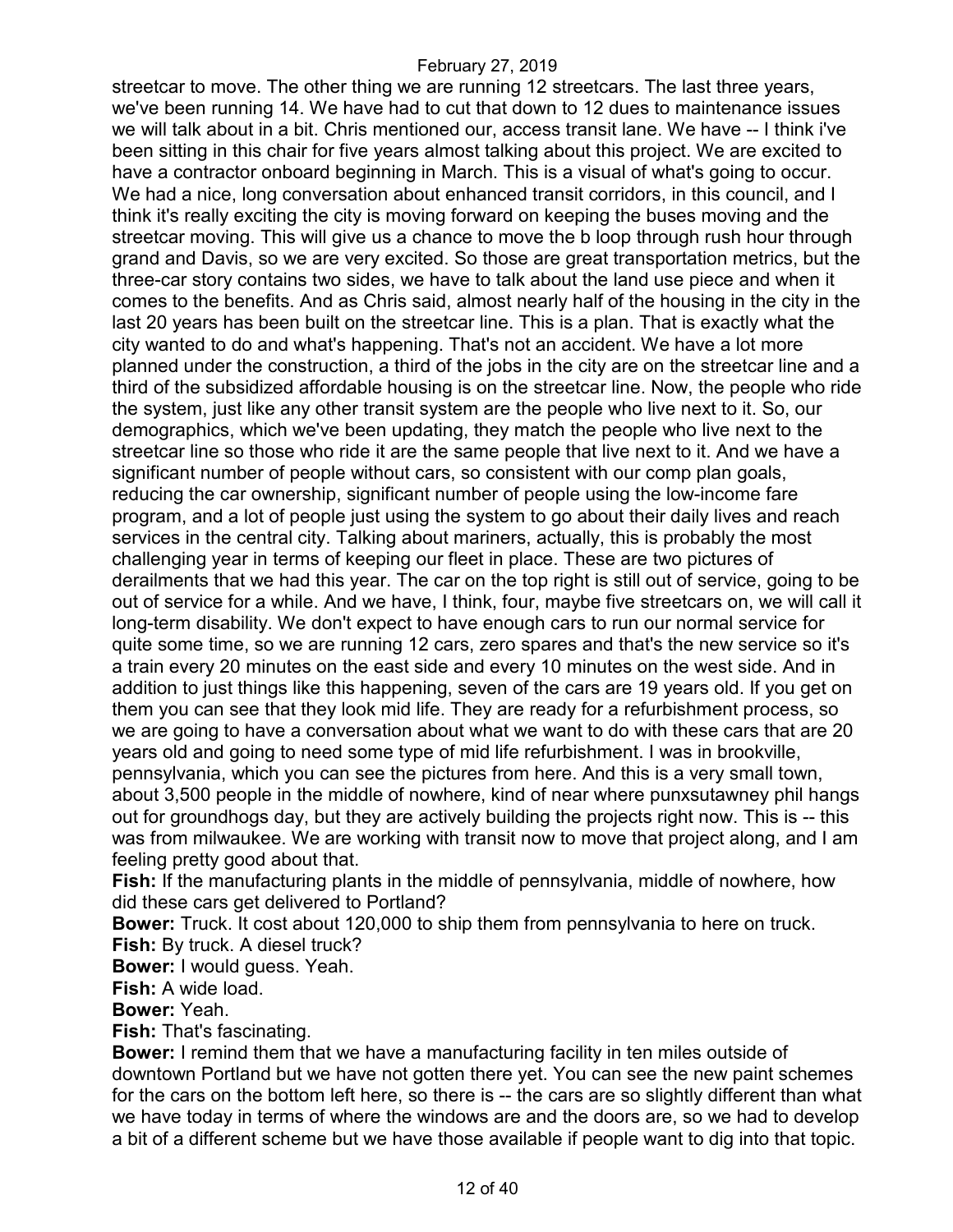streetcar to move. The other thing we are running 12 streetcars. The last three years, we've been running 14. We have had to cut that down to 12 dues to maintenance issues we will talk about in a bit. Chris mentioned our, access transit lane. We have -- I think i've been sitting in this chair for five years almost talking about this project. We are excited to have a contractor onboard beginning in March. This is a visual of what's going to occur. We had a nice, long conversation about enhanced transit corridors, in this council, and I think it's really exciting the city is moving forward on keeping the buses moving and the streetcar moving. This will give us a chance to move the b loop through rush hour through grand and Davis, so we are very excited. So those are great transportation metrics, but the three-car story contains two sides, we have to talk about the land use piece and when it comes to the benefits. And as Chris said, almost nearly half of the housing in the city in the last 20 years has been built on the streetcar line. This is a plan. That is exactly what the city wanted to do and what's happening. That's not an accident. We have a lot more planned under the construction, a third of the jobs in the city are on the streetcar line and a third of the subsidized affordable housing is on the streetcar line. Now, the people who ride the system, just like any other transit system are the people who live next to it. So, our demographics, which we've been updating, they match the people who live next to the streetcar line so those who ride it are the same people that live next to it. And we have a significant number of people without cars, so consistent with our comp plan goals, reducing the car ownership, significant number of people using the low-income fare program, and a lot of people just using the system to go about their daily lives and reach services in the central city. Talking about mariners, actually, this is probably the most challenging year in terms of keeping our fleet in place. These are two pictures of derailments that we had this year. The car on the top right is still out of service, going to be out of service for a while. And we have, I think, four, maybe five streetcars on, we will call it long-term disability. We don't expect to have enough cars to run our normal service for quite some time, so we are running 12 cars, zero spares and that's the new service so it's a train every 20 minutes on the east side and every 10 minutes on the west side. And in addition to just things like this happening, seven of the cars are 19 years old. If you get on them you can see that they look mid life. They are ready for a refurbishment process, so we are going to have a conversation about what we want to do with these cars that are 20 years old and going to need some type of mid life refurbishment. I was in brookville, pennsylvania, which you can see the pictures from here. And this is a very small town, about 3,500 people in the middle of nowhere, kind of near where punxsutawney phil hangs out for groundhogs day, but they are actively building the projects right now. This is -- this was from milwaukee. We are working with transit now to move that project along, and I am feeling pretty good about that.

**Fish:** If the manufacturing plants in the middle of pennsylvania, middle of nowhere, how did these cars get delivered to Portland?

**Bower:** Truck. It cost about 120,000 to ship them from pennsylvania to here on truck. **Fish:** By truck. A diesel truck?

**Bower:** I would guess. Yeah.

**Fish:** A wide load.

**Bower:** Yeah.

**Fish:** That's fascinating.

**Bower:** I remind them that we have a manufacturing facility in ten miles outside of downtown Portland but we have not gotten there yet. You can see the new paint schemes for the cars on the bottom left here, so there is -- the cars are so slightly different than what we have today in terms of where the windows are and the doors are, so we had to develop a bit of a different scheme but we have those available if people want to dig into that topic.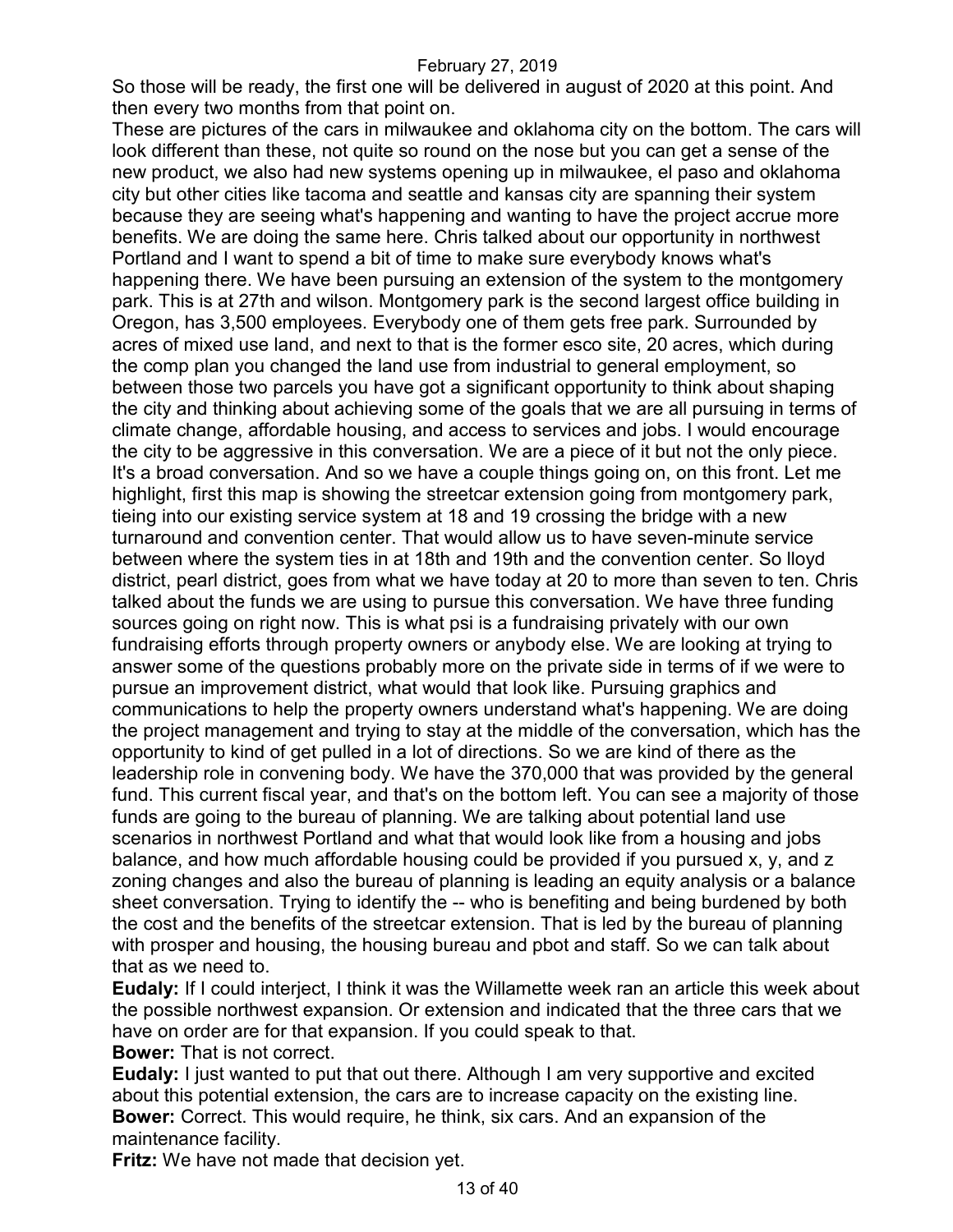So those will be ready, the first one will be delivered in august of 2020 at this point. And then every two months from that point on.

These are pictures of the cars in milwaukee and oklahoma city on the bottom. The cars will look different than these, not quite so round on the nose but you can get a sense of the new product, we also had new systems opening up in milwaukee, el paso and oklahoma city but other cities like tacoma and seattle and kansas city are spanning their system because they are seeing what's happening and wanting to have the project accrue more benefits. We are doing the same here. Chris talked about our opportunity in northwest Portland and I want to spend a bit of time to make sure everybody knows what's happening there. We have been pursuing an extension of the system to the montgomery park. This is at 27th and wilson. Montgomery park is the second largest office building in Oregon, has 3,500 employees. Everybody one of them gets free park. Surrounded by acres of mixed use land, and next to that is the former esco site, 20 acres, which during the comp plan you changed the land use from industrial to general employment, so between those two parcels you have got a significant opportunity to think about shaping the city and thinking about achieving some of the goals that we are all pursuing in terms of climate change, affordable housing, and access to services and jobs. I would encourage the city to be aggressive in this conversation. We are a piece of it but not the only piece. It's a broad conversation. And so we have a couple things going on, on this front. Let me highlight, first this map is showing the streetcar extension going from montgomery park, tieing into our existing service system at 18 and 19 crossing the bridge with a new turnaround and convention center. That would allow us to have seven-minute service between where the system ties in at 18th and 19th and the convention center. So lloyd district, pearl district, goes from what we have today at 20 to more than seven to ten. Chris talked about the funds we are using to pursue this conversation. We have three funding sources going on right now. This is what psi is a fundraising privately with our own fundraising efforts through property owners or anybody else. We are looking at trying to answer some of the questions probably more on the private side in terms of if we were to pursue an improvement district, what would that look like. Pursuing graphics and communications to help the property owners understand what's happening. We are doing the project management and trying to stay at the middle of the conversation, which has the opportunity to kind of get pulled in a lot of directions. So we are kind of there as the leadership role in convening body. We have the 370,000 that was provided by the general fund. This current fiscal year, and that's on the bottom left. You can see a majority of those funds are going to the bureau of planning. We are talking about potential land use scenarios in northwest Portland and what that would look like from a housing and jobs balance, and how much affordable housing could be provided if you pursued x, y, and z zoning changes and also the bureau of planning is leading an equity analysis or a balance sheet conversation. Trying to identify the -- who is benefiting and being burdened by both the cost and the benefits of the streetcar extension. That is led by the bureau of planning with prosper and housing, the housing bureau and pbot and staff. So we can talk about that as we need to.

**Eudaly:** If I could interject, I think it was the Willamette week ran an article this week about the possible northwest expansion. Or extension and indicated that the three cars that we have on order are for that expansion. If you could speak to that.

**Bower:** That is not correct.

**Eudaly:** I just wanted to put that out there. Although I am very supportive and excited about this potential extension, the cars are to increase capacity on the existing line. **Bower:** Correct. This would require, he think, six cars. And an expansion of the maintenance facility.

**Fritz:** We have not made that decision yet.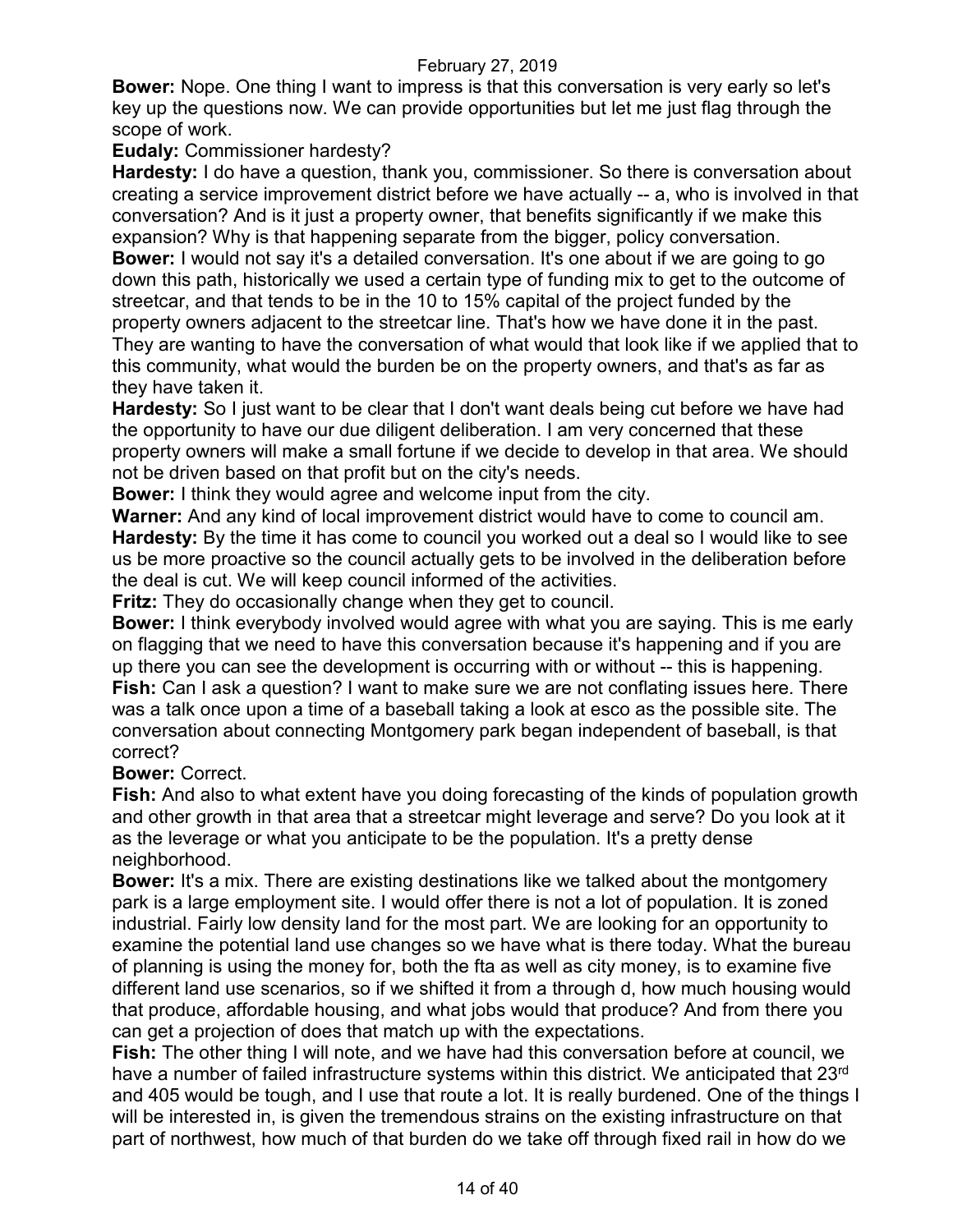**Bower:** Nope. One thing I want to impress is that this conversation is very early so let's key up the questions now. We can provide opportunities but let me just flag through the scope of work.

### **Eudaly:** Commissioner hardesty?

**Hardesty:** I do have a question, thank you, commissioner. So there is conversation about creating a service improvement district before we have actually -- a, who is involved in that conversation? And is it just a property owner, that benefits significantly if we make this expansion? Why is that happening separate from the bigger, policy conversation. **Bower:** I would not say it's a detailed conversation. It's one about if we are going to go down this path, historically we used a certain type of funding mix to get to the outcome of streetcar, and that tends to be in the 10 to 15% capital of the project funded by the property owners adjacent to the streetcar line. That's how we have done it in the past. They are wanting to have the conversation of what would that look like if we applied that to this community, what would the burden be on the property owners, and that's as far as they have taken it.

**Hardesty:** So I just want to be clear that I don't want deals being cut before we have had the opportunity to have our due diligent deliberation. I am very concerned that these property owners will make a small fortune if we decide to develop in that area. We should not be driven based on that profit but on the city's needs.

**Bower:** I think they would agree and welcome input from the city.

**Warner:** And any kind of local improvement district would have to come to council am. **Hardesty:** By the time it has come to council you worked out a deal so I would like to see us be more proactive so the council actually gets to be involved in the deliberation before the deal is cut. We will keep council informed of the activities.

**Fritz:** They do occasionally change when they get to council.

**Bower:** I think everybody involved would agree with what you are saying. This is me early on flagging that we need to have this conversation because it's happening and if you are up there you can see the development is occurring with or without -- this is happening. **Fish:** Can I ask a question? I want to make sure we are not conflating issues here. There was a talk once upon a time of a baseball taking a look at esco as the possible site. The conversation about connecting Montgomery park began independent of baseball, is that correct?

### **Bower:** Correct.

**Fish:** And also to what extent have you doing forecasting of the kinds of population growth and other growth in that area that a streetcar might leverage and serve? Do you look at it as the leverage or what you anticipate to be the population. It's a pretty dense neighborhood.

**Bower:** It's a mix. There are existing destinations like we talked about the montgomery park is a large employment site. I would offer there is not a lot of population. It is zoned industrial. Fairly low density land for the most part. We are looking for an opportunity to examine the potential land use changes so we have what is there today. What the bureau of planning is using the money for, both the fta as well as city money, is to examine five different land use scenarios, so if we shifted it from a through d, how much housing would that produce, affordable housing, and what jobs would that produce? And from there you can get a projection of does that match up with the expectations.

**Fish:** The other thing I will note, and we have had this conversation before at council, we have a number of failed infrastructure systems within this district. We anticipated that 23<sup>rd</sup> and 405 would be tough, and I use that route a lot. It is really burdened. One of the things I will be interested in, is given the tremendous strains on the existing infrastructure on that part of northwest, how much of that burden do we take off through fixed rail in how do we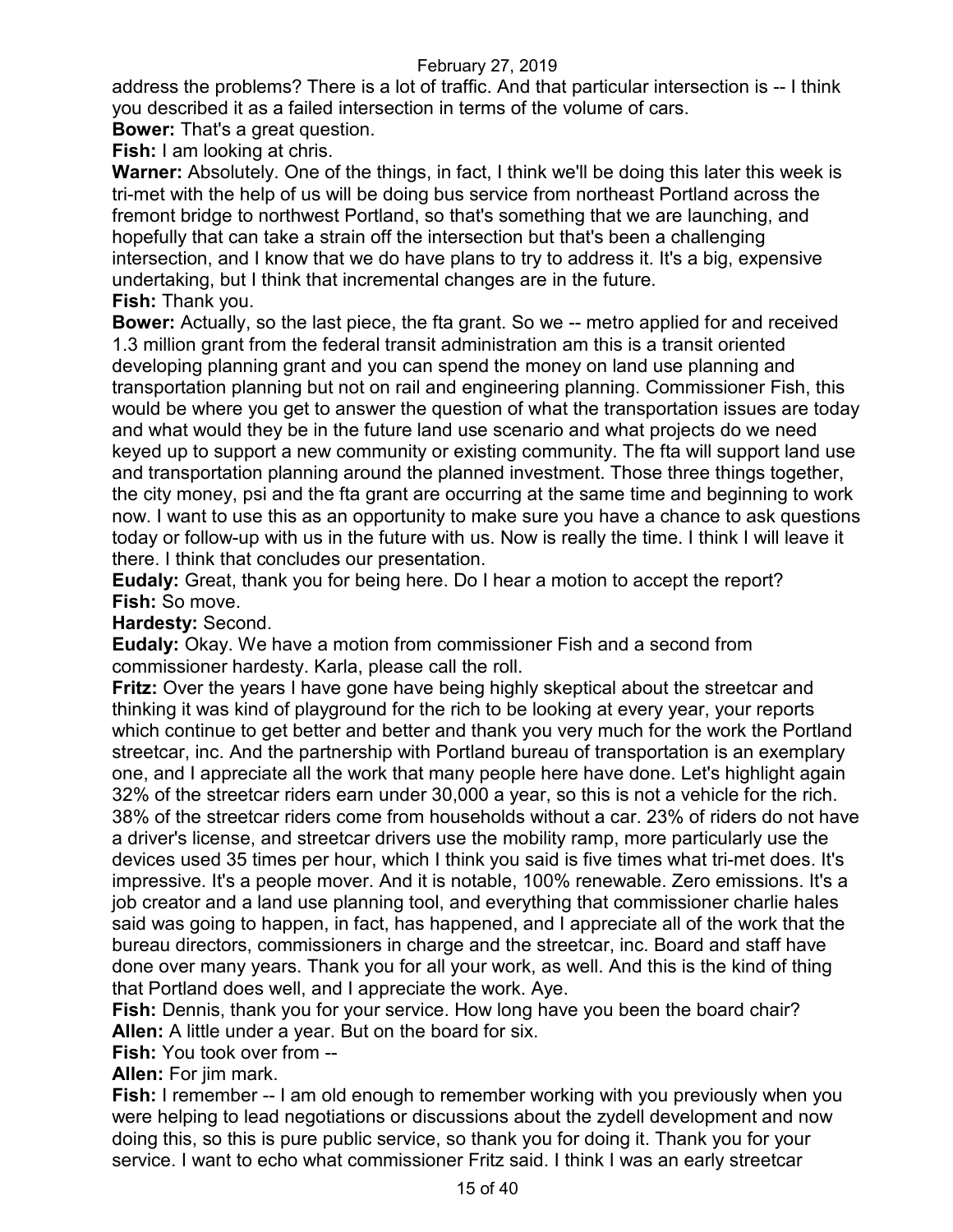address the problems? There is a lot of traffic. And that particular intersection is -- I think you described it as a failed intersection in terms of the volume of cars.

**Bower:** That's a great question.

**Fish:** I am looking at chris.

**Warner:** Absolutely. One of the things, in fact, I think we'll be doing this later this week is tri-met with the help of us will be doing bus service from northeast Portland across the fremont bridge to northwest Portland, so that's something that we are launching, and hopefully that can take a strain off the intersection but that's been a challenging intersection, and I know that we do have plans to try to address it. It's a big, expensive undertaking, but I think that incremental changes are in the future. **Fish:** Thank you.

**Bower:** Actually, so the last piece, the fta grant. So we -- metro applied for and received 1.3 million grant from the federal transit administration am this is a transit oriented developing planning grant and you can spend the money on land use planning and transportation planning but not on rail and engineering planning. Commissioner Fish, this would be where you get to answer the question of what the transportation issues are today and what would they be in the future land use scenario and what projects do we need keyed up to support a new community or existing community. The fta will support land use and transportation planning around the planned investment. Those three things together, the city money, psi and the fta grant are occurring at the same time and beginning to work now. I want to use this as an opportunity to make sure you have a chance to ask questions today or follow-up with us in the future with us. Now is really the time. I think I will leave it there. I think that concludes our presentation.

**Eudaly:** Great, thank you for being here. Do I hear a motion to accept the report? **Fish:** So move.

**Hardesty:** Second.

**Eudaly:** Okay. We have a motion from commissioner Fish and a second from commissioner hardesty. Karla, please call the roll.

**Fritz:** Over the years I have gone have being highly skeptical about the streetcar and thinking it was kind of playground for the rich to be looking at every year, your reports which continue to get better and better and thank you very much for the work the Portland streetcar, inc. And the partnership with Portland bureau of transportation is an exemplary one, and I appreciate all the work that many people here have done. Let's highlight again 32% of the streetcar riders earn under 30,000 a year, so this is not a vehicle for the rich. 38% of the streetcar riders come from households without a car. 23% of riders do not have a driver's license, and streetcar drivers use the mobility ramp, more particularly use the devices used 35 times per hour, which I think you said is five times what tri-met does. It's impressive. It's a people mover. And it is notable, 100% renewable. Zero emissions. It's a job creator and a land use planning tool, and everything that commissioner charlie hales said was going to happen, in fact, has happened, and I appreciate all of the work that the bureau directors, commissioners in charge and the streetcar, inc. Board and staff have done over many years. Thank you for all your work, as well. And this is the kind of thing that Portland does well, and I appreciate the work. Aye.

**Fish:** Dennis, thank you for your service. How long have you been the board chair? **Allen:** A little under a year. But on the board for six.

**Fish:** You took over from --

**Allen:** For jim mark.

**Fish:** I remember -- I am old enough to remember working with you previously when you were helping to lead negotiations or discussions about the zydell development and now doing this, so this is pure public service, so thank you for doing it. Thank you for your service. I want to echo what commissioner Fritz said. I think I was an early streetcar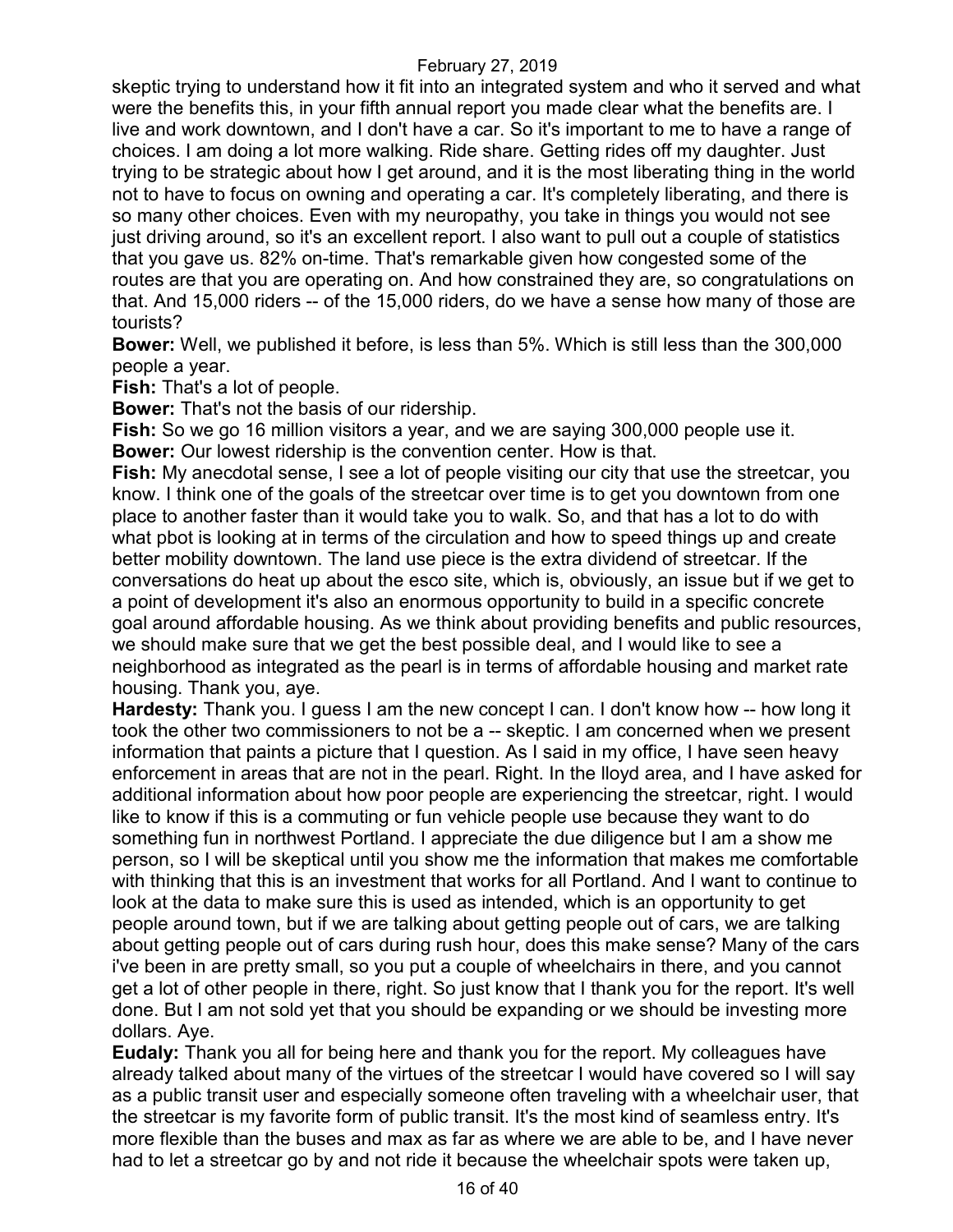skeptic trying to understand how it fit into an integrated system and who it served and what were the benefits this, in your fifth annual report you made clear what the benefits are. I live and work downtown, and I don't have a car. So it's important to me to have a range of choices. I am doing a lot more walking. Ride share. Getting rides off my daughter. Just trying to be strategic about how I get around, and it is the most liberating thing in the world not to have to focus on owning and operating a car. It's completely liberating, and there is so many other choices. Even with my neuropathy, you take in things you would not see just driving around, so it's an excellent report. I also want to pull out a couple of statistics that you gave us. 82% on-time. That's remarkable given how congested some of the routes are that you are operating on. And how constrained they are, so congratulations on that. And 15,000 riders -- of the 15,000 riders, do we have a sense how many of those are tourists?

**Bower:** Well, we published it before, is less than 5%. Which is still less than the 300,000 people a year.

**Fish:** That's a lot of people.

**Bower:** That's not the basis of our ridership.

**Fish:** So we go 16 million visitors a year, and we are saying 300,000 people use it. **Bower:** Our lowest ridership is the convention center. How is that.

**Fish:** My anecdotal sense, I see a lot of people visiting our city that use the streetcar, you know. I think one of the goals of the streetcar over time is to get you downtown from one place to another faster than it would take you to walk. So, and that has a lot to do with what pbot is looking at in terms of the circulation and how to speed things up and create better mobility downtown. The land use piece is the extra dividend of streetcar. If the conversations do heat up about the esco site, which is, obviously, an issue but if we get to a point of development it's also an enormous opportunity to build in a specific concrete goal around affordable housing. As we think about providing benefits and public resources, we should make sure that we get the best possible deal, and I would like to see a neighborhood as integrated as the pearl is in terms of affordable housing and market rate housing. Thank you, aye.

**Hardesty:** Thank you. I guess I am the new concept I can. I don't know how -- how long it took the other two commissioners to not be a -- skeptic. I am concerned when we present information that paints a picture that I question. As I said in my office, I have seen heavy enforcement in areas that are not in the pearl. Right. In the lloyd area, and I have asked for additional information about how poor people are experiencing the streetcar, right. I would like to know if this is a commuting or fun vehicle people use because they want to do something fun in northwest Portland. I appreciate the due diligence but I am a show me person, so I will be skeptical until you show me the information that makes me comfortable with thinking that this is an investment that works for all Portland. And I want to continue to look at the data to make sure this is used as intended, which is an opportunity to get people around town, but if we are talking about getting people out of cars, we are talking about getting people out of cars during rush hour, does this make sense? Many of the cars i've been in are pretty small, so you put a couple of wheelchairs in there, and you cannot get a lot of other people in there, right. So just know that I thank you for the report. It's well done. But I am not sold yet that you should be expanding or we should be investing more dollars. Aye.

**Eudaly:** Thank you all for being here and thank you for the report. My colleagues have already talked about many of the virtues of the streetcar I would have covered so I will say as a public transit user and especially someone often traveling with a wheelchair user, that the streetcar is my favorite form of public transit. It's the most kind of seamless entry. It's more flexible than the buses and max as far as where we are able to be, and I have never had to let a streetcar go by and not ride it because the wheelchair spots were taken up,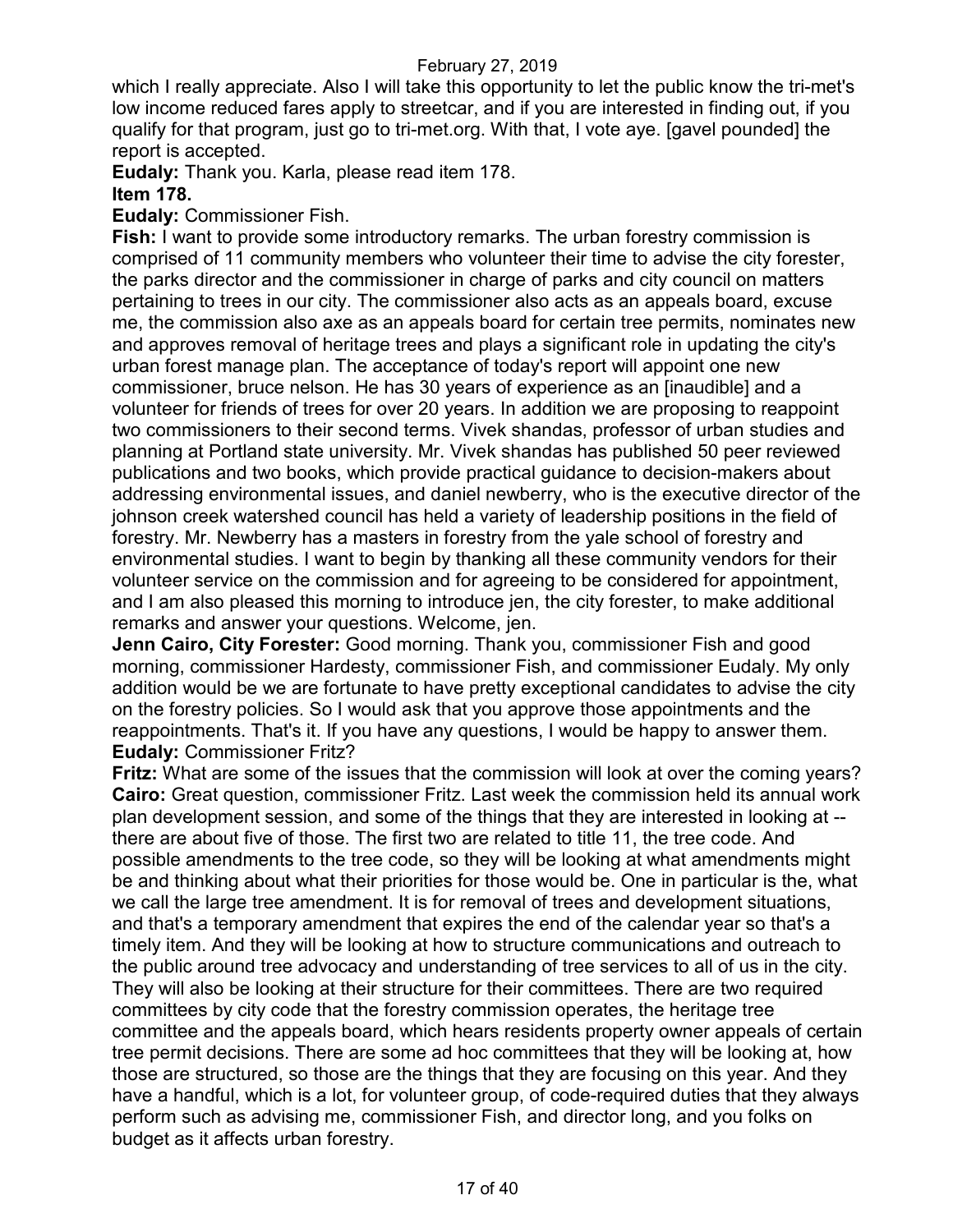which I really appreciate. Also I will take this opportunity to let the public know the tri-met's low income reduced fares apply to streetcar, and if you are interested in finding out, if you qualify for that program, just go to tri-met.org. With that, I vote aye. [gavel pounded] the report is accepted.

**Eudaly:** Thank you. Karla, please read item 178.

### **Item 178.**

**Eudaly:** Commissioner Fish.

**Fish:** I want to provide some introductory remarks. The urban forestry commission is comprised of 11 community members who volunteer their time to advise the city forester, the parks director and the commissioner in charge of parks and city council on matters pertaining to trees in our city. The commissioner also acts as an appeals board, excuse me, the commission also axe as an appeals board for certain tree permits, nominates new and approves removal of heritage trees and plays a significant role in updating the city's urban forest manage plan. The acceptance of today's report will appoint one new commissioner, bruce nelson. He has 30 years of experience as an [inaudible] and a volunteer for friends of trees for over 20 years. In addition we are proposing to reappoint two commissioners to their second terms. Vivek shandas, professor of urban studies and planning at Portland state university. Mr. Vivek shandas has published 50 peer reviewed publications and two books, which provide practical guidance to decision-makers about addressing environmental issues, and daniel newberry, who is the executive director of the johnson creek watershed council has held a variety of leadership positions in the field of forestry. Mr. Newberry has a masters in forestry from the yale school of forestry and environmental studies. I want to begin by thanking all these community vendors for their volunteer service on the commission and for agreeing to be considered for appointment, and I am also pleased this morning to introduce jen, the city forester, to make additional remarks and answer your questions. Welcome, jen.

**Jenn Cairo, City Forester:** Good morning. Thank you, commissioner Fish and good morning, commissioner Hardesty, commissioner Fish, and commissioner Eudaly. My only addition would be we are fortunate to have pretty exceptional candidates to advise the city on the forestry policies. So I would ask that you approve those appointments and the reappointments. That's it. If you have any questions, I would be happy to answer them. **Eudaly:** Commissioner Fritz?

**Fritz:** What are some of the issues that the commission will look at over the coming years? **Cairo:** Great question, commissioner Fritz. Last week the commission held its annual work plan development session, and some of the things that they are interested in looking at - there are about five of those. The first two are related to title 11, the tree code. And possible amendments to the tree code, so they will be looking at what amendments might be and thinking about what their priorities for those would be. One in particular is the, what we call the large tree amendment. It is for removal of trees and development situations, and that's a temporary amendment that expires the end of the calendar year so that's a timely item. And they will be looking at how to structure communications and outreach to the public around tree advocacy and understanding of tree services to all of us in the city. They will also be looking at their structure for their committees. There are two required committees by city code that the forestry commission operates, the heritage tree committee and the appeals board, which hears residents property owner appeals of certain tree permit decisions. There are some ad hoc committees that they will be looking at, how those are structured, so those are the things that they are focusing on this year. And they have a handful, which is a lot, for volunteer group, of code-required duties that they always perform such as advising me, commissioner Fish, and director long, and you folks on budget as it affects urban forestry.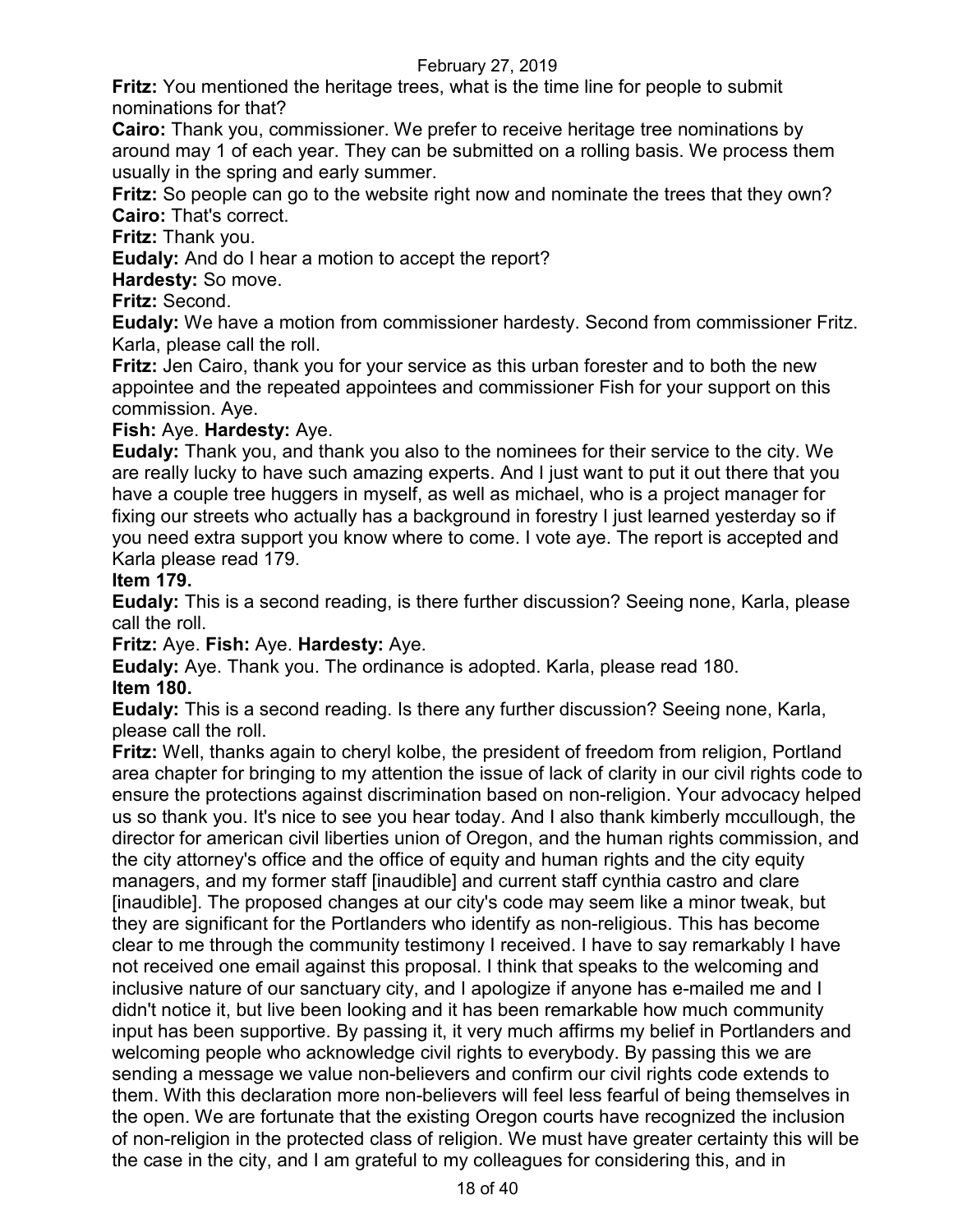**Fritz:** You mentioned the heritage trees, what is the time line for people to submit nominations for that?

**Cairo:** Thank you, commissioner. We prefer to receive heritage tree nominations by around may 1 of each year. They can be submitted on a rolling basis. We process them usually in the spring and early summer.

**Fritz:** So people can go to the website right now and nominate the trees that they own? **Cairo:** That's correct.

**Fritz:** Thank you.

**Eudaly:** And do I hear a motion to accept the report?

**Hardesty:** So move.

**Fritz:** Second.

**Eudaly:** We have a motion from commissioner hardesty. Second from commissioner Fritz. Karla, please call the roll.

**Fritz:** Jen Cairo, thank you for your service as this urban forester and to both the new appointee and the repeated appointees and commissioner Fish for your support on this commission. Aye.

### **Fish:** Aye. **Hardesty:** Aye.

**Eudaly:** Thank you, and thank you also to the nominees for their service to the city. We are really lucky to have such amazing experts. And I just want to put it out there that you have a couple tree huggers in myself, as well as michael, who is a project manager for fixing our streets who actually has a background in forestry I just learned yesterday so if you need extra support you know where to come. I vote aye. The report is accepted and Karla please read 179.

### **Item 179.**

**Eudaly:** This is a second reading, is there further discussion? Seeing none, Karla, please call the roll.

**Fritz:** Aye. **Fish:** Aye. **Hardesty:** Aye.

**Eudaly:** Aye. Thank you. The ordinance is adopted. Karla, please read 180. **Item 180.**

**Eudaly:** This is a second reading. Is there any further discussion? Seeing none, Karla, please call the roll.

**Fritz:** Well, thanks again to cheryl kolbe, the president of freedom from religion, Portland area chapter for bringing to my attention the issue of lack of clarity in our civil rights code to ensure the protections against discrimination based on non-religion. Your advocacy helped us so thank you. It's nice to see you hear today. And I also thank kimberly mccullough, the director for american civil liberties union of Oregon, and the human rights commission, and the city attorney's office and the office of equity and human rights and the city equity managers, and my former staff [inaudible] and current staff cynthia castro and clare [inaudible]. The proposed changes at our city's code may seem like a minor tweak, but they are significant for the Portlanders who identify as non-religious. This has become clear to me through the community testimony I received. I have to say remarkably I have not received one email against this proposal. I think that speaks to the welcoming and inclusive nature of our sanctuary city, and I apologize if anyone has e-mailed me and I didn't notice it, but live been looking and it has been remarkable how much community input has been supportive. By passing it, it very much affirms my belief in Portlanders and welcoming people who acknowledge civil rights to everybody. By passing this we are sending a message we value non-believers and confirm our civil rights code extends to them. With this declaration more non-believers will feel less fearful of being themselves in the open. We are fortunate that the existing Oregon courts have recognized the inclusion of non-religion in the protected class of religion. We must have greater certainty this will be the case in the city, and I am grateful to my colleagues for considering this, and in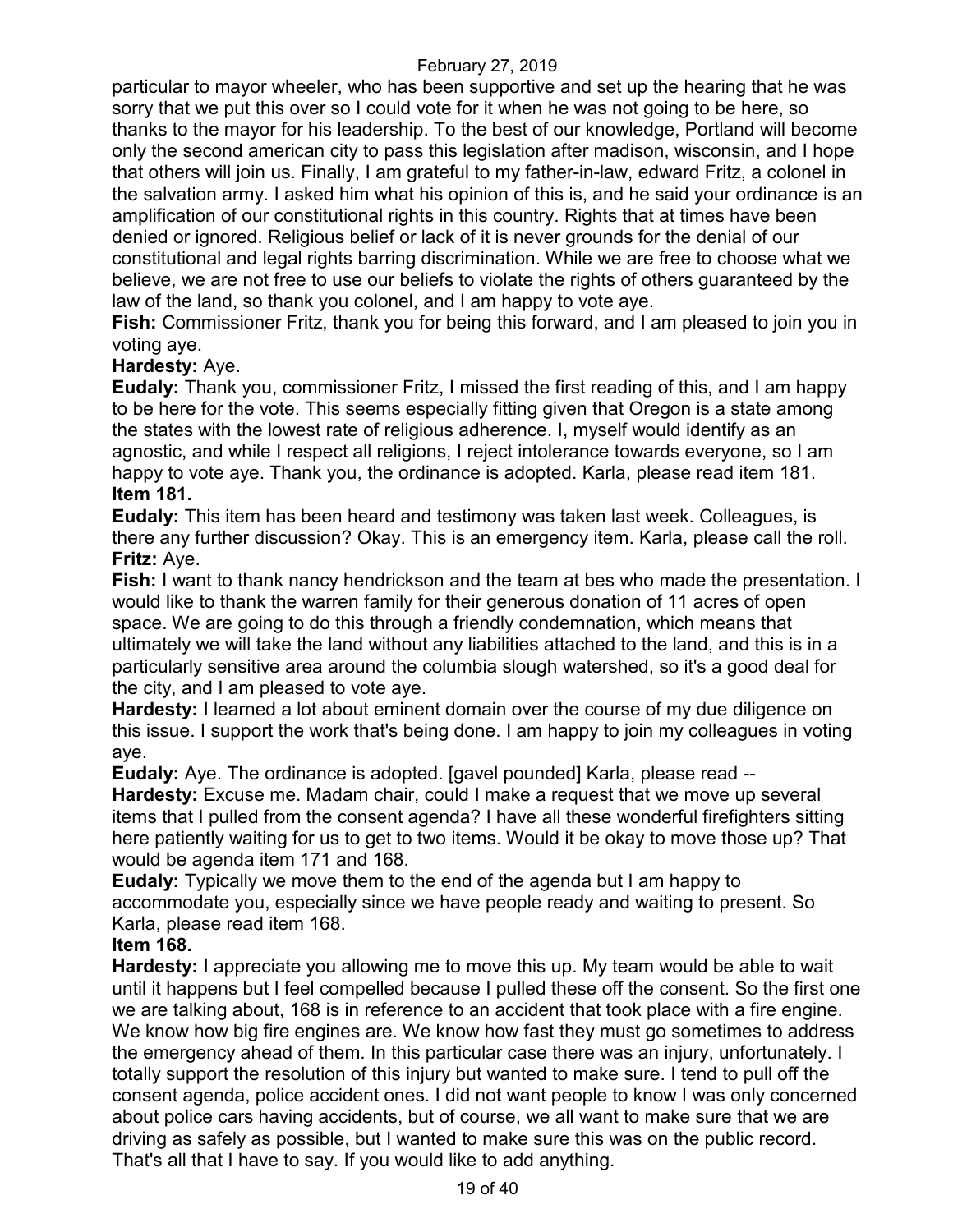particular to mayor wheeler, who has been supportive and set up the hearing that he was sorry that we put this over so I could vote for it when he was not going to be here, so thanks to the mayor for his leadership. To the best of our knowledge, Portland will become only the second american city to pass this legislation after madison, wisconsin, and I hope that others will join us. Finally, I am grateful to my father-in-law, edward Fritz, a colonel in the salvation army. I asked him what his opinion of this is, and he said your ordinance is an amplification of our constitutional rights in this country. Rights that at times have been denied or ignored. Religious belief or lack of it is never grounds for the denial of our constitutional and legal rights barring discrimination. While we are free to choose what we believe, we are not free to use our beliefs to violate the rights of others guaranteed by the law of the land, so thank you colonel, and I am happy to vote aye.

**Fish:** Commissioner Fritz, thank you for being this forward, and I am pleased to join you in voting aye.

# **Hardesty:** Aye.

**Eudaly:** Thank you, commissioner Fritz, I missed the first reading of this, and I am happy to be here for the vote. This seems especially fitting given that Oregon is a state among the states with the lowest rate of religious adherence. I, myself would identify as an agnostic, and while I respect all religions, I reject intolerance towards everyone, so I am happy to vote aye. Thank you, the ordinance is adopted. Karla, please read item 181. **Item 181.**

**Eudaly:** This item has been heard and testimony was taken last week. Colleagues, is there any further discussion? Okay. This is an emergency item. Karla, please call the roll. **Fritz:** Aye.

**Fish:** I want to thank nancy hendrickson and the team at bes who made the presentation. I would like to thank the warren family for their generous donation of 11 acres of open space. We are going to do this through a friendly condemnation, which means that ultimately we will take the land without any liabilities attached to the land, and this is in a particularly sensitive area around the columbia slough watershed, so it's a good deal for the city, and I am pleased to vote aye.

**Hardesty:** I learned a lot about eminent domain over the course of my due diligence on this issue. I support the work that's being done. I am happy to join my colleagues in voting aye.

**Eudaly:** Aye. The ordinance is adopted. [gavel pounded] Karla, please read -- **Hardesty:** Excuse me. Madam chair, could I make a request that we move up several items that I pulled from the consent agenda? I have all these wonderful firefighters sitting here patiently waiting for us to get to two items. Would it be okay to move those up? That would be agenda item 171 and 168.

**Eudaly:** Typically we move them to the end of the agenda but I am happy to accommodate you, especially since we have people ready and waiting to present. So Karla, please read item 168.

### **Item 168.**

**Hardesty:** I appreciate you allowing me to move this up. My team would be able to wait until it happens but I feel compelled because I pulled these off the consent. So the first one we are talking about, 168 is in reference to an accident that took place with a fire engine. We know how big fire engines are. We know how fast they must go sometimes to address the emergency ahead of them. In this particular case there was an injury, unfortunately. I totally support the resolution of this injury but wanted to make sure. I tend to pull off the consent agenda, police accident ones. I did not want people to know I was only concerned about police cars having accidents, but of course, we all want to make sure that we are driving as safely as possible, but I wanted to make sure this was on the public record. That's all that I have to say. If you would like to add anything.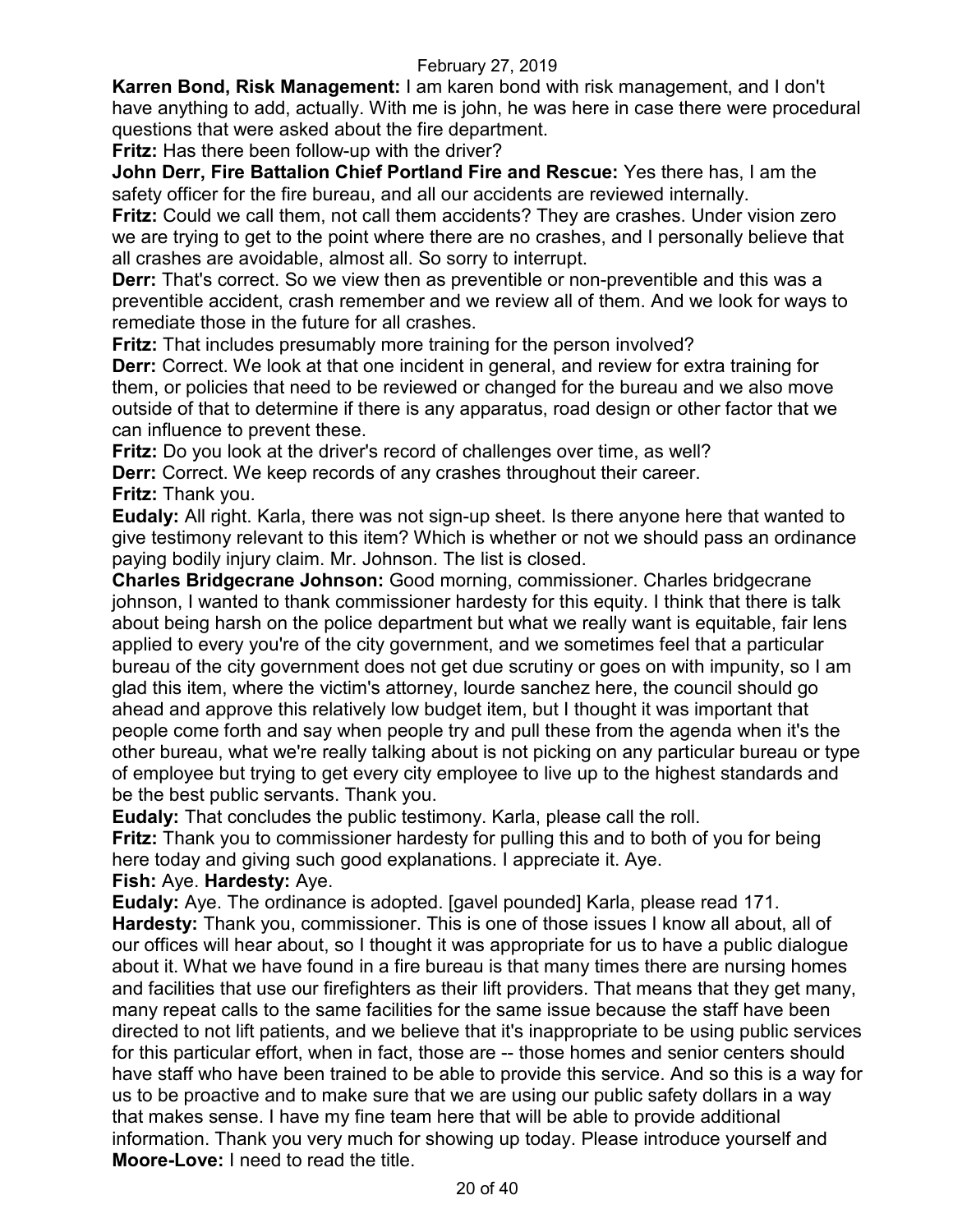**Karren Bond, Risk Management:** I am karen bond with risk management, and I don't have anything to add, actually. With me is john, he was here in case there were procedural questions that were asked about the fire department.

**Fritz:** Has there been follow-up with the driver?

**John Derr, Fire Battalion Chief Portland Fire and Rescue:** Yes there has, I am the safety officer for the fire bureau, and all our accidents are reviewed internally.

**Fritz:** Could we call them, not call them accidents? They are crashes. Under vision zero we are trying to get to the point where there are no crashes, and I personally believe that all crashes are avoidable, almost all. So sorry to interrupt.

**Derr:** That's correct. So we view then as preventible or non-preventible and this was a preventible accident, crash remember and we review all of them. And we look for ways to remediate those in the future for all crashes.

**Fritz:** That includes presumably more training for the person involved?

**Derr:** Correct. We look at that one incident in general, and review for extra training for them, or policies that need to be reviewed or changed for the bureau and we also move outside of that to determine if there is any apparatus, road design or other factor that we can influence to prevent these.

**Fritz:** Do you look at the driver's record of challenges over time, as well?

**Derr:** Correct. We keep records of any crashes throughout their career.

**Fritz:** Thank you.

**Eudaly:** All right. Karla, there was not sign-up sheet. Is there anyone here that wanted to give testimony relevant to this item? Which is whether or not we should pass an ordinance paying bodily injury claim. Mr. Johnson. The list is closed.

**Charles Bridgecrane Johnson:** Good morning, commissioner. Charles bridgecrane johnson, I wanted to thank commissioner hardesty for this equity. I think that there is talk about being harsh on the police department but what we really want is equitable, fair lens applied to every you're of the city government, and we sometimes feel that a particular bureau of the city government does not get due scrutiny or goes on with impunity, so I am glad this item, where the victim's attorney, lourde sanchez here, the council should go ahead and approve this relatively low budget item, but I thought it was important that people come forth and say when people try and pull these from the agenda when it's the other bureau, what we're really talking about is not picking on any particular bureau or type of employee but trying to get every city employee to live up to the highest standards and be the best public servants. Thank you.

**Eudaly:** That concludes the public testimony. Karla, please call the roll.

**Fritz:** Thank you to commissioner hardesty for pulling this and to both of you for being here today and giving such good explanations. I appreciate it. Aye.

**Fish:** Aye. **Hardesty:** Aye.

**Eudaly:** Aye. The ordinance is adopted. [gavel pounded] Karla, please read 171. **Hardesty:** Thank you, commissioner. This is one of those issues I know all about, all of our offices will hear about, so I thought it was appropriate for us to have a public dialogue about it. What we have found in a fire bureau is that many times there are nursing homes and facilities that use our firefighters as their lift providers. That means that they get many, many repeat calls to the same facilities for the same issue because the staff have been directed to not lift patients, and we believe that it's inappropriate to be using public services for this particular effort, when in fact, those are -- those homes and senior centers should have staff who have been trained to be able to provide this service. And so this is a way for us to be proactive and to make sure that we are using our public safety dollars in a way that makes sense. I have my fine team here that will be able to provide additional information. Thank you very much for showing up today. Please introduce yourself and **Moore-Love:** I need to read the title.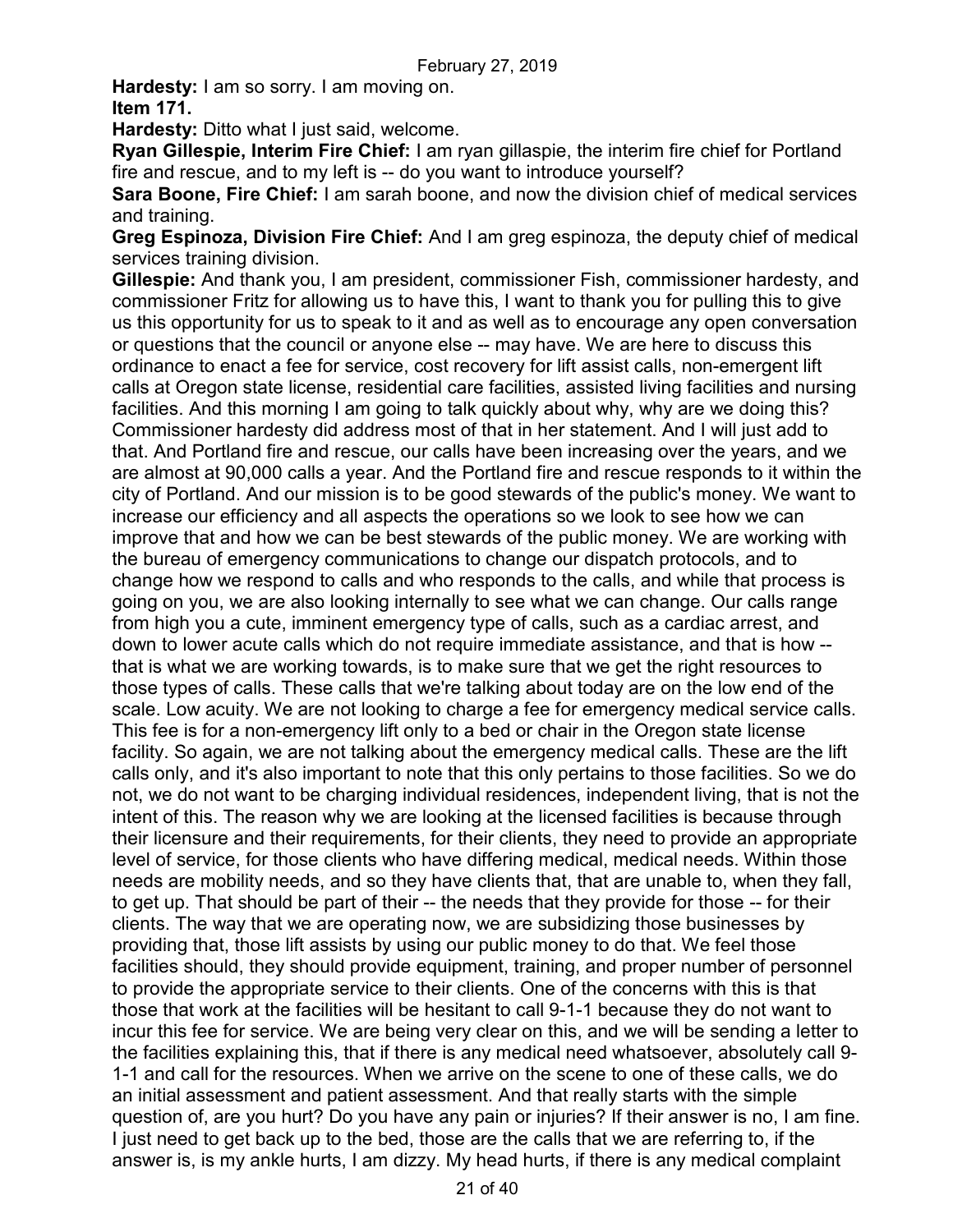**Hardesty:** I am so sorry. I am moving on.

**Item 171.**

**Hardesty:** Ditto what I just said, welcome.

**Ryan Gillespie, Interim Fire Chief:** I am ryan gillaspie, the interim fire chief for Portland fire and rescue, and to my left is -- do you want to introduce yourself?

**Sara Boone, Fire Chief:** I am sarah boone, and now the division chief of medical services and training.

**Greg Espinoza, Division Fire Chief:** And I am greg espinoza, the deputy chief of medical services training division.

**Gillespie:** And thank you, I am president, commissioner Fish, commissioner hardesty, and commissioner Fritz for allowing us to have this, I want to thank you for pulling this to give us this opportunity for us to speak to it and as well as to encourage any open conversation or questions that the council or anyone else -- may have. We are here to discuss this ordinance to enact a fee for service, cost recovery for lift assist calls, non-emergent lift calls at Oregon state license, residential care facilities, assisted living facilities and nursing facilities. And this morning I am going to talk quickly about why, why are we doing this? Commissioner hardesty did address most of that in her statement. And I will just add to that. And Portland fire and rescue, our calls have been increasing over the years, and we are almost at 90,000 calls a year. And the Portland fire and rescue responds to it within the city of Portland. And our mission is to be good stewards of the public's money. We want to increase our efficiency and all aspects the operations so we look to see how we can improve that and how we can be best stewards of the public money. We are working with the bureau of emergency communications to change our dispatch protocols, and to change how we respond to calls and who responds to the calls, and while that process is going on you, we are also looking internally to see what we can change. Our calls range from high you a cute, imminent emergency type of calls, such as a cardiac arrest, and down to lower acute calls which do not require immediate assistance, and that is how - that is what we are working towards, is to make sure that we get the right resources to those types of calls. These calls that we're talking about today are on the low end of the scale. Low acuity. We are not looking to charge a fee for emergency medical service calls. This fee is for a non-emergency lift only to a bed or chair in the Oregon state license facility. So again, we are not talking about the emergency medical calls. These are the lift calls only, and it's also important to note that this only pertains to those facilities. So we do not, we do not want to be charging individual residences, independent living, that is not the intent of this. The reason why we are looking at the licensed facilities is because through their licensure and their requirements, for their clients, they need to provide an appropriate level of service, for those clients who have differing medical, medical needs. Within those needs are mobility needs, and so they have clients that, that are unable to, when they fall, to get up. That should be part of their -- the needs that they provide for those -- for their clients. The way that we are operating now, we are subsidizing those businesses by providing that, those lift assists by using our public money to do that. We feel those facilities should, they should provide equipment, training, and proper number of personnel to provide the appropriate service to their clients. One of the concerns with this is that those that work at the facilities will be hesitant to call 9-1-1 because they do not want to incur this fee for service. We are being very clear on this, and we will be sending a letter to the facilities explaining this, that if there is any medical need whatsoever, absolutely call 9- 1-1 and call for the resources. When we arrive on the scene to one of these calls, we do an initial assessment and patient assessment. And that really starts with the simple question of, are you hurt? Do you have any pain or injuries? If their answer is no, I am fine. I just need to get back up to the bed, those are the calls that we are referring to, if the answer is, is my ankle hurts, I am dizzy. My head hurts, if there is any medical complaint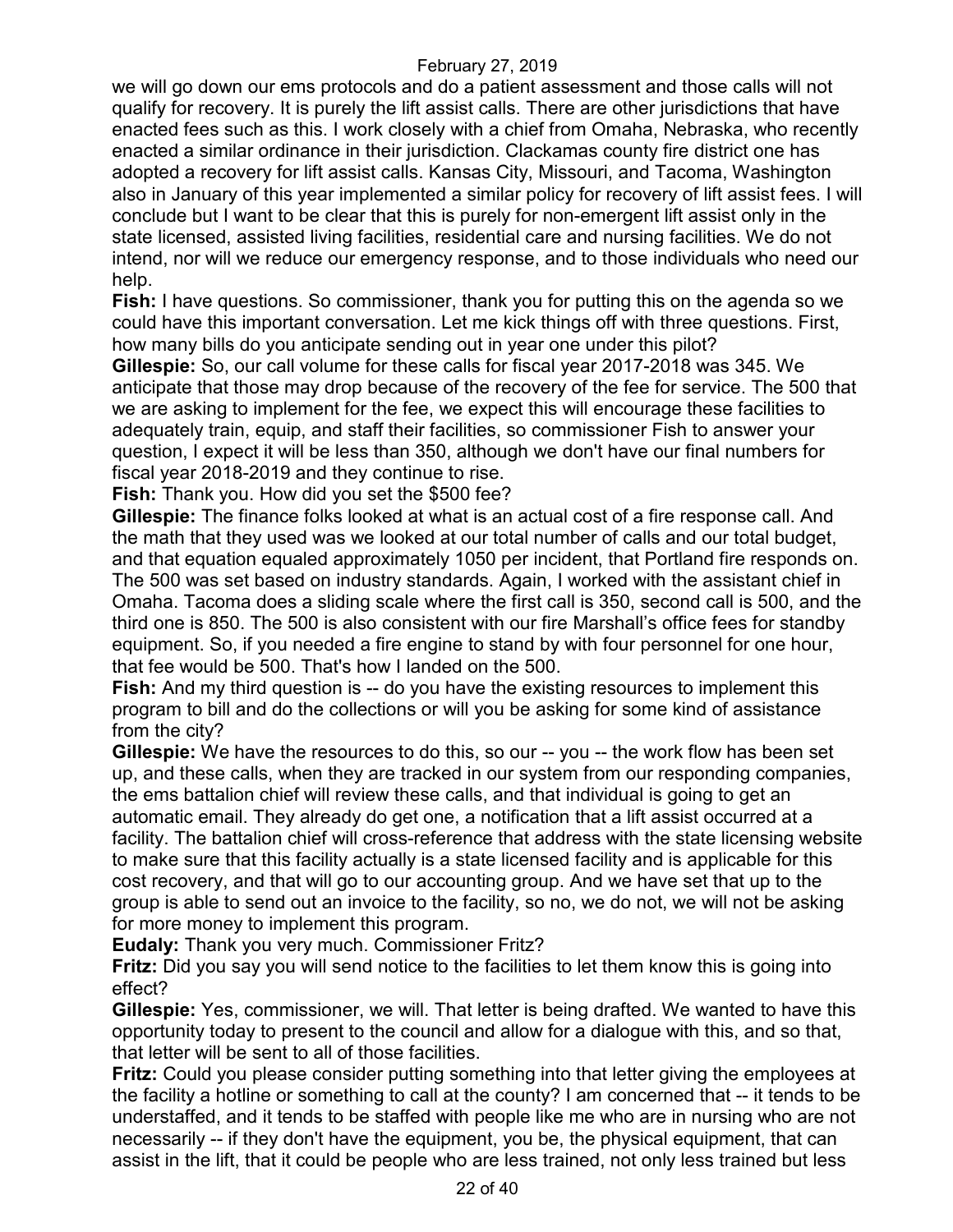we will go down our ems protocols and do a patient assessment and those calls will not qualify for recovery. It is purely the lift assist calls. There are other jurisdictions that have enacted fees such as this. I work closely with a chief from Omaha, Nebraska, who recently enacted a similar ordinance in their jurisdiction. Clackamas county fire district one has adopted a recovery for lift assist calls. Kansas City, Missouri, and Tacoma, Washington also in January of this year implemented a similar policy for recovery of lift assist fees. I will conclude but I want to be clear that this is purely for non-emergent lift assist only in the state licensed, assisted living facilities, residential care and nursing facilities. We do not intend, nor will we reduce our emergency response, and to those individuals who need our help.

**Fish:** I have questions. So commissioner, thank you for putting this on the agenda so we could have this important conversation. Let me kick things off with three questions. First, how many bills do you anticipate sending out in year one under this pilot?

**Gillespie:** So, our call volume for these calls for fiscal year 2017-2018 was 345. We anticipate that those may drop because of the recovery of the fee for service. The 500 that we are asking to implement for the fee, we expect this will encourage these facilities to adequately train, equip, and staff their facilities, so commissioner Fish to answer your question, I expect it will be less than 350, although we don't have our final numbers for fiscal year 2018-2019 and they continue to rise.

**Fish:** Thank you. How did you set the \$500 fee?

**Gillespie:** The finance folks looked at what is an actual cost of a fire response call. And the math that they used was we looked at our total number of calls and our total budget, and that equation equaled approximately 1050 per incident, that Portland fire responds on. The 500 was set based on industry standards. Again, I worked with the assistant chief in Omaha. Tacoma does a sliding scale where the first call is 350, second call is 500, and the third one is 850. The 500 is also consistent with our fire Marshall's office fees for standby equipment. So, if you needed a fire engine to stand by with four personnel for one hour, that fee would be 500. That's how I landed on the 500.

**Fish:** And my third question is -- do you have the existing resources to implement this program to bill and do the collections or will you be asking for some kind of assistance from the city?

**Gillespie:** We have the resources to do this, so our -- you -- the work flow has been set up, and these calls, when they are tracked in our system from our responding companies, the ems battalion chief will review these calls, and that individual is going to get an automatic email. They already do get one, a notification that a lift assist occurred at a facility. The battalion chief will cross-reference that address with the state licensing website to make sure that this facility actually is a state licensed facility and is applicable for this cost recovery, and that will go to our accounting group. And we have set that up to the group is able to send out an invoice to the facility, so no, we do not, we will not be asking for more money to implement this program.

**Eudaly:** Thank you very much. Commissioner Fritz?

**Fritz:** Did you say you will send notice to the facilities to let them know this is going into effect?

**Gillespie:** Yes, commissioner, we will. That letter is being drafted. We wanted to have this opportunity today to present to the council and allow for a dialogue with this, and so that, that letter will be sent to all of those facilities.

**Fritz:** Could you please consider putting something into that letter giving the employees at the facility a hotline or something to call at the county? I am concerned that -- it tends to be understaffed, and it tends to be staffed with people like me who are in nursing who are not necessarily -- if they don't have the equipment, you be, the physical equipment, that can assist in the lift, that it could be people who are less trained, not only less trained but less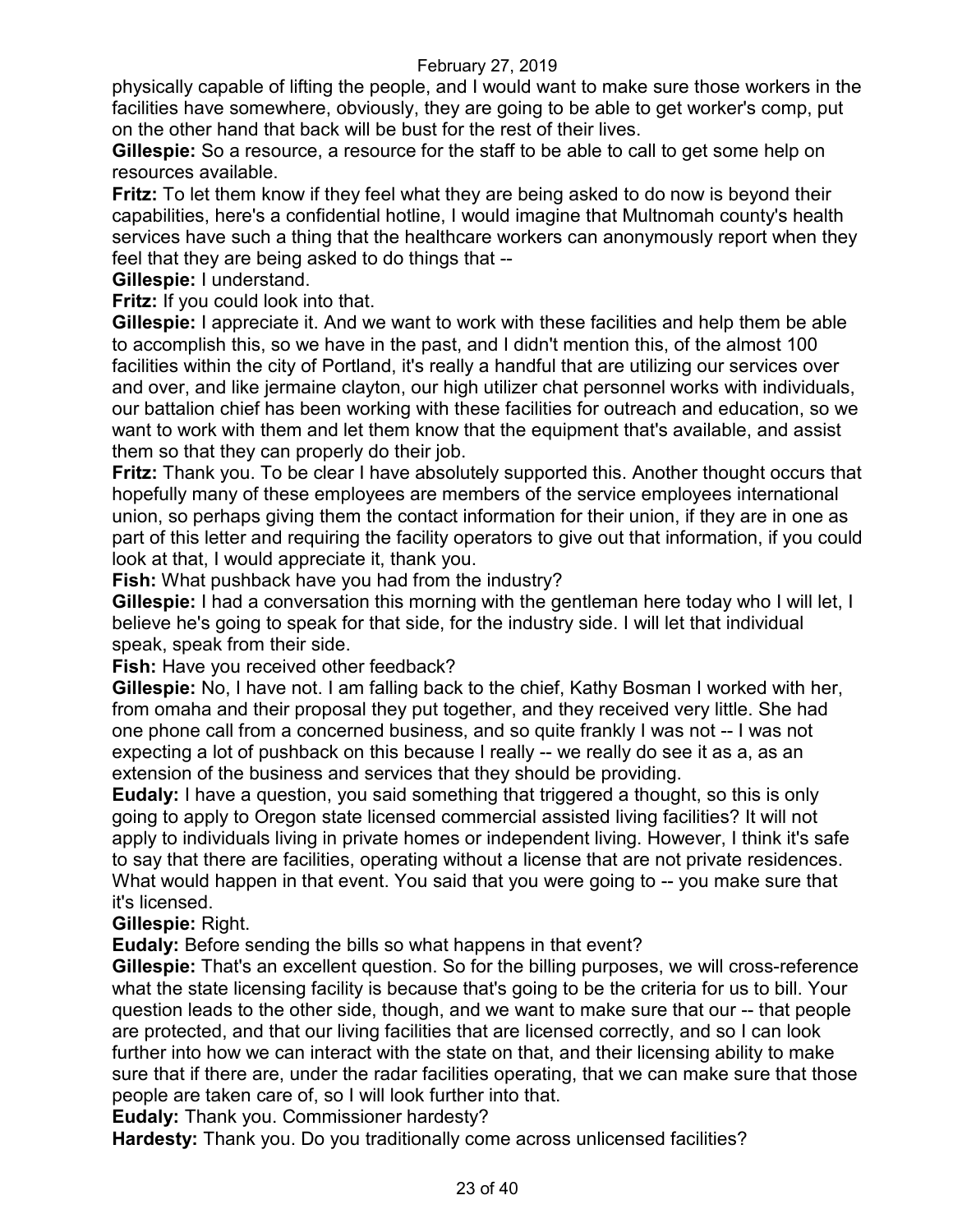physically capable of lifting the people, and I would want to make sure those workers in the facilities have somewhere, obviously, they are going to be able to get worker's comp, put on the other hand that back will be bust for the rest of their lives.

**Gillespie:** So a resource, a resource for the staff to be able to call to get some help on resources available.

**Fritz:** To let them know if they feel what they are being asked to do now is beyond their capabilities, here's a confidential hotline, I would imagine that Multnomah county's health services have such a thing that the healthcare workers can anonymously report when they feel that they are being asked to do things that --

**Gillespie:** I understand.

**Fritz:** If you could look into that.

**Gillespie:** I appreciate it. And we want to work with these facilities and help them be able to accomplish this, so we have in the past, and I didn't mention this, of the almost 100 facilities within the city of Portland, it's really a handful that are utilizing our services over and over, and like jermaine clayton, our high utilizer chat personnel works with individuals, our battalion chief has been working with these facilities for outreach and education, so we want to work with them and let them know that the equipment that's available, and assist them so that they can properly do their job.

**Fritz:** Thank you. To be clear I have absolutely supported this. Another thought occurs that hopefully many of these employees are members of the service employees international union, so perhaps giving them the contact information for their union, if they are in one as part of this letter and requiring the facility operators to give out that information, if you could look at that, I would appreciate it, thank you.

**Fish:** What pushback have you had from the industry?

**Gillespie:** I had a conversation this morning with the gentleman here today who I will let, I believe he's going to speak for that side, for the industry side. I will let that individual speak, speak from their side.

**Fish:** Have you received other feedback?

**Gillespie:** No, I have not. I am falling back to the chief, Kathy Bosman I worked with her, from omaha and their proposal they put together, and they received very little. She had one phone call from a concerned business, and so quite frankly I was not -- I was not expecting a lot of pushback on this because I really -- we really do see it as a, as an extension of the business and services that they should be providing.

**Eudaly:** I have a question, you said something that triggered a thought, so this is only going to apply to Oregon state licensed commercial assisted living facilities? It will not apply to individuals living in private homes or independent living. However, I think it's safe to say that there are facilities, operating without a license that are not private residences. What would happen in that event. You said that you were going to -- you make sure that it's licensed.

**Gillespie:** Right.

**Eudaly:** Before sending the bills so what happens in that event?

**Gillespie:** That's an excellent question. So for the billing purposes, we will cross-reference what the state licensing facility is because that's going to be the criteria for us to bill. Your question leads to the other side, though, and we want to make sure that our -- that people are protected, and that our living facilities that are licensed correctly, and so I can look further into how we can interact with the state on that, and their licensing ability to make sure that if there are, under the radar facilities operating, that we can make sure that those people are taken care of, so I will look further into that.

**Eudaly:** Thank you. Commissioner hardesty?

**Hardesty:** Thank you. Do you traditionally come across unlicensed facilities?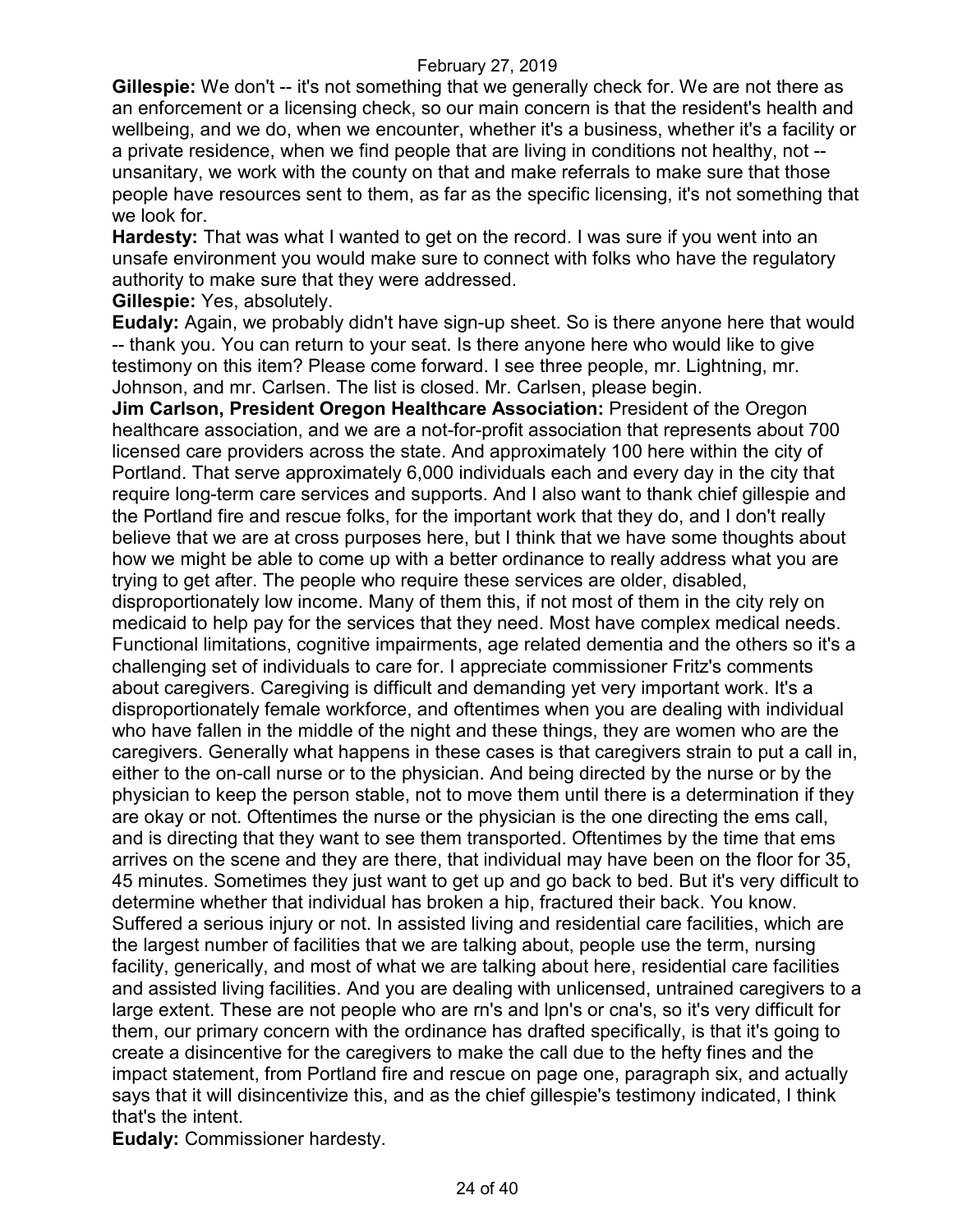**Gillespie:** We don't -- it's not something that we generally check for. We are not there as an enforcement or a licensing check, so our main concern is that the resident's health and wellbeing, and we do, when we encounter, whether it's a business, whether it's a facility or a private residence, when we find people that are living in conditions not healthy, not - unsanitary, we work with the county on that and make referrals to make sure that those people have resources sent to them, as far as the specific licensing, it's not something that we look for.

**Hardesty:** That was what I wanted to get on the record. I was sure if you went into an unsafe environment you would make sure to connect with folks who have the regulatory authority to make sure that they were addressed.

**Gillespie:** Yes, absolutely.

**Eudaly:** Again, we probably didn't have sign-up sheet. So is there anyone here that would -- thank you. You can return to your seat. Is there anyone here who would like to give testimony on this item? Please come forward. I see three people, mr. Lightning, mr. Johnson, and mr. Carlsen. The list is closed. Mr. Carlsen, please begin.

**Jim Carlson, President Oregon Healthcare Association:** President of the Oregon healthcare association, and we are a not-for-profit association that represents about 700 licensed care providers across the state. And approximately 100 here within the city of Portland. That serve approximately 6,000 individuals each and every day in the city that require long-term care services and supports. And I also want to thank chief gillespie and the Portland fire and rescue folks, for the important work that they do, and I don't really believe that we are at cross purposes here, but I think that we have some thoughts about how we might be able to come up with a better ordinance to really address what you are trying to get after. The people who require these services are older, disabled, disproportionately low income. Many of them this, if not most of them in the city rely on medicaid to help pay for the services that they need. Most have complex medical needs. Functional limitations, cognitive impairments, age related dementia and the others so it's a challenging set of individuals to care for. I appreciate commissioner Fritz's comments about caregivers. Caregiving is difficult and demanding yet very important work. It's a disproportionately female workforce, and oftentimes when you are dealing with individual who have fallen in the middle of the night and these things, they are women who are the caregivers. Generally what happens in these cases is that caregivers strain to put a call in, either to the on-call nurse or to the physician. And being directed by the nurse or by the physician to keep the person stable, not to move them until there is a determination if they are okay or not. Oftentimes the nurse or the physician is the one directing the ems call, and is directing that they want to see them transported. Oftentimes by the time that ems arrives on the scene and they are there, that individual may have been on the floor for 35, 45 minutes. Sometimes they just want to get up and go back to bed. But it's very difficult to determine whether that individual has broken a hip, fractured their back. You know. Suffered a serious injury or not. In assisted living and residential care facilities, which are the largest number of facilities that we are talking about, people use the term, nursing facility, generically, and most of what we are talking about here, residential care facilities and assisted living facilities. And you are dealing with unlicensed, untrained caregivers to a large extent. These are not people who are rn's and lpn's or cna's, so it's very difficult for them, our primary concern with the ordinance has drafted specifically, is that it's going to create a disincentive for the caregivers to make the call due to the hefty fines and the impact statement, from Portland fire and rescue on page one, paragraph six, and actually says that it will disincentivize this, and as the chief gillespie's testimony indicated, I think that's the intent.

**Eudaly:** Commissioner hardesty.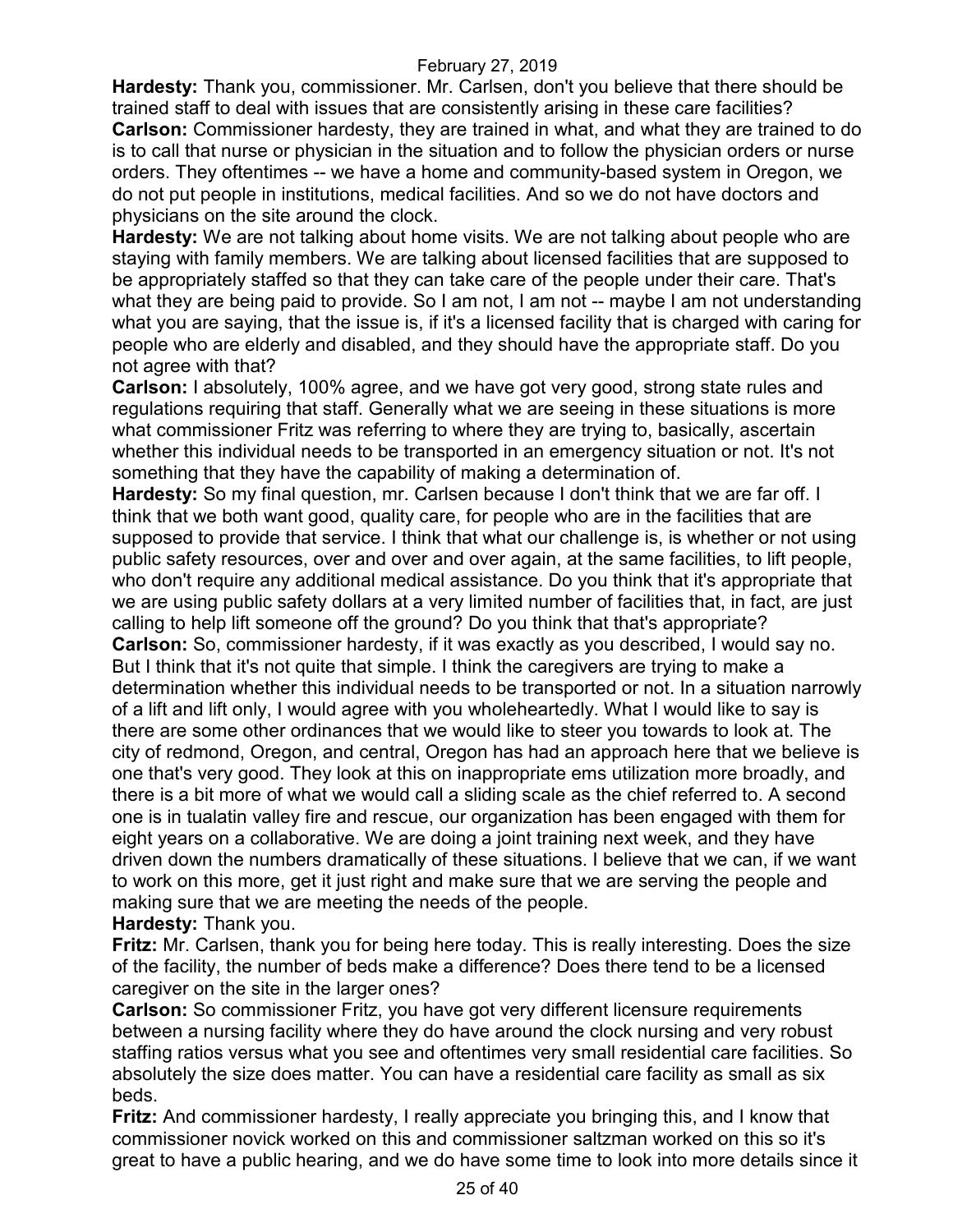**Hardesty:** Thank you, commissioner. Mr. Carlsen, don't you believe that there should be trained staff to deal with issues that are consistently arising in these care facilities? **Carlson:** Commissioner hardesty, they are trained in what, and what they are trained to do is to call that nurse or physician in the situation and to follow the physician orders or nurse orders. They oftentimes -- we have a home and community-based system in Oregon, we do not put people in institutions, medical facilities. And so we do not have doctors and physicians on the site around the clock.

**Hardesty:** We are not talking about home visits. We are not talking about people who are staying with family members. We are talking about licensed facilities that are supposed to be appropriately staffed so that they can take care of the people under their care. That's what they are being paid to provide. So I am not, I am not -- maybe I am not understanding what you are saying, that the issue is, if it's a licensed facility that is charged with caring for people who are elderly and disabled, and they should have the appropriate staff. Do you not agree with that?

**Carlson:** I absolutely, 100% agree, and we have got very good, strong state rules and regulations requiring that staff. Generally what we are seeing in these situations is more what commissioner Fritz was referring to where they are trying to, basically, ascertain whether this individual needs to be transported in an emergency situation or not. It's not something that they have the capability of making a determination of.

**Hardesty:** So my final question, mr. Carlsen because I don't think that we are far off. I think that we both want good, quality care, for people who are in the facilities that are supposed to provide that service. I think that what our challenge is, is whether or not using public safety resources, over and over and over again, at the same facilities, to lift people, who don't require any additional medical assistance. Do you think that it's appropriate that we are using public safety dollars at a very limited number of facilities that, in fact, are just calling to help lift someone off the ground? Do you think that that's appropriate? **Carlson:** So, commissioner hardesty, if it was exactly as you described, I would say no. But I think that it's not quite that simple. I think the caregivers are trying to make a determination whether this individual needs to be transported or not. In a situation narrowly of a lift and lift only, I would agree with you wholeheartedly. What I would like to say is there are some other ordinances that we would like to steer you towards to look at. The city of redmond, Oregon, and central, Oregon has had an approach here that we believe is one that's very good. They look at this on inappropriate ems utilization more broadly, and there is a bit more of what we would call a sliding scale as the chief referred to. A second one is in tualatin valley fire and rescue, our organization has been engaged with them for eight years on a collaborative. We are doing a joint training next week, and they have driven down the numbers dramatically of these situations. I believe that we can, if we want to work on this more, get it just right and make sure that we are serving the people and making sure that we are meeting the needs of the people.

**Hardesty:** Thank you.

**Fritz:** Mr. Carlsen, thank you for being here today. This is really interesting. Does the size of the facility, the number of beds make a difference? Does there tend to be a licensed caregiver on the site in the larger ones?

**Carlson:** So commissioner Fritz, you have got very different licensure requirements between a nursing facility where they do have around the clock nursing and very robust staffing ratios versus what you see and oftentimes very small residential care facilities. So absolutely the size does matter. You can have a residential care facility as small as six beds.

**Fritz:** And commissioner hardesty, I really appreciate you bringing this, and I know that commissioner novick worked on this and commissioner saltzman worked on this so it's great to have a public hearing, and we do have some time to look into more details since it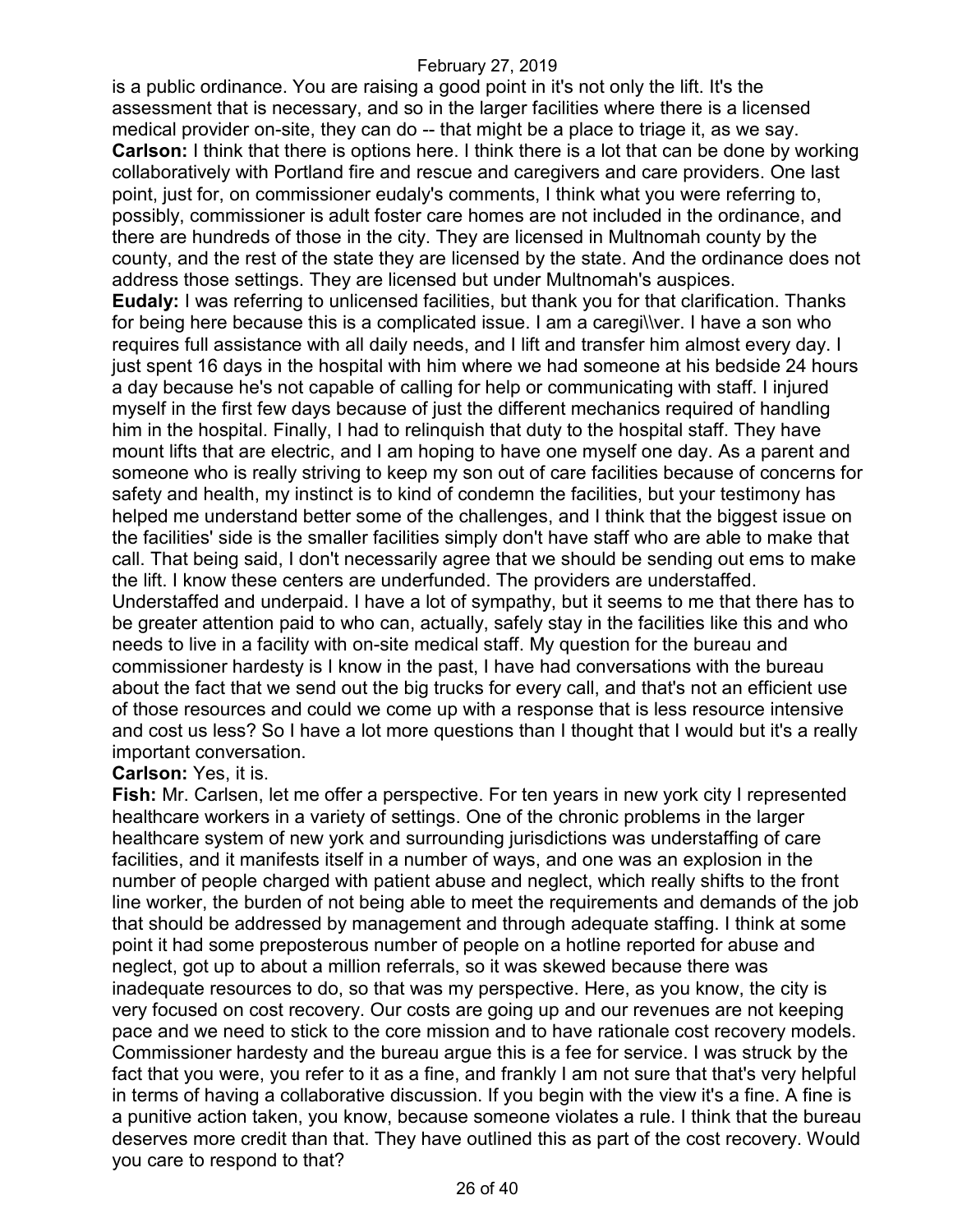is a public ordinance. You are raising a good point in it's not only the lift. It's the assessment that is necessary, and so in the larger facilities where there is a licensed medical provider on-site, they can do -- that might be a place to triage it, as we say. **Carlson:** I think that there is options here. I think there is a lot that can be done by working collaboratively with Portland fire and rescue and caregivers and care providers. One last point, just for, on commissioner eudaly's comments, I think what you were referring to, possibly, commissioner is adult foster care homes are not included in the ordinance, and there are hundreds of those in the city. They are licensed in Multnomah county by the county, and the rest of the state they are licensed by the state. And the ordinance does not address those settings. They are licensed but under Multnomah's auspices. **Eudaly:** I was referring to unlicensed facilities, but thank you for that clarification. Thanks for being here because this is a complicated issue. I am a caregi\\ver. I have a son who requires full assistance with all daily needs, and I lift and transfer him almost every day. I just spent 16 days in the hospital with him where we had someone at his bedside 24 hours a day because he's not capable of calling for help or communicating with staff. I injured myself in the first few days because of just the different mechanics required of handling him in the hospital. Finally, I had to relinquish that duty to the hospital staff. They have mount lifts that are electric, and I am hoping to have one myself one day. As a parent and someone who is really striving to keep my son out of care facilities because of concerns for safety and health, my instinct is to kind of condemn the facilities, but your testimony has helped me understand better some of the challenges, and I think that the biggest issue on the facilities' side is the smaller facilities simply don't have staff who are able to make that call. That being said, I don't necessarily agree that we should be sending out ems to make the lift. I know these centers are underfunded. The providers are understaffed. Understaffed and underpaid. I have a lot of sympathy, but it seems to me that there has to be greater attention paid to who can, actually, safely stay in the facilities like this and who needs to live in a facility with on-site medical staff. My question for the bureau and commissioner hardesty is I know in the past, I have had conversations with the bureau about the fact that we send out the big trucks for every call, and that's not an efficient use of those resources and could we come up with a response that is less resource intensive and cost us less? So I have a lot more questions than I thought that I would but it's a really important conversation.

#### **Carlson:** Yes, it is.

**Fish:** Mr. Carlsen, let me offer a perspective. For ten years in new york city I represented healthcare workers in a variety of settings. One of the chronic problems in the larger healthcare system of new york and surrounding jurisdictions was understaffing of care facilities, and it manifests itself in a number of ways, and one was an explosion in the number of people charged with patient abuse and neglect, which really shifts to the front line worker, the burden of not being able to meet the requirements and demands of the job that should be addressed by management and through adequate staffing. I think at some point it had some preposterous number of people on a hotline reported for abuse and neglect, got up to about a million referrals, so it was skewed because there was inadequate resources to do, so that was my perspective. Here, as you know, the city is very focused on cost recovery. Our costs are going up and our revenues are not keeping pace and we need to stick to the core mission and to have rationale cost recovery models. Commissioner hardesty and the bureau argue this is a fee for service. I was struck by the fact that you were, you refer to it as a fine, and frankly I am not sure that that's very helpful in terms of having a collaborative discussion. If you begin with the view it's a fine. A fine is a punitive action taken, you know, because someone violates a rule. I think that the bureau deserves more credit than that. They have outlined this as part of the cost recovery. Would you care to respond to that?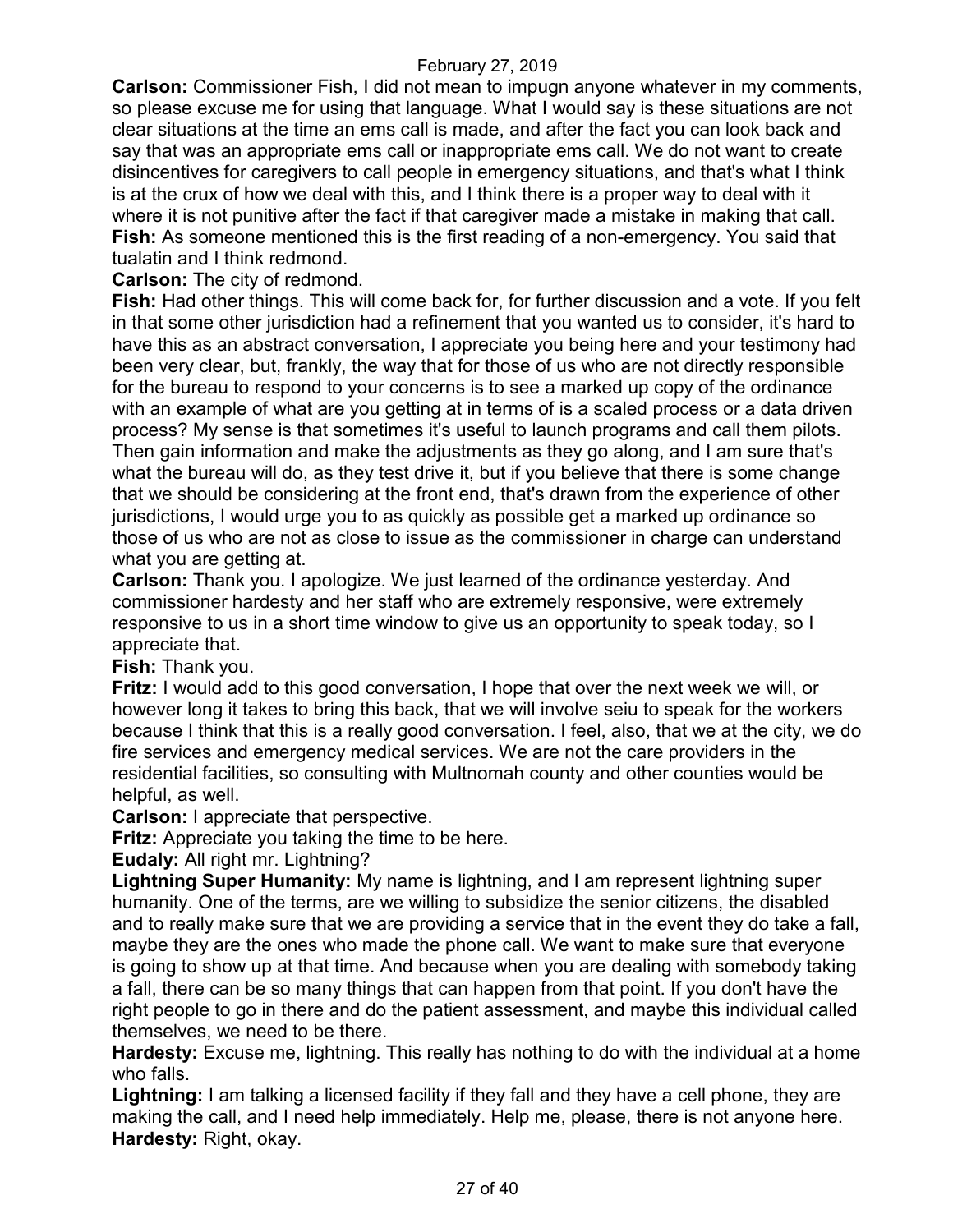**Carlson:** Commissioner Fish, I did not mean to impugn anyone whatever in my comments, so please excuse me for using that language. What I would say is these situations are not clear situations at the time an ems call is made, and after the fact you can look back and say that was an appropriate ems call or inappropriate ems call. We do not want to create disincentives for caregivers to call people in emergency situations, and that's what I think is at the crux of how we deal with this, and I think there is a proper way to deal with it where it is not punitive after the fact if that caregiver made a mistake in making that call. **Fish:** As someone mentioned this is the first reading of a non-emergency. You said that tualatin and I think redmond.

**Carlson:** The city of redmond.

**Fish:** Had other things. This will come back for, for further discussion and a vote. If you felt in that some other jurisdiction had a refinement that you wanted us to consider, it's hard to have this as an abstract conversation, I appreciate you being here and your testimony had been very clear, but, frankly, the way that for those of us who are not directly responsible for the bureau to respond to your concerns is to see a marked up copy of the ordinance with an example of what are you getting at in terms of is a scaled process or a data driven process? My sense is that sometimes it's useful to launch programs and call them pilots. Then gain information and make the adjustments as they go along, and I am sure that's what the bureau will do, as they test drive it, but if you believe that there is some change that we should be considering at the front end, that's drawn from the experience of other jurisdictions, I would urge you to as quickly as possible get a marked up ordinance so those of us who are not as close to issue as the commissioner in charge can understand what you are getting at.

**Carlson:** Thank you. I apologize. We just learned of the ordinance yesterday. And commissioner hardesty and her staff who are extremely responsive, were extremely responsive to us in a short time window to give us an opportunity to speak today, so I appreciate that.

**Fish:** Thank you.

**Fritz:** I would add to this good conversation, I hope that over the next week we will, or however long it takes to bring this back, that we will involve seiu to speak for the workers because I think that this is a really good conversation. I feel, also, that we at the city, we do fire services and emergency medical services. We are not the care providers in the residential facilities, so consulting with Multnomah county and other counties would be helpful, as well.

**Carlson:** I appreciate that perspective.

**Fritz:** Appreciate you taking the time to be here.

**Eudaly:** All right mr. Lightning?

**Lightning Super Humanity:** My name is lightning, and I am represent lightning super humanity. One of the terms, are we willing to subsidize the senior citizens, the disabled and to really make sure that we are providing a service that in the event they do take a fall, maybe they are the ones who made the phone call. We want to make sure that everyone is going to show up at that time. And because when you are dealing with somebody taking a fall, there can be so many things that can happen from that point. If you don't have the right people to go in there and do the patient assessment, and maybe this individual called themselves, we need to be there.

**Hardesty:** Excuse me, lightning. This really has nothing to do with the individual at a home who falls.

**Lightning:** I am talking a licensed facility if they fall and they have a cell phone, they are making the call, and I need help immediately. Help me, please, there is not anyone here. **Hardesty:** Right, okay.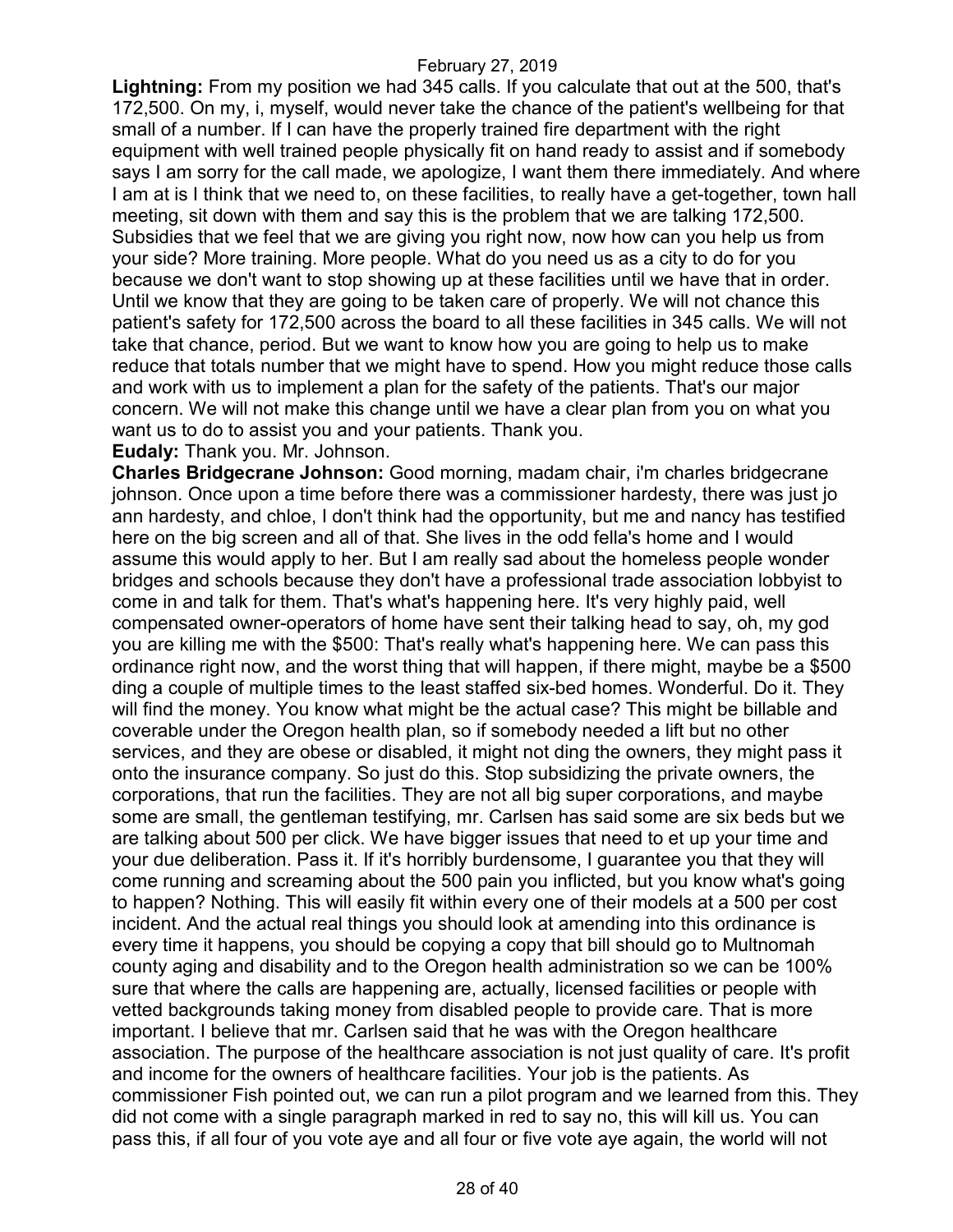**Lightning:** From my position we had 345 calls. If you calculate that out at the 500, that's 172,500. On my, i, myself, would never take the chance of the patient's wellbeing for that small of a number. If I can have the properly trained fire department with the right equipment with well trained people physically fit on hand ready to assist and if somebody says I am sorry for the call made, we apologize, I want them there immediately. And where I am at is I think that we need to, on these facilities, to really have a get-together, town hall meeting, sit down with them and say this is the problem that we are talking 172,500. Subsidies that we feel that we are giving you right now, now how can you help us from your side? More training. More people. What do you need us as a city to do for you because we don't want to stop showing up at these facilities until we have that in order. Until we know that they are going to be taken care of properly. We will not chance this patient's safety for 172,500 across the board to all these facilities in 345 calls. We will not take that chance, period. But we want to know how you are going to help us to make reduce that totals number that we might have to spend. How you might reduce those calls and work with us to implement a plan for the safety of the patients. That's our major concern. We will not make this change until we have a clear plan from you on what you want us to do to assist you and your patients. Thank you.

**Eudaly:** Thank you. Mr. Johnson.

**Charles Bridgecrane Johnson:** Good morning, madam chair, i'm charles bridgecrane johnson. Once upon a time before there was a commissioner hardesty, there was just jo ann hardesty, and chloe, I don't think had the opportunity, but me and nancy has testified here on the big screen and all of that. She lives in the odd fella's home and I would assume this would apply to her. But I am really sad about the homeless people wonder bridges and schools because they don't have a professional trade association lobbyist to come in and talk for them. That's what's happening here. It's very highly paid, well compensated owner-operators of home have sent their talking head to say, oh, my god you are killing me with the \$500: That's really what's happening here. We can pass this ordinance right now, and the worst thing that will happen, if there might, maybe be a \$500 ding a couple of multiple times to the least staffed six-bed homes. Wonderful. Do it. They will find the money. You know what might be the actual case? This might be billable and coverable under the Oregon health plan, so if somebody needed a lift but no other services, and they are obese or disabled, it might not ding the owners, they might pass it onto the insurance company. So just do this. Stop subsidizing the private owners, the corporations, that run the facilities. They are not all big super corporations, and maybe some are small, the gentleman testifying, mr. Carlsen has said some are six beds but we are talking about 500 per click. We have bigger issues that need to et up your time and your due deliberation. Pass it. If it's horribly burdensome, I guarantee you that they will come running and screaming about the 500 pain you inflicted, but you know what's going to happen? Nothing. This will easily fit within every one of their models at a 500 per cost incident. And the actual real things you should look at amending into this ordinance is every time it happens, you should be copying a copy that bill should go to Multnomah county aging and disability and to the Oregon health administration so we can be 100% sure that where the calls are happening are, actually, licensed facilities or people with vetted backgrounds taking money from disabled people to provide care. That is more important. I believe that mr. Carlsen said that he was with the Oregon healthcare association. The purpose of the healthcare association is not just quality of care. It's profit and income for the owners of healthcare facilities. Your job is the patients. As commissioner Fish pointed out, we can run a pilot program and we learned from this. They did not come with a single paragraph marked in red to say no, this will kill us. You can pass this, if all four of you vote aye and all four or five vote aye again, the world will not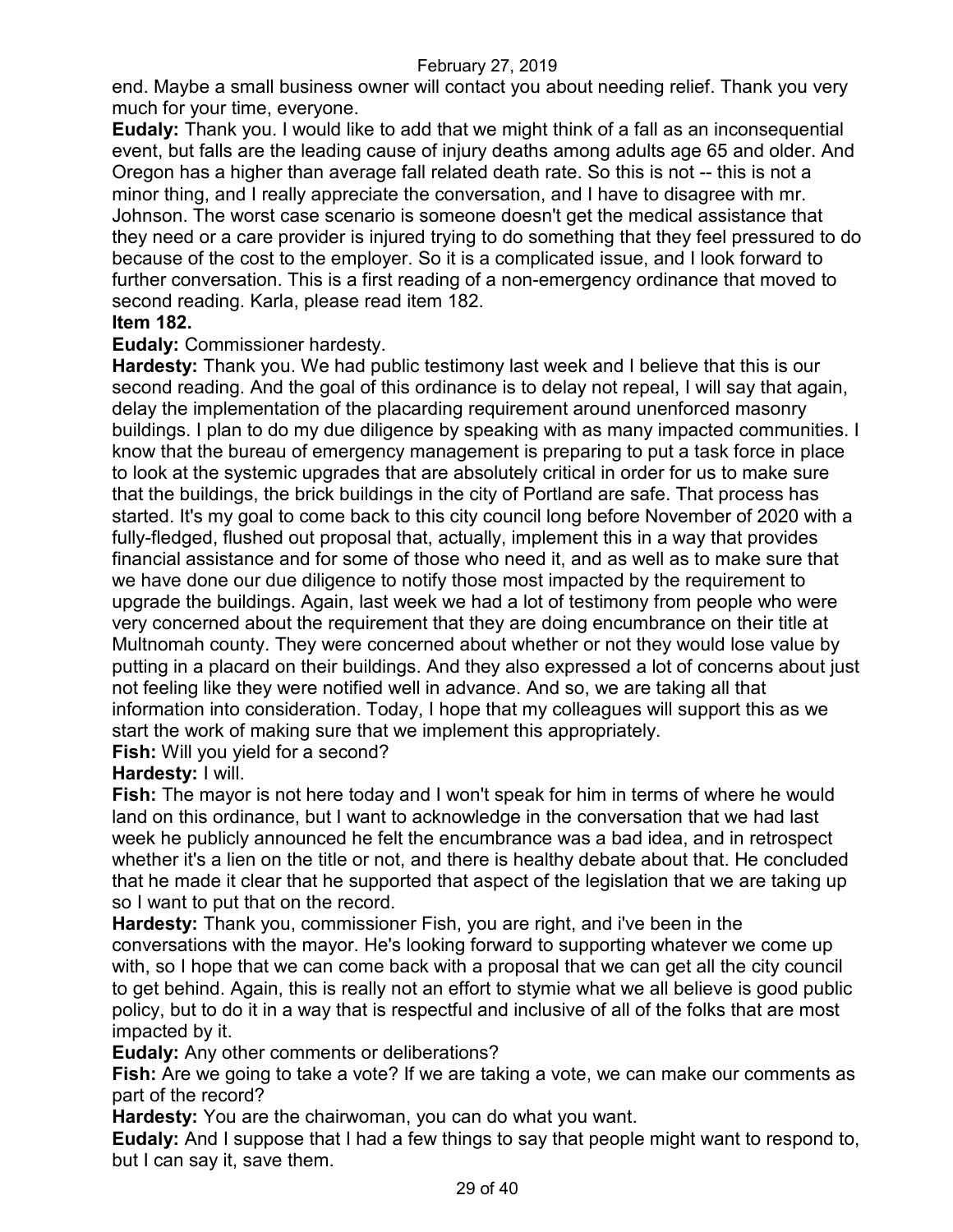end. Maybe a small business owner will contact you about needing relief. Thank you very much for your time, everyone.

**Eudaly:** Thank you. I would like to add that we might think of a fall as an inconsequential event, but falls are the leading cause of injury deaths among adults age 65 and older. And Oregon has a higher than average fall related death rate. So this is not -- this is not a minor thing, and I really appreciate the conversation, and I have to disagree with mr. Johnson. The worst case scenario is someone doesn't get the medical assistance that they need or a care provider is injured trying to do something that they feel pressured to do because of the cost to the employer. So it is a complicated issue, and I look forward to further conversation. This is a first reading of a non-emergency ordinance that moved to second reading. Karla, please read item 182.

### **Item 182.**

**Eudaly:** Commissioner hardesty.

**Hardesty:** Thank you. We had public testimony last week and I believe that this is our second reading. And the goal of this ordinance is to delay not repeal, I will say that again, delay the implementation of the placarding requirement around unenforced masonry buildings. I plan to do my due diligence by speaking with as many impacted communities. I know that the bureau of emergency management is preparing to put a task force in place to look at the systemic upgrades that are absolutely critical in order for us to make sure that the buildings, the brick buildings in the city of Portland are safe. That process has started. It's my goal to come back to this city council long before November of 2020 with a fully-fledged, flushed out proposal that, actually, implement this in a way that provides financial assistance and for some of those who need it, and as well as to make sure that we have done our due diligence to notify those most impacted by the requirement to upgrade the buildings. Again, last week we had a lot of testimony from people who were very concerned about the requirement that they are doing encumbrance on their title at Multnomah county. They were concerned about whether or not they would lose value by putting in a placard on their buildings. And they also expressed a lot of concerns about just not feeling like they were notified well in advance. And so, we are taking all that information into consideration. Today, I hope that my colleagues will support this as we start the work of making sure that we implement this appropriately.

**Fish:** Will you yield for a second?

### **Hardesty:** I will.

**Fish:** The mayor is not here today and I won't speak for him in terms of where he would land on this ordinance, but I want to acknowledge in the conversation that we had last week he publicly announced he felt the encumbrance was a bad idea, and in retrospect whether it's a lien on the title or not, and there is healthy debate about that. He concluded that he made it clear that he supported that aspect of the legislation that we are taking up so I want to put that on the record.

**Hardesty:** Thank you, commissioner Fish, you are right, and i've been in the conversations with the mayor. He's looking forward to supporting whatever we come up with, so I hope that we can come back with a proposal that we can get all the city council to get behind. Again, this is really not an effort to stymie what we all believe is good public policy, but to do it in a way that is respectful and inclusive of all of the folks that are most impacted by it.

**Eudaly:** Any other comments or deliberations?

**Fish:** Are we going to take a vote? If we are taking a vote, we can make our comments as part of the record?

**Hardesty:** You are the chairwoman, you can do what you want.

**Eudaly:** And I suppose that I had a few things to say that people might want to respond to, but I can say it, save them.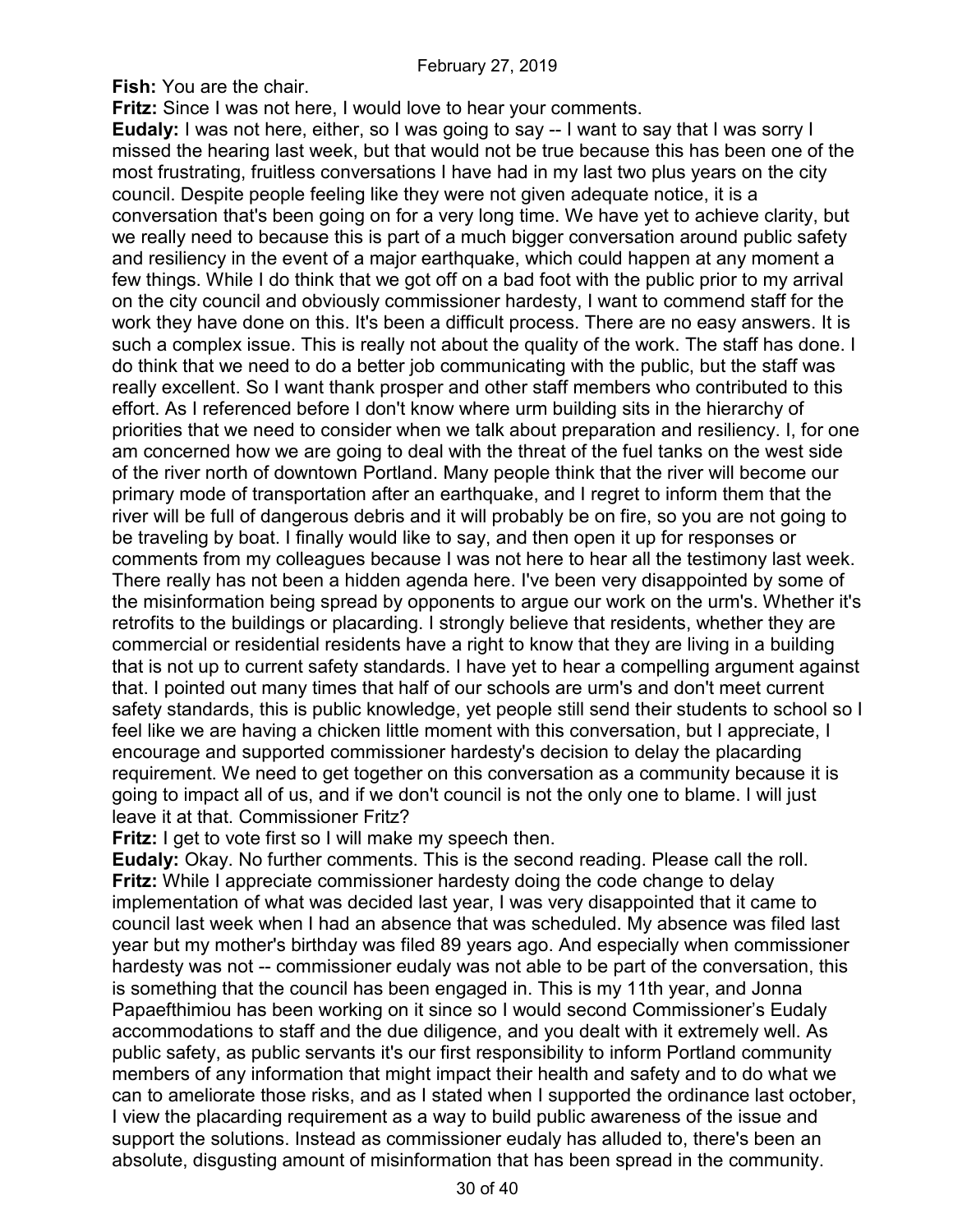**Fish:** You are the chair.

**Fritz:** Since I was not here, I would love to hear your comments.

**Eudaly:** I was not here, either, so I was going to say -- I want to say that I was sorry I missed the hearing last week, but that would not be true because this has been one of the most frustrating, fruitless conversations I have had in my last two plus years on the city council. Despite people feeling like they were not given adequate notice, it is a conversation that's been going on for a very long time. We have yet to achieve clarity, but we really need to because this is part of a much bigger conversation around public safety and resiliency in the event of a major earthquake, which could happen at any moment a few things. While I do think that we got off on a bad foot with the public prior to my arrival on the city council and obviously commissioner hardesty, I want to commend staff for the work they have done on this. It's been a difficult process. There are no easy answers. It is such a complex issue. This is really not about the quality of the work. The staff has done. I do think that we need to do a better job communicating with the public, but the staff was really excellent. So I want thank prosper and other staff members who contributed to this effort. As I referenced before I don't know where urm building sits in the hierarchy of priorities that we need to consider when we talk about preparation and resiliency. I, for one am concerned how we are going to deal with the threat of the fuel tanks on the west side of the river north of downtown Portland. Many people think that the river will become our primary mode of transportation after an earthquake, and I regret to inform them that the river will be full of dangerous debris and it will probably be on fire, so you are not going to be traveling by boat. I finally would like to say, and then open it up for responses or comments from my colleagues because I was not here to hear all the testimony last week. There really has not been a hidden agenda here. I've been very disappointed by some of the misinformation being spread by opponents to argue our work on the urm's. Whether it's retrofits to the buildings or placarding. I strongly believe that residents, whether they are commercial or residential residents have a right to know that they are living in a building that is not up to current safety standards. I have yet to hear a compelling argument against that. I pointed out many times that half of our schools are urm's and don't meet current safety standards, this is public knowledge, yet people still send their students to school so I feel like we are having a chicken little moment with this conversation, but I appreciate, I encourage and supported commissioner hardesty's decision to delay the placarding requirement. We need to get together on this conversation as a community because it is going to impact all of us, and if we don't council is not the only one to blame. I will just leave it at that. Commissioner Fritz?

**Fritz:** I get to vote first so I will make my speech then.

**Eudaly:** Okay. No further comments. This is the second reading. Please call the roll. **Fritz:** While I appreciate commissioner hardesty doing the code change to delay implementation of what was decided last year, I was very disappointed that it came to council last week when I had an absence that was scheduled. My absence was filed last year but my mother's birthday was filed 89 years ago. And especially when commissioner hardesty was not -- commissioner eudaly was not able to be part of the conversation, this is something that the council has been engaged in. This is my 11th year, and Jonna Papaefthimiou has been working on it since so I would second Commissioner's Eudaly accommodations to staff and the due diligence, and you dealt with it extremely well. As public safety, as public servants it's our first responsibility to inform Portland community members of any information that might impact their health and safety and to do what we can to ameliorate those risks, and as I stated when I supported the ordinance last october, I view the placarding requirement as a way to build public awareness of the issue and support the solutions. Instead as commissioner eudaly has alluded to, there's been an absolute, disgusting amount of misinformation that has been spread in the community.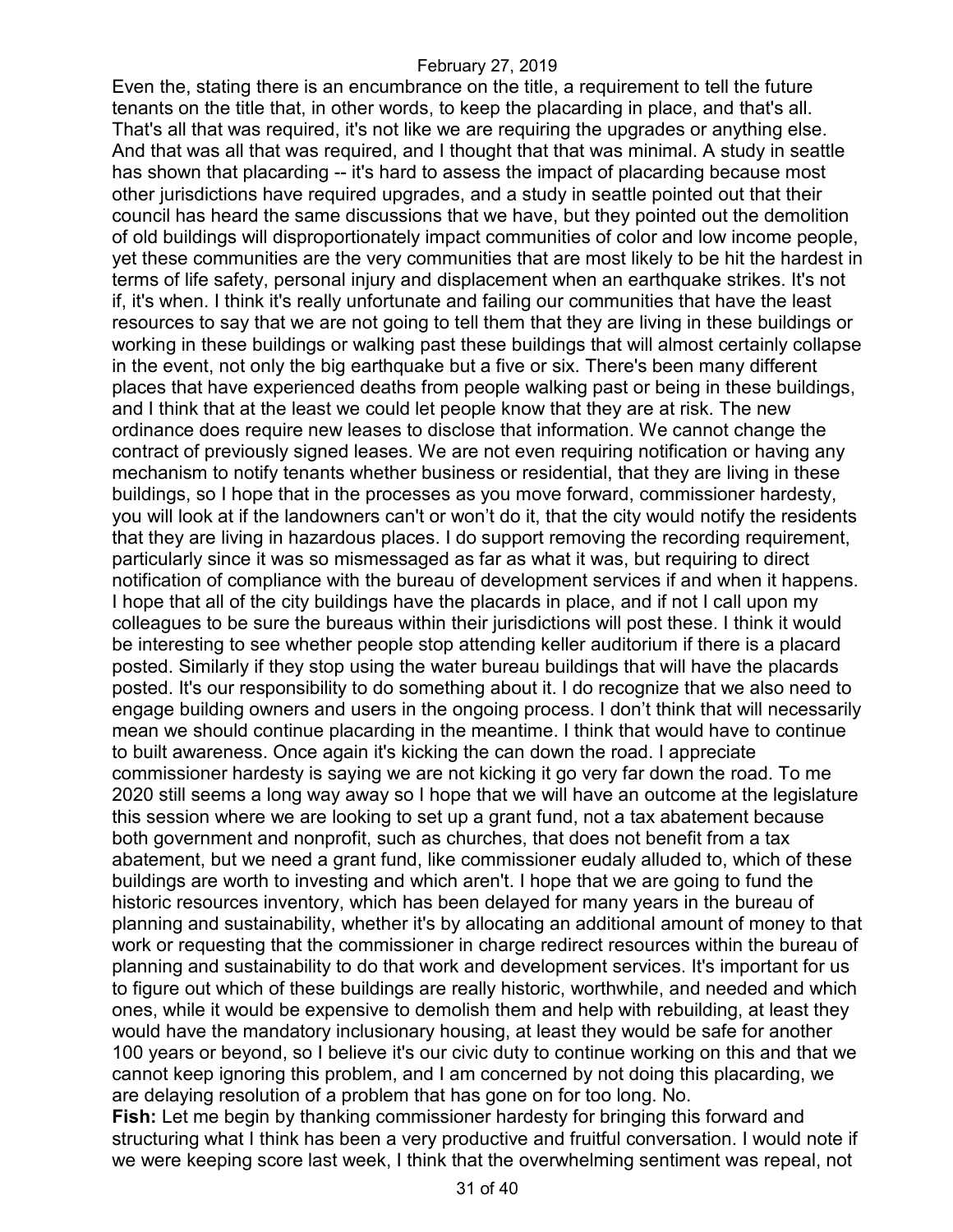Even the, stating there is an encumbrance on the title, a requirement to tell the future tenants on the title that, in other words, to keep the placarding in place, and that's all. That's all that was required, it's not like we are requiring the upgrades or anything else. And that was all that was required, and I thought that that was minimal. A study in seattle has shown that placarding -- it's hard to assess the impact of placarding because most other jurisdictions have required upgrades, and a study in seattle pointed out that their council has heard the same discussions that we have, but they pointed out the demolition of old buildings will disproportionately impact communities of color and low income people, yet these communities are the very communities that are most likely to be hit the hardest in terms of life safety, personal injury and displacement when an earthquake strikes. It's not if, it's when. I think it's really unfortunate and failing our communities that have the least resources to say that we are not going to tell them that they are living in these buildings or working in these buildings or walking past these buildings that will almost certainly collapse in the event, not only the big earthquake but a five or six. There's been many different places that have experienced deaths from people walking past or being in these buildings, and I think that at the least we could let people know that they are at risk. The new ordinance does require new leases to disclose that information. We cannot change the contract of previously signed leases. We are not even requiring notification or having any mechanism to notify tenants whether business or residential, that they are living in these buildings, so I hope that in the processes as you move forward, commissioner hardesty, you will look at if the landowners can't or won't do it, that the city would notify the residents that they are living in hazardous places. I do support removing the recording requirement, particularly since it was so mismessaged as far as what it was, but requiring to direct notification of compliance with the bureau of development services if and when it happens. I hope that all of the city buildings have the placards in place, and if not I call upon my colleagues to be sure the bureaus within their jurisdictions will post these. I think it would be interesting to see whether people stop attending keller auditorium if there is a placard posted. Similarly if they stop using the water bureau buildings that will have the placards posted. It's our responsibility to do something about it. I do recognize that we also need to engage building owners and users in the ongoing process. I don't think that will necessarily mean we should continue placarding in the meantime. I think that would have to continue to built awareness. Once again it's kicking the can down the road. I appreciate commissioner hardesty is saying we are not kicking it go very far down the road. To me 2020 still seems a long way away so I hope that we will have an outcome at the legislature this session where we are looking to set up a grant fund, not a tax abatement because both government and nonprofit, such as churches, that does not benefit from a tax abatement, but we need a grant fund, like commissioner eudaly alluded to, which of these buildings are worth to investing and which aren't. I hope that we are going to fund the historic resources inventory, which has been delayed for many years in the bureau of planning and sustainability, whether it's by allocating an additional amount of money to that work or requesting that the commissioner in charge redirect resources within the bureau of planning and sustainability to do that work and development services. It's important for us to figure out which of these buildings are really historic, worthwhile, and needed and which ones, while it would be expensive to demolish them and help with rebuilding, at least they would have the mandatory inclusionary housing, at least they would be safe for another 100 years or beyond, so I believe it's our civic duty to continue working on this and that we cannot keep ignoring this problem, and I am concerned by not doing this placarding, we are delaying resolution of a problem that has gone on for too long. No.

**Fish:** Let me begin by thanking commissioner hardesty for bringing this forward and structuring what I think has been a very productive and fruitful conversation. I would note if we were keeping score last week, I think that the overwhelming sentiment was repeal, not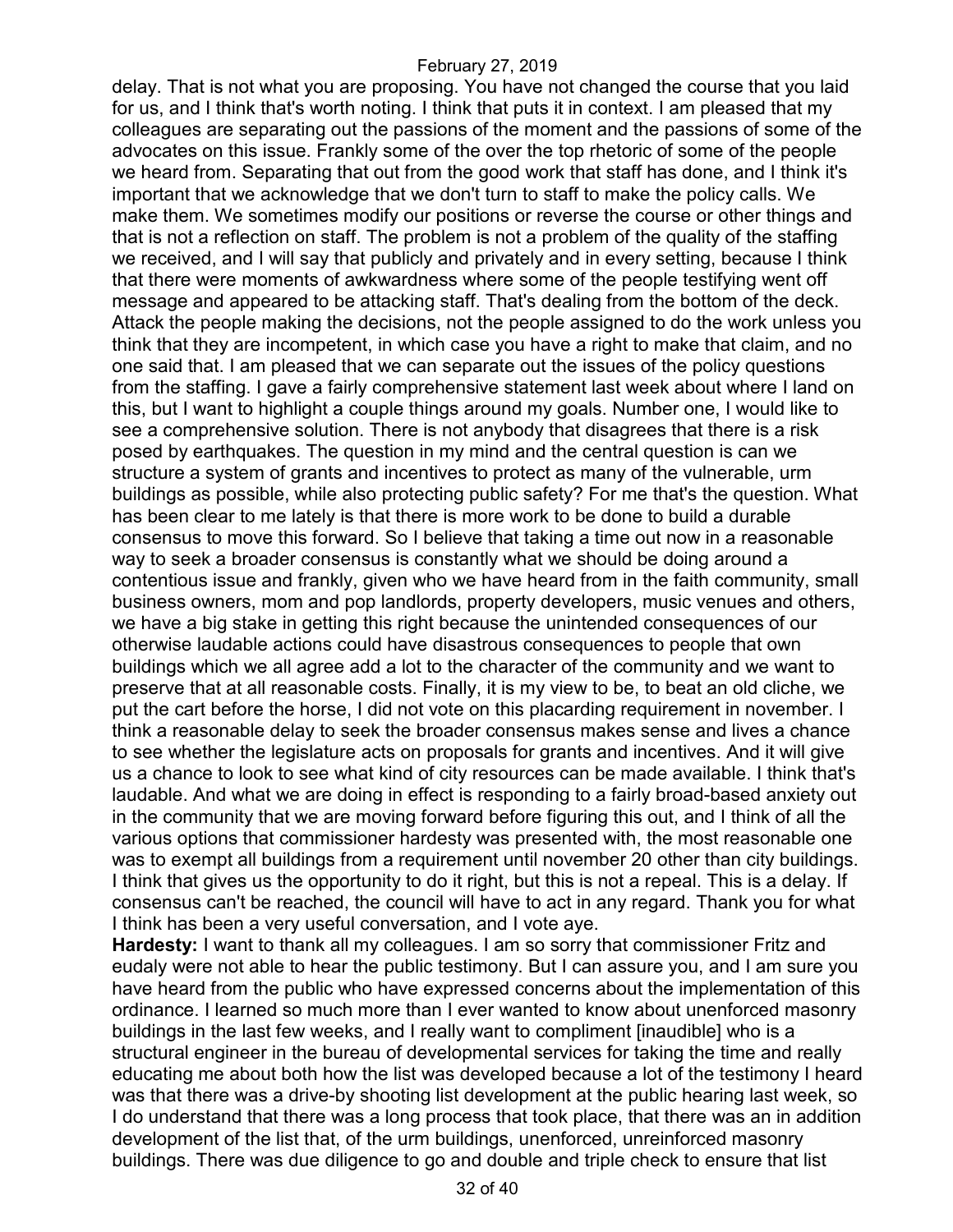delay. That is not what you are proposing. You have not changed the course that you laid for us, and I think that's worth noting. I think that puts it in context. I am pleased that my colleagues are separating out the passions of the moment and the passions of some of the advocates on this issue. Frankly some of the over the top rhetoric of some of the people we heard from. Separating that out from the good work that staff has done, and I think it's important that we acknowledge that we don't turn to staff to make the policy calls. We make them. We sometimes modify our positions or reverse the course or other things and that is not a reflection on staff. The problem is not a problem of the quality of the staffing we received, and I will say that publicly and privately and in every setting, because I think that there were moments of awkwardness where some of the people testifying went off message and appeared to be attacking staff. That's dealing from the bottom of the deck. Attack the people making the decisions, not the people assigned to do the work unless you think that they are incompetent, in which case you have a right to make that claim, and no one said that. I am pleased that we can separate out the issues of the policy questions from the staffing. I gave a fairly comprehensive statement last week about where I land on this, but I want to highlight a couple things around my goals. Number one, I would like to see a comprehensive solution. There is not anybody that disagrees that there is a risk posed by earthquakes. The question in my mind and the central question is can we structure a system of grants and incentives to protect as many of the vulnerable, urm buildings as possible, while also protecting public safety? For me that's the question. What has been clear to me lately is that there is more work to be done to build a durable consensus to move this forward. So I believe that taking a time out now in a reasonable way to seek a broader consensus is constantly what we should be doing around a contentious issue and frankly, given who we have heard from in the faith community, small business owners, mom and pop landlords, property developers, music venues and others, we have a big stake in getting this right because the unintended consequences of our otherwise laudable actions could have disastrous consequences to people that own buildings which we all agree add a lot to the character of the community and we want to preserve that at all reasonable costs. Finally, it is my view to be, to beat an old cliche, we put the cart before the horse, I did not vote on this placarding requirement in november. I think a reasonable delay to seek the broader consensus makes sense and lives a chance to see whether the legislature acts on proposals for grants and incentives. And it will give us a chance to look to see what kind of city resources can be made available. I think that's laudable. And what we are doing in effect is responding to a fairly broad-based anxiety out in the community that we are moving forward before figuring this out, and I think of all the various options that commissioner hardesty was presented with, the most reasonable one was to exempt all buildings from a requirement until november 20 other than city buildings. I think that gives us the opportunity to do it right, but this is not a repeal. This is a delay. If consensus can't be reached, the council will have to act in any regard. Thank you for what I think has been a very useful conversation, and I vote aye.

**Hardesty:** I want to thank all my colleagues. I am so sorry that commissioner Fritz and eudaly were not able to hear the public testimony. But I can assure you, and I am sure you have heard from the public who have expressed concerns about the implementation of this ordinance. I learned so much more than I ever wanted to know about unenforced masonry buildings in the last few weeks, and I really want to compliment [inaudible] who is a structural engineer in the bureau of developmental services for taking the time and really educating me about both how the list was developed because a lot of the testimony I heard was that there was a drive-by shooting list development at the public hearing last week, so I do understand that there was a long process that took place, that there was an in addition development of the list that, of the urm buildings, unenforced, unreinforced masonry buildings. There was due diligence to go and double and triple check to ensure that list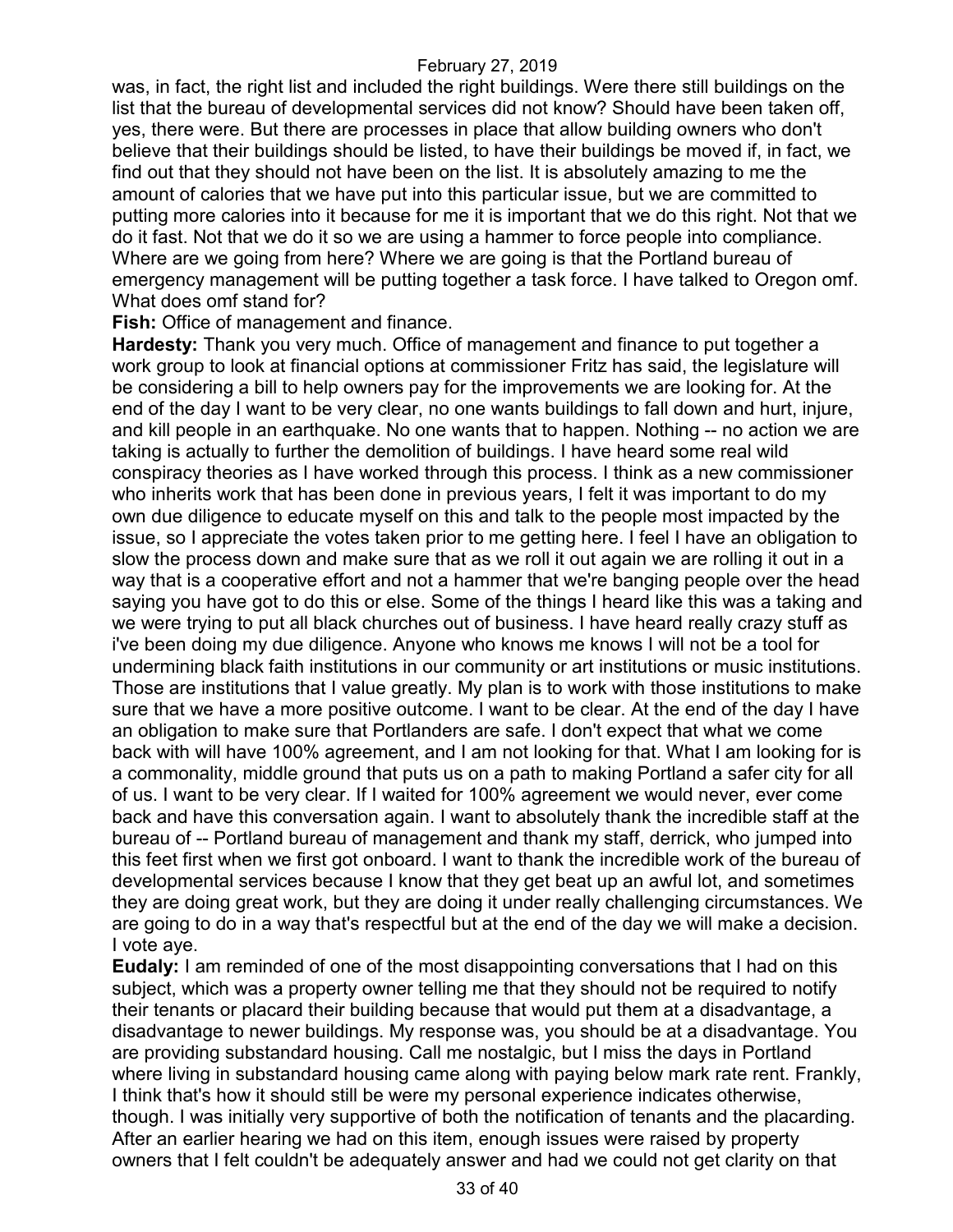was, in fact, the right list and included the right buildings. Were there still buildings on the list that the bureau of developmental services did not know? Should have been taken off, yes, there were. But there are processes in place that allow building owners who don't believe that their buildings should be listed, to have their buildings be moved if, in fact, we find out that they should not have been on the list. It is absolutely amazing to me the amount of calories that we have put into this particular issue, but we are committed to putting more calories into it because for me it is important that we do this right. Not that we do it fast. Not that we do it so we are using a hammer to force people into compliance. Where are we going from here? Where we are going is that the Portland bureau of emergency management will be putting together a task force. I have talked to Oregon omf. What does omf stand for?

**Fish:** Office of management and finance.

**Hardesty:** Thank you very much. Office of management and finance to put together a work group to look at financial options at commissioner Fritz has said, the legislature will be considering a bill to help owners pay for the improvements we are looking for. At the end of the day I want to be very clear, no one wants buildings to fall down and hurt, injure, and kill people in an earthquake. No one wants that to happen. Nothing -- no action we are taking is actually to further the demolition of buildings. I have heard some real wild conspiracy theories as I have worked through this process. I think as a new commissioner who inherits work that has been done in previous years, I felt it was important to do my own due diligence to educate myself on this and talk to the people most impacted by the issue, so I appreciate the votes taken prior to me getting here. I feel I have an obligation to slow the process down and make sure that as we roll it out again we are rolling it out in a way that is a cooperative effort and not a hammer that we're banging people over the head saying you have got to do this or else. Some of the things I heard like this was a taking and we were trying to put all black churches out of business. I have heard really crazy stuff as i've been doing my due diligence. Anyone who knows me knows I will not be a tool for undermining black faith institutions in our community or art institutions or music institutions. Those are institutions that I value greatly. My plan is to work with those institutions to make sure that we have a more positive outcome. I want to be clear. At the end of the day I have an obligation to make sure that Portlanders are safe. I don't expect that what we come back with will have 100% agreement, and I am not looking for that. What I am looking for is a commonality, middle ground that puts us on a path to making Portland a safer city for all of us. I want to be very clear. If I waited for 100% agreement we would never, ever come back and have this conversation again. I want to absolutely thank the incredible staff at the bureau of -- Portland bureau of management and thank my staff, derrick, who jumped into this feet first when we first got onboard. I want to thank the incredible work of the bureau of developmental services because I know that they get beat up an awful lot, and sometimes they are doing great work, but they are doing it under really challenging circumstances. We are going to do in a way that's respectful but at the end of the day we will make a decision. I vote aye.

**Eudaly:** I am reminded of one of the most disappointing conversations that I had on this subject, which was a property owner telling me that they should not be required to notify their tenants or placard their building because that would put them at a disadvantage, a disadvantage to newer buildings. My response was, you should be at a disadvantage. You are providing substandard housing. Call me nostalgic, but I miss the days in Portland where living in substandard housing came along with paying below mark rate rent. Frankly, I think that's how it should still be were my personal experience indicates otherwise, though. I was initially very supportive of both the notification of tenants and the placarding. After an earlier hearing we had on this item, enough issues were raised by property owners that I felt couldn't be adequately answer and had we could not get clarity on that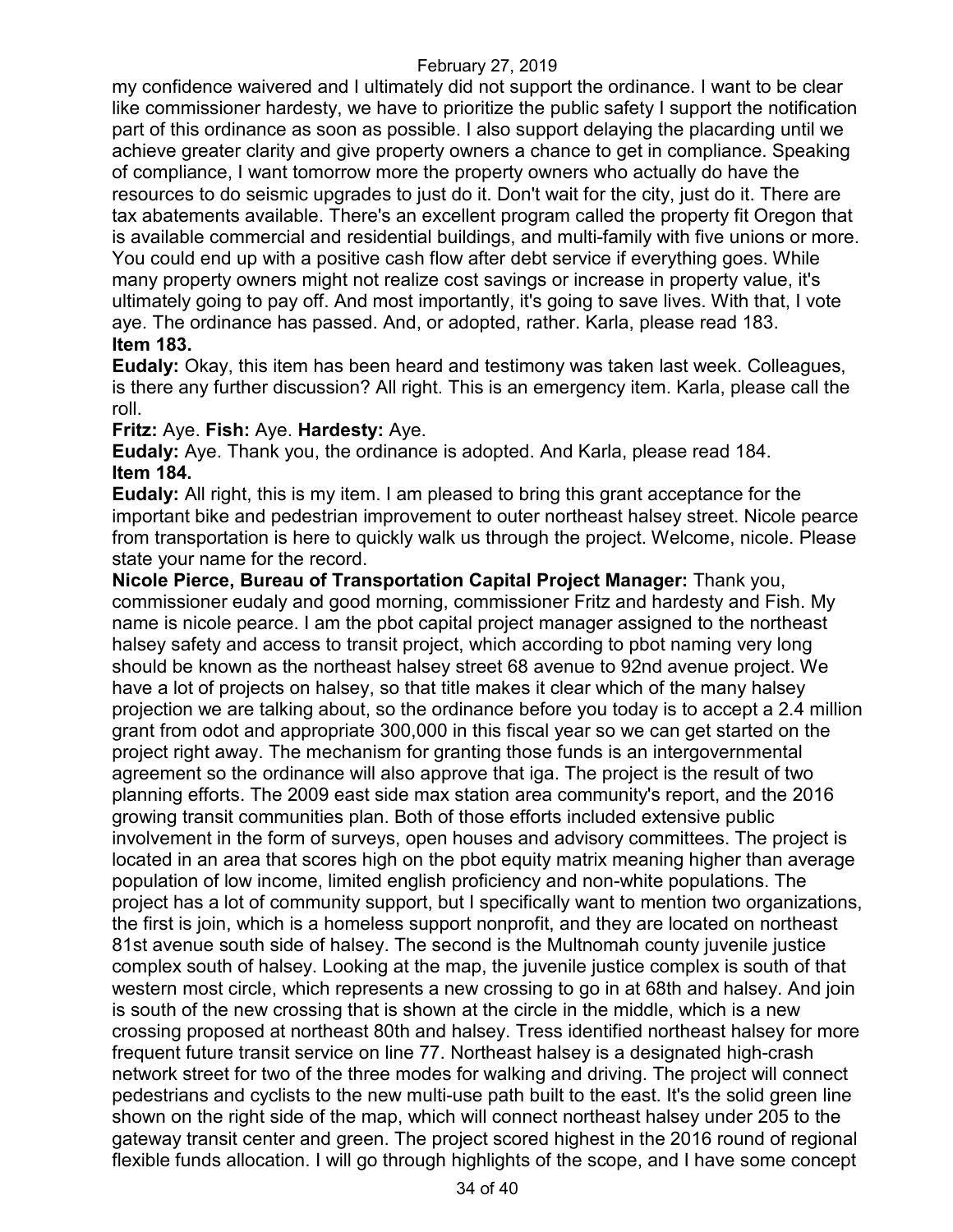my confidence waivered and I ultimately did not support the ordinance. I want to be clear like commissioner hardesty, we have to prioritize the public safety I support the notification part of this ordinance as soon as possible. I also support delaying the placarding until we achieve greater clarity and give property owners a chance to get in compliance. Speaking of compliance, I want tomorrow more the property owners who actually do have the resources to do seismic upgrades to just do it. Don't wait for the city, just do it. There are tax abatements available. There's an excellent program called the property fit Oregon that is available commercial and residential buildings, and multi-family with five unions or more. You could end up with a positive cash flow after debt service if everything goes. While many property owners might not realize cost savings or increase in property value, it's ultimately going to pay off. And most importantly, it's going to save lives. With that, I vote aye. The ordinance has passed. And, or adopted, rather. Karla, please read 183. **Item 183.**

**Eudaly:** Okay, this item has been heard and testimony was taken last week. Colleagues, is there any further discussion? All right. This is an emergency item. Karla, please call the roll.

### **Fritz:** Aye. **Fish:** Aye. **Hardesty:** Aye.

**Eudaly:** Aye. Thank you, the ordinance is adopted. And Karla, please read 184. **Item 184.**

**Eudaly:** All right, this is my item. I am pleased to bring this grant acceptance for the important bike and pedestrian improvement to outer northeast halsey street. Nicole pearce from transportation is here to quickly walk us through the project. Welcome, nicole. Please state your name for the record.

**Nicole Pierce, Bureau of Transportation Capital Project Manager:** Thank you, commissioner eudaly and good morning, commissioner Fritz and hardesty and Fish. My name is nicole pearce. I am the pbot capital project manager assigned to the northeast halsey safety and access to transit project, which according to pbot naming very long should be known as the northeast halsey street 68 avenue to 92nd avenue project. We have a lot of projects on halsey, so that title makes it clear which of the many halsey projection we are talking about, so the ordinance before you today is to accept a 2.4 million grant from odot and appropriate 300,000 in this fiscal year so we can get started on the project right away. The mechanism for granting those funds is an intergovernmental agreement so the ordinance will also approve that iga. The project is the result of two planning efforts. The 2009 east side max station area community's report, and the 2016 growing transit communities plan. Both of those efforts included extensive public involvement in the form of surveys, open houses and advisory committees. The project is located in an area that scores high on the pbot equity matrix meaning higher than average population of low income, limited english proficiency and non-white populations. The project has a lot of community support, but I specifically want to mention two organizations, the first is join, which is a homeless support nonprofit, and they are located on northeast 81st avenue south side of halsey. The second is the Multnomah county juvenile justice complex south of halsey. Looking at the map, the juvenile justice complex is south of that western most circle, which represents a new crossing to go in at 68th and halsey. And join is south of the new crossing that is shown at the circle in the middle, which is a new crossing proposed at northeast 80th and halsey. Tress identified northeast halsey for more frequent future transit service on line 77. Northeast halsey is a designated high-crash network street for two of the three modes for walking and driving. The project will connect pedestrians and cyclists to the new multi-use path built to the east. It's the solid green line shown on the right side of the map, which will connect northeast halsey under 205 to the gateway transit center and green. The project scored highest in the 2016 round of regional flexible funds allocation. I will go through highlights of the scope, and I have some concept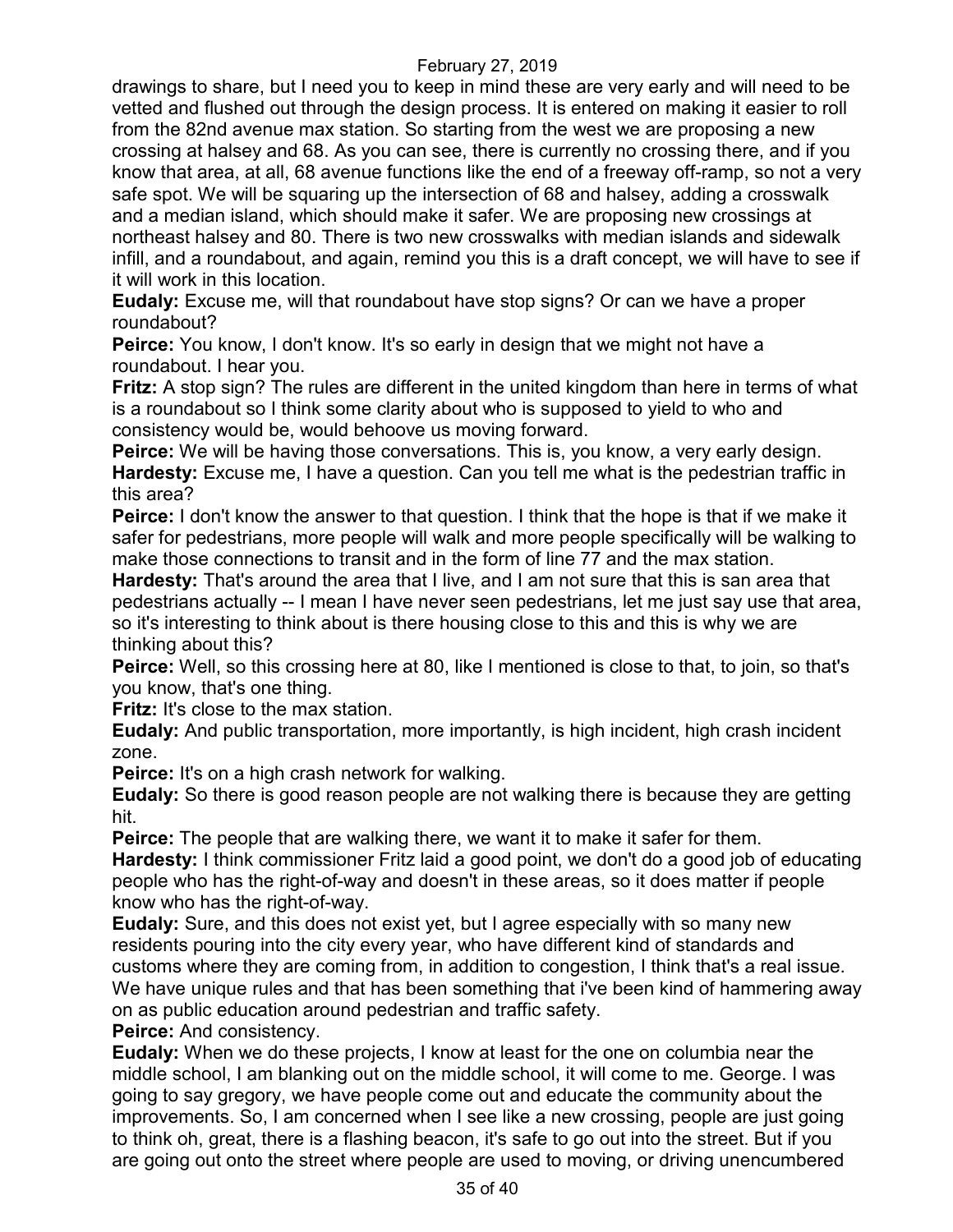drawings to share, but I need you to keep in mind these are very early and will need to be vetted and flushed out through the design process. It is entered on making it easier to roll from the 82nd avenue max station. So starting from the west we are proposing a new crossing at halsey and 68. As you can see, there is currently no crossing there, and if you know that area, at all, 68 avenue functions like the end of a freeway off-ramp, so not a very safe spot. We will be squaring up the intersection of 68 and halsey, adding a crosswalk and a median island, which should make it safer. We are proposing new crossings at northeast halsey and 80. There is two new crosswalks with median islands and sidewalk infill, and a roundabout, and again, remind you this is a draft concept, we will have to see if it will work in this location.

**Eudaly:** Excuse me, will that roundabout have stop signs? Or can we have a proper roundabout?

**Peirce:** You know, I don't know. It's so early in design that we might not have a roundabout. I hear you.

**Fritz:** A stop sign? The rules are different in the united kingdom than here in terms of what is a roundabout so I think some clarity about who is supposed to yield to who and consistency would be, would behoove us moving forward.

**Peirce:** We will be having those conversations. This is, you know, a very early design. **Hardesty:** Excuse me, I have a question. Can you tell me what is the pedestrian traffic in this area?

**Peirce:** I don't know the answer to that question. I think that the hope is that if we make it safer for pedestrians, more people will walk and more people specifically will be walking to make those connections to transit and in the form of line 77 and the max station.

**Hardesty:** That's around the area that I live, and I am not sure that this is san area that pedestrians actually -- I mean I have never seen pedestrians, let me just say use that area, so it's interesting to think about is there housing close to this and this is why we are thinking about this?

**Peirce:** Well, so this crossing here at 80, like I mentioned is close to that, to join, so that's you know, that's one thing.

**Fritz:** It's close to the max station.

**Eudaly:** And public transportation, more importantly, is high incident, high crash incident zone.

**Peirce:** It's on a high crash network for walking.

**Eudaly:** So there is good reason people are not walking there is because they are getting hit.

**Peirce:** The people that are walking there, we want it to make it safer for them.

**Hardesty:** I think commissioner Fritz laid a good point, we don't do a good job of educating people who has the right-of-way and doesn't in these areas, so it does matter if people know who has the right-of-way.

**Eudaly:** Sure, and this does not exist yet, but I agree especially with so many new residents pouring into the city every year, who have different kind of standards and customs where they are coming from, in addition to congestion, I think that's a real issue. We have unique rules and that has been something that i've been kind of hammering away on as public education around pedestrian and traffic safety.

**Peirce: And consistency.** 

**Eudaly:** When we do these projects, I know at least for the one on columbia near the middle school, I am blanking out on the middle school, it will come to me. George. I was going to say gregory, we have people come out and educate the community about the improvements. So, I am concerned when I see like a new crossing, people are just going to think oh, great, there is a flashing beacon, it's safe to go out into the street. But if you are going out onto the street where people are used to moving, or driving unencumbered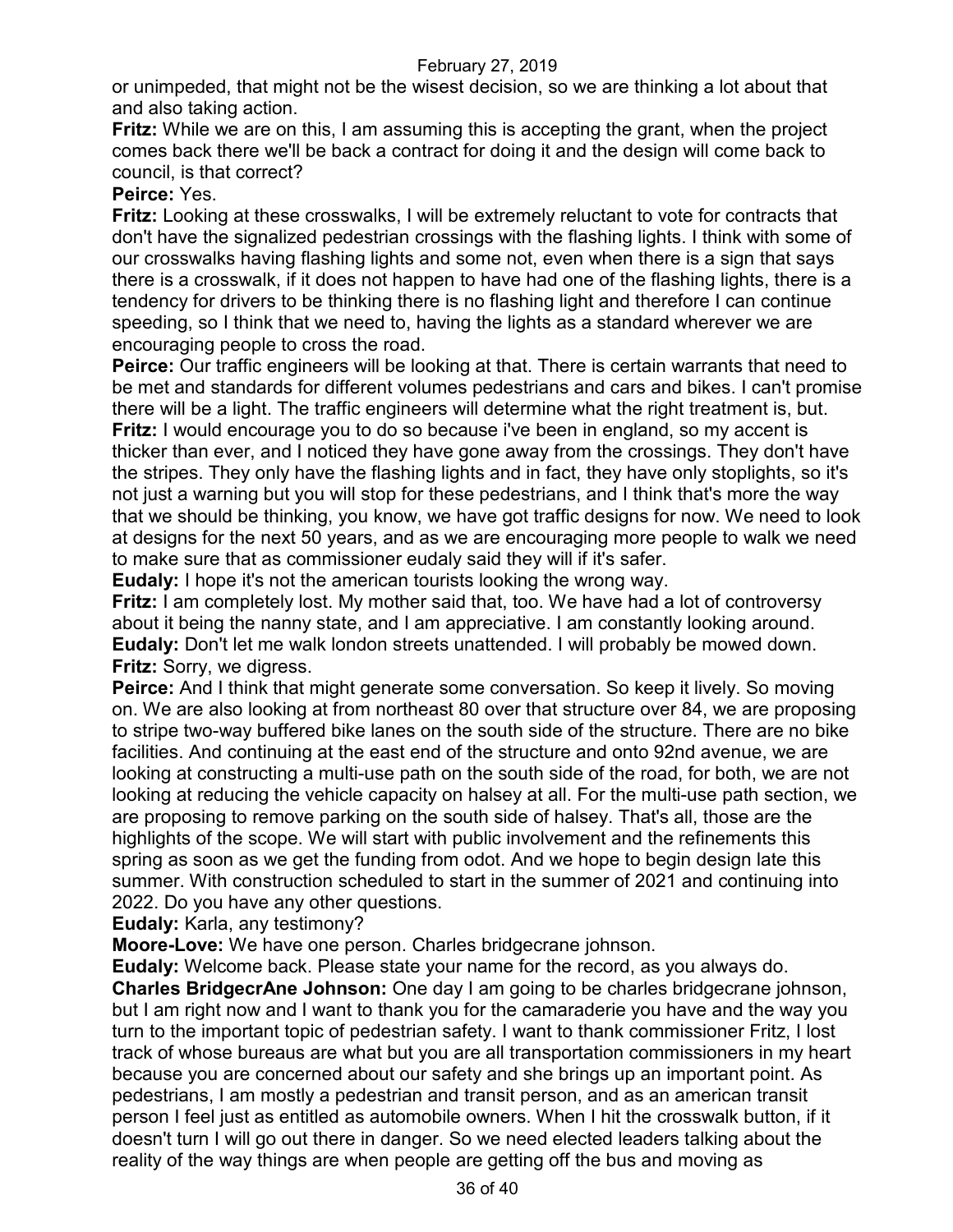or unimpeded, that might not be the wisest decision, so we are thinking a lot about that and also taking action.

**Fritz:** While we are on this, I am assuming this is accepting the grant, when the project comes back there we'll be back a contract for doing it and the design will come back to council, is that correct?

### **Peirce:** Yes.

**Fritz:** Looking at these crosswalks, I will be extremely reluctant to vote for contracts that don't have the signalized pedestrian crossings with the flashing lights. I think with some of our crosswalks having flashing lights and some not, even when there is a sign that says there is a crosswalk, if it does not happen to have had one of the flashing lights, there is a tendency for drivers to be thinking there is no flashing light and therefore I can continue speeding, so I think that we need to, having the lights as a standard wherever we are encouraging people to cross the road.

**Peirce:** Our traffic engineers will be looking at that. There is certain warrants that need to be met and standards for different volumes pedestrians and cars and bikes. I can't promise there will be a light. The traffic engineers will determine what the right treatment is, but. **Fritz:** I would encourage you to do so because i've been in england, so my accent is thicker than ever, and I noticed they have gone away from the crossings. They don't have the stripes. They only have the flashing lights and in fact, they have only stoplights, so it's not just a warning but you will stop for these pedestrians, and I think that's more the way that we should be thinking, you know, we have got traffic designs for now. We need to look at designs for the next 50 years, and as we are encouraging more people to walk we need to make sure that as commissioner eudaly said they will if it's safer.

**Eudaly:** I hope it's not the american tourists looking the wrong way.

**Fritz:** I am completely lost. My mother said that, too. We have had a lot of controversy about it being the nanny state, and I am appreciative. I am constantly looking around. **Eudaly:** Don't let me walk london streets unattended. I will probably be mowed down. **Fritz:** Sorry, we digress.

**Peirce:** And I think that might generate some conversation. So keep it lively. So moving on. We are also looking at from northeast 80 over that structure over 84, we are proposing to stripe two-way buffered bike lanes on the south side of the structure. There are no bike facilities. And continuing at the east end of the structure and onto 92nd avenue, we are looking at constructing a multi-use path on the south side of the road, for both, we are not looking at reducing the vehicle capacity on halsey at all. For the multi-use path section, we are proposing to remove parking on the south side of halsey. That's all, those are the highlights of the scope. We will start with public involvement and the refinements this spring as soon as we get the funding from odot. And we hope to begin design late this summer. With construction scheduled to start in the summer of 2021 and continuing into 2022. Do you have any other questions.

**Eudaly:** Karla, any testimony?

**Moore-Love:** We have one person. Charles bridgecrane johnson.

**Eudaly:** Welcome back. Please state your name for the record, as you always do. **Charles BridgecrAne Johnson:** One day I am going to be charles bridgecrane johnson, but I am right now and I want to thank you for the camaraderie you have and the way you turn to the important topic of pedestrian safety. I want to thank commissioner Fritz, I lost track of whose bureaus are what but you are all transportation commissioners in my heart because you are concerned about our safety and she brings up an important point. As pedestrians, I am mostly a pedestrian and transit person, and as an american transit person I feel just as entitled as automobile owners. When I hit the crosswalk button, if it doesn't turn I will go out there in danger. So we need elected leaders talking about the reality of the way things are when people are getting off the bus and moving as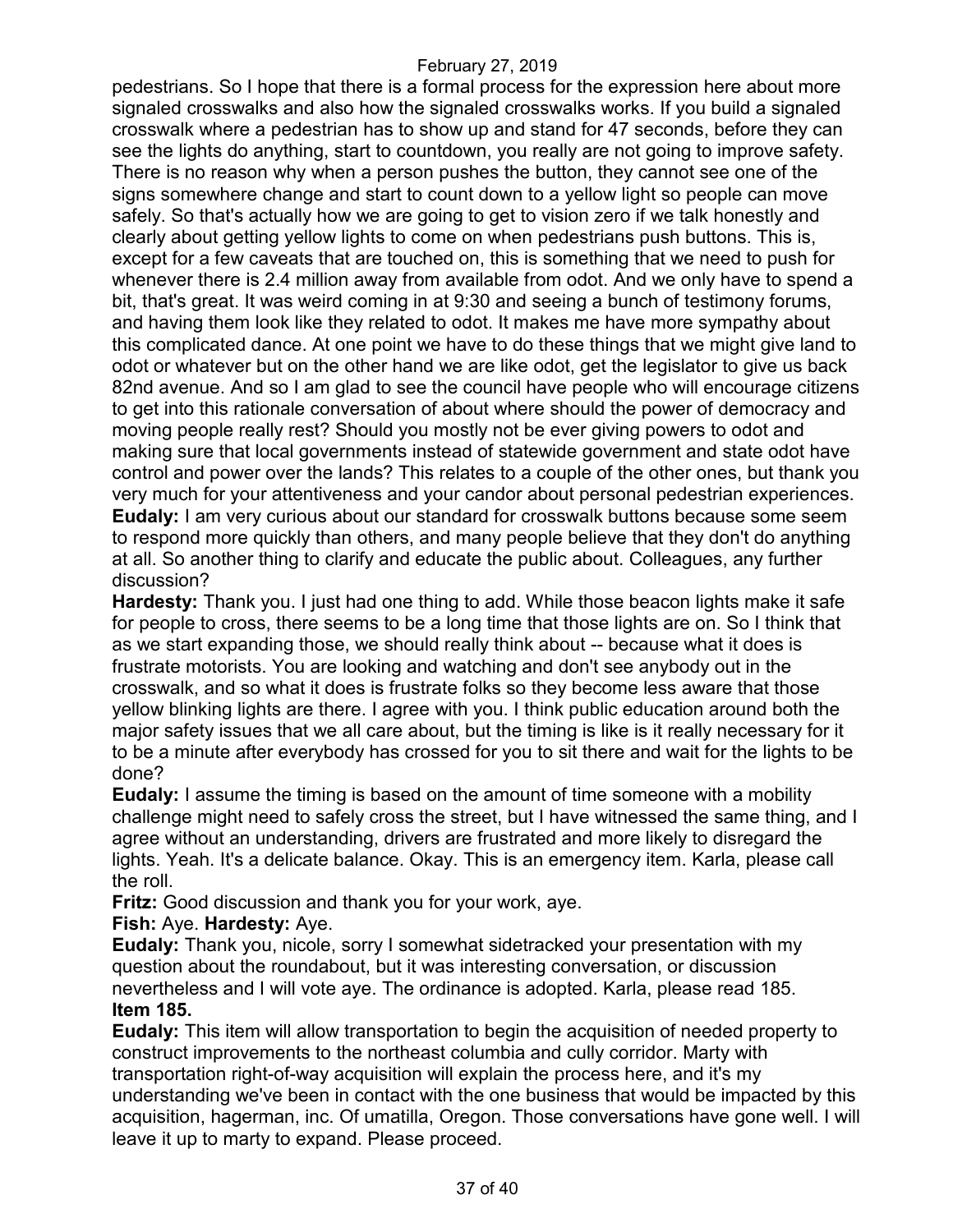pedestrians. So I hope that there is a formal process for the expression here about more signaled crosswalks and also how the signaled crosswalks works. If you build a signaled crosswalk where a pedestrian has to show up and stand for 47 seconds, before they can see the lights do anything, start to countdown, you really are not going to improve safety. There is no reason why when a person pushes the button, they cannot see one of the signs somewhere change and start to count down to a yellow light so people can move safely. So that's actually how we are going to get to vision zero if we talk honestly and clearly about getting yellow lights to come on when pedestrians push buttons. This is, except for a few caveats that are touched on, this is something that we need to push for whenever there is 2.4 million away from available from odot. And we only have to spend a bit, that's great. It was weird coming in at 9:30 and seeing a bunch of testimony forums, and having them look like they related to odot. It makes me have more sympathy about this complicated dance. At one point we have to do these things that we might give land to odot or whatever but on the other hand we are like odot, get the legislator to give us back 82nd avenue. And so I am glad to see the council have people who will encourage citizens to get into this rationale conversation of about where should the power of democracy and moving people really rest? Should you mostly not be ever giving powers to odot and making sure that local governments instead of statewide government and state odot have control and power over the lands? This relates to a couple of the other ones, but thank you very much for your attentiveness and your candor about personal pedestrian experiences. **Eudaly:** I am very curious about our standard for crosswalk buttons because some seem to respond more quickly than others, and many people believe that they don't do anything at all. So another thing to clarify and educate the public about. Colleagues, any further discussion?

**Hardesty:** Thank you. I just had one thing to add. While those beacon lights make it safe for people to cross, there seems to be a long time that those lights are on. So I think that as we start expanding those, we should really think about -- because what it does is frustrate motorists. You are looking and watching and don't see anybody out in the crosswalk, and so what it does is frustrate folks so they become less aware that those yellow blinking lights are there. I agree with you. I think public education around both the major safety issues that we all care about, but the timing is like is it really necessary for it to be a minute after everybody has crossed for you to sit there and wait for the lights to be done?

**Eudaly:** I assume the timing is based on the amount of time someone with a mobility challenge might need to safely cross the street, but I have witnessed the same thing, and I agree without an understanding, drivers are frustrated and more likely to disregard the lights. Yeah. It's a delicate balance. Okay. This is an emergency item. Karla, please call the roll.

**Fritz:** Good discussion and thank you for your work, aye.

### **Fish:** Aye. **Hardesty:** Aye.

**Eudaly:** Thank you, nicole, sorry I somewhat sidetracked your presentation with my question about the roundabout, but it was interesting conversation, or discussion nevertheless and I will vote aye. The ordinance is adopted. Karla, please read 185. **Item 185.**

**Eudaly:** This item will allow transportation to begin the acquisition of needed property to construct improvements to the northeast columbia and cully corridor. Marty with transportation right-of-way acquisition will explain the process here, and it's my understanding we've been in contact with the one business that would be impacted by this acquisition, hagerman, inc. Of umatilla, Oregon. Those conversations have gone well. I will leave it up to marty to expand. Please proceed.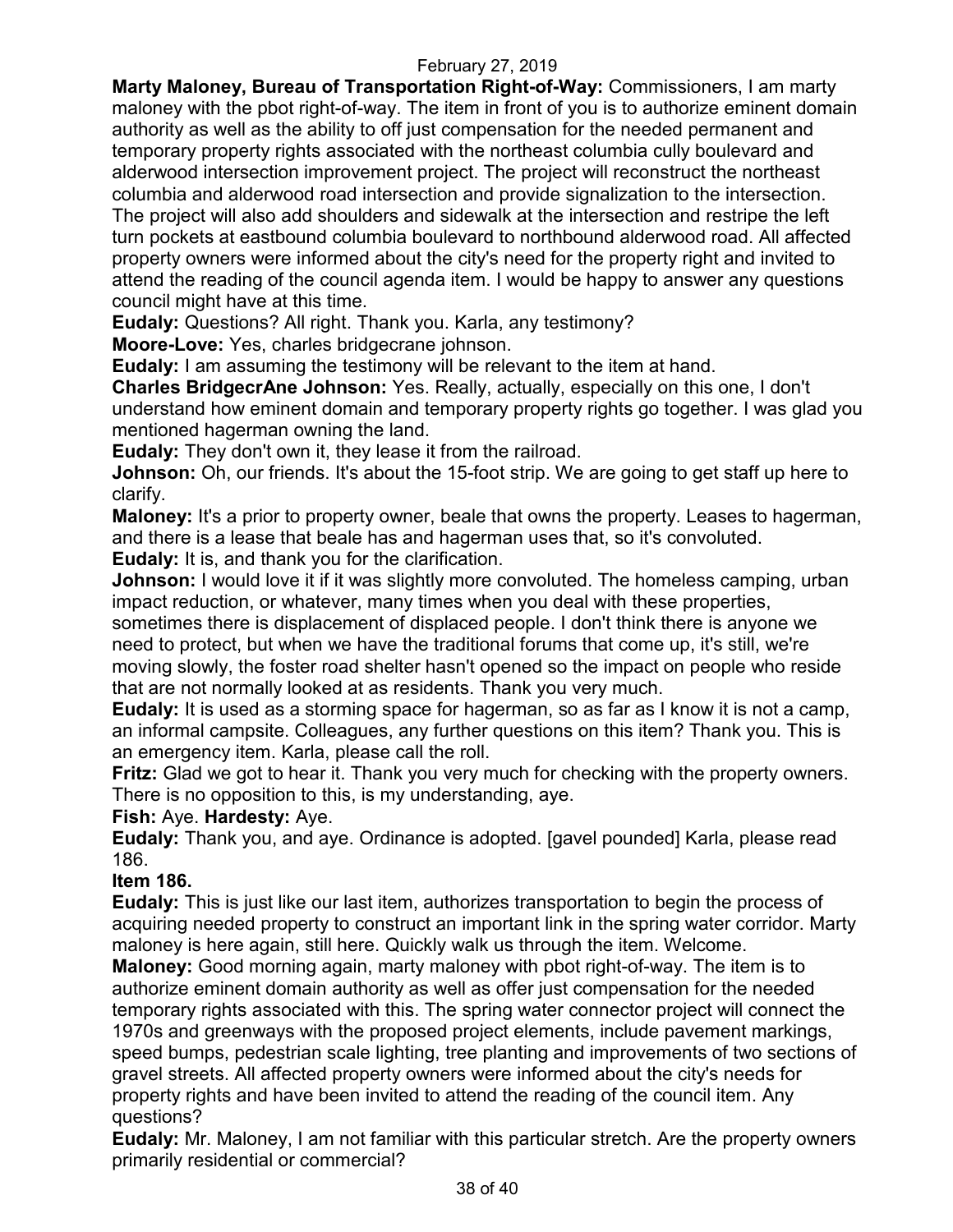**Marty Maloney, Bureau of Transportation Right-of-Way:** Commissioners, I am marty maloney with the pbot right-of-way. The item in front of you is to authorize eminent domain authority as well as the ability to off just compensation for the needed permanent and temporary property rights associated with the northeast columbia cully boulevard and alderwood intersection improvement project. The project will reconstruct the northeast columbia and alderwood road intersection and provide signalization to the intersection. The project will also add shoulders and sidewalk at the intersection and restripe the left turn pockets at eastbound columbia boulevard to northbound alderwood road. All affected property owners were informed about the city's need for the property right and invited to attend the reading of the council agenda item. I would be happy to answer any questions council might have at this time.

**Eudaly:** Questions? All right. Thank you. Karla, any testimony?

**Moore-Love:** Yes, charles bridgecrane johnson.

**Eudaly:** I am assuming the testimony will be relevant to the item at hand.

**Charles BridgecrAne Johnson:** Yes. Really, actually, especially on this one, I don't understand how eminent domain and temporary property rights go together. I was glad you mentioned hagerman owning the land.

**Eudaly:** They don't own it, they lease it from the railroad.

**Johnson:** Oh, our friends. It's about the 15-foot strip. We are going to get staff up here to clarify.

**Maloney:** It's a prior to property owner, beale that owns the property. Leases to hagerman, and there is a lease that beale has and hagerman uses that, so it's convoluted.

**Eudaly:** It is, and thank you for the clarification.

**Johnson:** I would love it if it was slightly more convoluted. The homeless camping, urban impact reduction, or whatever, many times when you deal with these properties,

sometimes there is displacement of displaced people. I don't think there is anyone we need to protect, but when we have the traditional forums that come up, it's still, we're moving slowly, the foster road shelter hasn't opened so the impact on people who reside that are not normally looked at as residents. Thank you very much.

**Eudaly:** It is used as a storming space for hagerman, so as far as I know it is not a camp, an informal campsite. Colleagues, any further questions on this item? Thank you. This is an emergency item. Karla, please call the roll.

**Fritz:** Glad we got to hear it. Thank you very much for checking with the property owners. There is no opposition to this, is my understanding, aye.

#### **Fish:** Aye. **Hardesty:** Aye.

**Eudaly:** Thank you, and aye. Ordinance is adopted. [gavel pounded] Karla, please read 186.

### **Item 186.**

**Eudaly:** This is just like our last item, authorizes transportation to begin the process of acquiring needed property to construct an important link in the spring water corridor. Marty maloney is here again, still here. Quickly walk us through the item. Welcome.

**Maloney:** Good morning again, marty maloney with pbot right-of-way. The item is to authorize eminent domain authority as well as offer just compensation for the needed temporary rights associated with this. The spring water connector project will connect the 1970s and greenways with the proposed project elements, include pavement markings, speed bumps, pedestrian scale lighting, tree planting and improvements of two sections of gravel streets. All affected property owners were informed about the city's needs for property rights and have been invited to attend the reading of the council item. Any questions?

**Eudaly:** Mr. Maloney, I am not familiar with this particular stretch. Are the property owners primarily residential or commercial?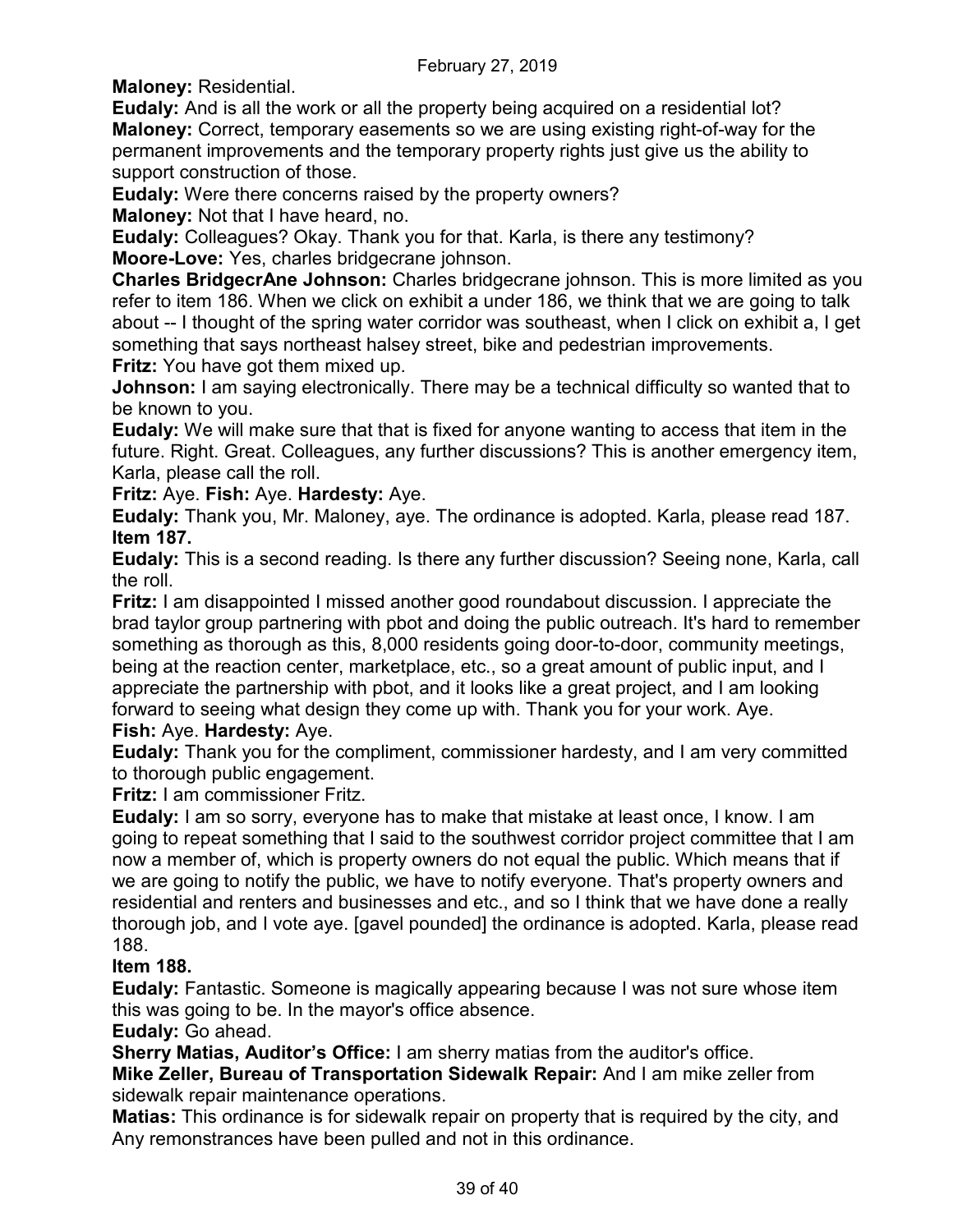**Maloney:** Residential.

**Eudaly:** And is all the work or all the property being acquired on a residential lot? **Maloney:** Correct, temporary easements so we are using existing right-of-way for the permanent improvements and the temporary property rights just give us the ability to support construction of those.

**Eudaly:** Were there concerns raised by the property owners?

**Maloney:** Not that I have heard, no.

**Eudaly:** Colleagues? Okay. Thank you for that. Karla, is there any testimony? **Moore-Love:** Yes, charles bridgecrane johnson.

**Charles BridgecrAne Johnson:** Charles bridgecrane johnson. This is more limited as you refer to item 186. When we click on exhibit a under 186, we think that we are going to talk about -- I thought of the spring water corridor was southeast, when I click on exhibit a, I get something that says northeast halsey street, bike and pedestrian improvements. **Fritz:** You have got them mixed up.

**Johnson:** I am saying electronically. There may be a technical difficulty so wanted that to be known to you.

**Eudaly:** We will make sure that that is fixed for anyone wanting to access that item in the future. Right. Great. Colleagues, any further discussions? This is another emergency item, Karla, please call the roll.

**Fritz:** Aye. **Fish:** Aye. **Hardesty:** Aye.

**Eudaly:** Thank you, Mr. Maloney, aye. The ordinance is adopted. Karla, please read 187. **Item 187.**

**Eudaly:** This is a second reading. Is there any further discussion? Seeing none, Karla, call the roll.

**Fritz:** I am disappointed I missed another good roundabout discussion. I appreciate the brad taylor group partnering with pbot and doing the public outreach. It's hard to remember something as thorough as this, 8,000 residents going door-to-door, community meetings, being at the reaction center, marketplace, etc., so a great amount of public input, and I appreciate the partnership with pbot, and it looks like a great project, and I am looking forward to seeing what design they come up with. Thank you for your work. Aye.

# **Fish:** Aye. **Hardesty:** Aye.

**Eudaly:** Thank you for the compliment, commissioner hardesty, and I am very committed to thorough public engagement.

**Fritz:** I am commissioner Fritz.

**Eudaly:** I am so sorry, everyone has to make that mistake at least once, I know. I am going to repeat something that I said to the southwest corridor project committee that I am now a member of, which is property owners do not equal the public. Which means that if we are going to notify the public, we have to notify everyone. That's property owners and residential and renters and businesses and etc., and so I think that we have done a really thorough job, and I vote aye. [gavel pounded] the ordinance is adopted. Karla, please read 188.

### **Item 188.**

**Eudaly:** Fantastic. Someone is magically appearing because I was not sure whose item this was going to be. In the mayor's office absence.

### **Eudaly:** Go ahead.

**Sherry Matias, Auditor's Office:** I am sherry matias from the auditor's office.

**Mike Zeller, Bureau of Transportation Sidewalk Repair:** And I am mike zeller from sidewalk repair maintenance operations.

**Matias:** This ordinance is for sidewalk repair on property that is required by the city, and Any remonstrances have been pulled and not in this ordinance.